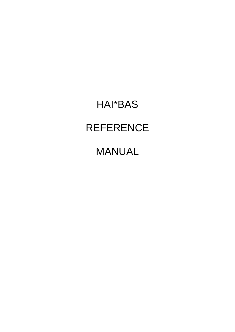# HAI\*BAS **REFERENCE**

## MANUAL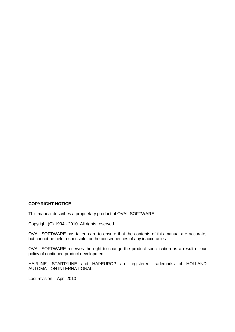#### **COPYRIGHT NOTICE**

This manual describes a proprietary product of OVAL SOFTWARE.

Copyright (C) 1994 - 2010. All rights reserved.

OVAL SOFTWARE has taken care to ensure that the contents of this manual are accurate, but cannot be held responsible for the consequences of any inaccuracies.

OVAL SOFTWARE reserves the right to change the product specification as a result of our policy of continued product development.

HAI\*LINE, START\*LINE and HAI\*EUROP are registered trademarks of HOLLAND AUTOMATION INTERNATIONAL

Last revision – April 2010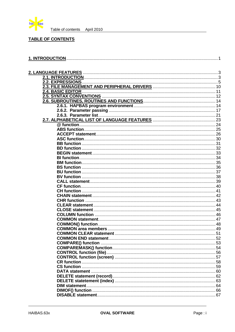

#### **TABLE OF CONTENTS**

| 2 <mark>.3. FILE MANAGEMENT AND PERIPHERAL DRIVERS</mark> ………………………………………………………10<br><b>2.4. BASIC EDITOR</b> |  |
|---------------------------------------------------------------------------------------------------------------|--|
|                                                                                                               |  |
|                                                                                                               |  |
|                                                                                                               |  |
|                                                                                                               |  |
|                                                                                                               |  |
|                                                                                                               |  |
|                                                                                                               |  |
|                                                                                                               |  |
|                                                                                                               |  |
|                                                                                                               |  |
|                                                                                                               |  |
|                                                                                                               |  |
|                                                                                                               |  |
|                                                                                                               |  |
|                                                                                                               |  |
|                                                                                                               |  |
|                                                                                                               |  |
|                                                                                                               |  |
|                                                                                                               |  |
|                                                                                                               |  |
|                                                                                                               |  |
|                                                                                                               |  |
|                                                                                                               |  |
|                                                                                                               |  |
|                                                                                                               |  |
|                                                                                                               |  |
|                                                                                                               |  |
|                                                                                                               |  |
|                                                                                                               |  |
|                                                                                                               |  |
|                                                                                                               |  |
|                                                                                                               |  |
|                                                                                                               |  |
|                                                                                                               |  |
|                                                                                                               |  |
|                                                                                                               |  |
|                                                                                                               |  |
|                                                                                                               |  |
|                                                                                                               |  |
|                                                                                                               |  |
|                                                                                                               |  |
|                                                                                                               |  |
|                                                                                                               |  |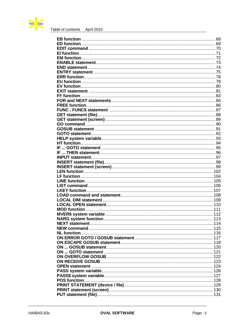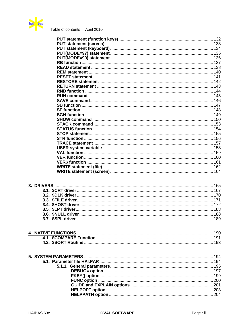

## 3. DRIVERS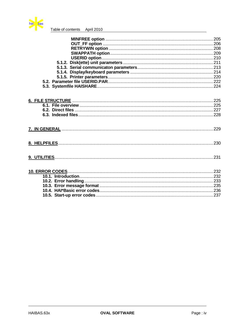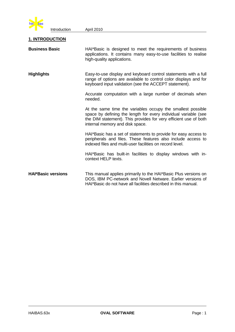

### **1. INTRODUCTION**

| <b>Business Basic</b>     | HAI*Basic is designed to meet the requirements of business<br>applications. It contains many easy-to-use facilities to realise<br>high-quality applications.                                                                          |  |  |  |
|---------------------------|---------------------------------------------------------------------------------------------------------------------------------------------------------------------------------------------------------------------------------------|--|--|--|
| <b>Highlights</b>         | Easy-to-use display and keyboard control statements with a full<br>range of options are available to control color displays and for<br>keyboard input validation (see the ACCEPT statement).                                          |  |  |  |
|                           | Accurate computation with a large number of decimals when<br>needed.                                                                                                                                                                  |  |  |  |
|                           | At the same time the variables occupy the smallest possible<br>space by defining the length for every individual variable (see<br>the DIM statement). This provides for very efficient use of both<br>internal memory and disk space. |  |  |  |
|                           | HAI*Basic has a set of statements to provide for easy access to<br>peripherals and files. These features also include access to<br>indexed files and multi-user facilities on record level.                                           |  |  |  |
|                           | HAI*Basic has built-in facilities to display windows with in-<br>context HELP texts.                                                                                                                                                  |  |  |  |
| <b>HAI*Basic versions</b> | This manual applies primarily to the HAI*Basic Plus versions on<br>DOS, IBM PC-network and Novell Netware. Earlier versions of<br>HAI*Basic do not have all facilities described in this manual.                                      |  |  |  |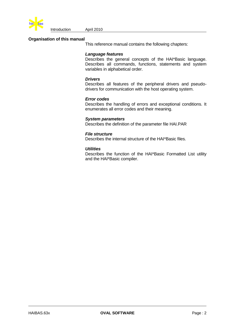

Introduction April 2010

#### **Organisation of this manual**

This reference manual contains the following chapters:

#### *Language features*

Describes the general concepts of the HAI\*Basic language. Describes all commands, functions, statements and system variables in alphabetical order.

#### *Drivers*

Describes all features of the peripheral drivers and pseudodrivers for communication with the host operating system.

#### *Error codes*

Describes the handling of errors and exceptional conditions. It enumerates all error codes and their meaning.

#### *System parameters*

Describes the definition of the parameter file HAI.PAR

#### *File structure*

Describes the internal structure of the HAI\*Basic files.

#### *Utilities*

Describes the function of the HAI\*Basic Formatted List utility and the HAI\*Basic compiler.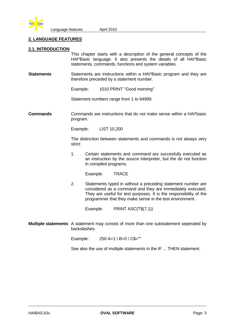

#### **2. LANGUAGE FEATURES**

#### **2.1. INTRODUCTION**

This chapter starts with a description of the general concepts of the HAI\*Basic language. It also presents the details of all HAI\*Basic statements, commands, functions and system variables.

**Statements** Statements are instructions within a HAI\*Basic program and they are therefore preceded by a statement number.

Example: 1010 PRINT "Good morning"

Statement numbers range from 1 to 64999.

**Commands** Commands are instructions that do not make sense within a HAI\*basic program.

Example: LIST 10,200

The distinction between statements and commands is not always very strict:

1. Certain statements and command are succesfully executed as an instruction by the source interpreter, but the do not function in compiled programs.

Example: TRACE

2. Statements typed in without a preceding statement number are considered as a command and they are immediately executed. They are useful for test purposes. It is the responsibility of the programmer that they make sense in the test environment.

Example: PRINT ASC(T\$(7,1))

**Multiple statements** A statement may consist of more than one substatement seperated by backslashes.

Example:  $250 A=1 \ B=0 \ C\$ 

See also the use of multiple statements in the IF ... THEN statement.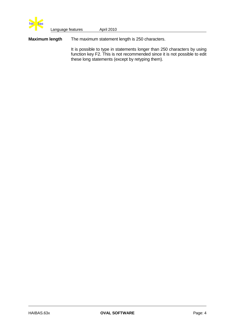

**Maximum length** The maximum statement length is 250 characters.

It is possible to type in statements longer than 250 characters by using function key F2. This is not recommended since it is not possible to edit these long statements (except by retyping them).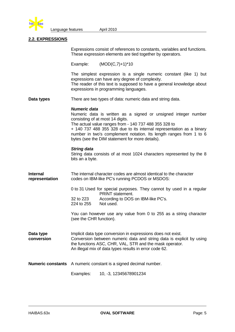

#### **2.2. EXPRESSIONS**

|                                   | Expressions consist of references to constants, variables and functions.<br>These expression elements are tied together by operators. |                                                                                                                                                                                                                                                                                                                                                              |  |
|-----------------------------------|---------------------------------------------------------------------------------------------------------------------------------------|--------------------------------------------------------------------------------------------------------------------------------------------------------------------------------------------------------------------------------------------------------------------------------------------------------------------------------------------------------------|--|
|                                   |                                                                                                                                       | Example: $(MOD(C,7)+1)*10$                                                                                                                                                                                                                                                                                                                                   |  |
|                                   |                                                                                                                                       | The simplest expression is a single numeric constant (like 1) but<br>expressions can have any degree of complexity.<br>The reader of this text is supposed to have a general knowledge about<br>expressions in programming languages.                                                                                                                        |  |
| Data types                        |                                                                                                                                       | There are two types of data: numeric data and string data.                                                                                                                                                                                                                                                                                                   |  |
|                                   | <b>Numeric data</b>                                                                                                                   | Numeric data is written as a signed or unsigned integer number<br>consisting of at most 14 digits.<br>The actual value ranges from - 140 737 488 355 328 to<br>+ 140 737 488 355 328 due to its internal representation as a binary<br>number in two's complement notation. Its length ranges from 1 to 6<br>bytes (see the DIM statement for more details). |  |
|                                   | <b>String data</b><br>bits an a byte.                                                                                                 | String data consists of at most 1024 characters represented by the 8                                                                                                                                                                                                                                                                                         |  |
| <b>Internal</b><br>representation | The internal character codes are almost identical to the character<br>codes on IBM-like PC's running PCDOS or MSDOS:                  |                                                                                                                                                                                                                                                                                                                                                              |  |
|                                   |                                                                                                                                       | 0 to 31 Used for special purposes. They cannot by used in a regular<br>PRINT statement.                                                                                                                                                                                                                                                                      |  |
|                                   | 32 to 223<br>224 to 255                                                                                                               | According to DOS on IBM-like PC's.<br>Not used.                                                                                                                                                                                                                                                                                                              |  |
|                                   | (see the CHR function).                                                                                                               | You can however use any value from 0 to 255 as a string character                                                                                                                                                                                                                                                                                            |  |
| Data type<br>conversion           |                                                                                                                                       | Implicit data type conversion in expressions does not exist.<br>Conversion between numeric data and string data is explicit by using<br>the functions ASC, CHR, VAL, STR and the mask operator.<br>An illegal mix of data types results in error code 62.                                                                                                    |  |
| <b>Numeric constants</b>          |                                                                                                                                       | A numeric constant is a signed decimal number.                                                                                                                                                                                                                                                                                                               |  |
|                                   | Examples:                                                                                                                             | 10, -3, 12345678901234                                                                                                                                                                                                                                                                                                                                       |  |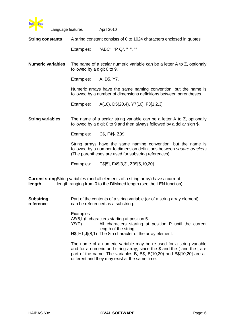

Language features **April 2010 String constants** A string constant consists of 0 to 1024 characters enclosed in quotes. Examples: "ABC", "P Q", " ", "" **Numeric variables** The name of a scalar numeric variable can be a letter A to Z, optionaly followed by a digit 0 to 9. Examples: A, D5, Y7. Numeric arrays have the same naming convention, but the name is followed by a number of dimensions definitions between parentheses. Examples: A(10), D5(20,4), Y7[10], F3[1,2,3] **String variables** The name of a scalar string variable can be a letter A to Z, optionally followed by a digit 0 to 9 and then always followed by a dollar sign \$. Examples: C\$, F4\$, Z3\$ String arrays have the same naming convention, but the name is followed by a number fo dimension definitions between *square brackets* (The parentheses are used for substring references). Examples: C\$[5], F4\$[3,3], Z3\$[5,10,20]

**Current string**String variables (and all elements of a string array) have a current **length** length ranging from 0 to the DIMmed length (see the LEN function).

**Substring** Part of the contents of a string variable (or of a string array element) **reference** can be referenced as a substring.

> Examples: A\$(5,L)L characters starting at position 5. Y\$(P) All characters starting at position P until the current length of the string. H\$[I+1,J](8,1) The 8th character of the array element.

> The name of a numeric variable may be re-used for a string variable and for a numeric and string array, since the \$ and the ( and the [ are part of the name. The variables B, B\$, B(10,20) and B\$[10,20] are all different and they may exist at the same time.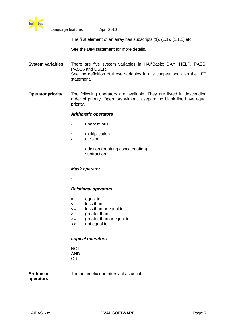

The first element of an array has subscripts (1), (1,1), (1,1,1) etc.

See the DIM statement for more details.

**System variables** There are five system variables in HAI\*Basic: DAY, HELP, PASS, PASS\$ and USER. See the definition of these variables in this chapter and also the LET statement.

**Operator priority** The following operators are available. They are listed in descending order of priority. Operators without a separating blank line have equal priority.

#### *Arithmetic operators*

- unary minus
- \* multiplication
- / division
- + addition (or string concatenation)
- subtraction

#### *Mask operator*

:

#### *Relational operators*

- = equal to
- < less than
- <= less than or equal to
- > greater than
- >= greater than or equal to
- <> not equal to

#### *Logical operators*

**NOT** AND OR

**operators**

**Arithmetic** The arithmetic operators act as usual.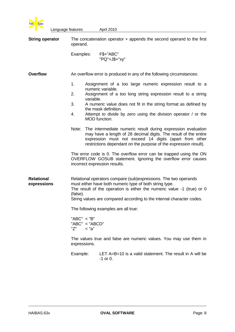

| <b>String operator</b>                       | The concatenation operator $+$ appends the second operand to the first<br>operand. |           |                                                                                                                                                                                                                                                                                |
|----------------------------------------------|------------------------------------------------------------------------------------|-----------|--------------------------------------------------------------------------------------------------------------------------------------------------------------------------------------------------------------------------------------------------------------------------------|
|                                              | Examples:                                                                          |           | F\$+"ABC"<br>"PQ"+J\$+"xy"                                                                                                                                                                                                                                                     |
| <b>Overflow</b>                              |                                                                                    |           | An overflow error is produced in any of the following circumstances:                                                                                                                                                                                                           |
|                                              | 1.<br>2.                                                                           |           | Assignment of a too large numeric expression result to a<br>numeric variable.<br>Assignment of a too long string expression result to a string                                                                                                                                 |
|                                              | 3.                                                                                 | variable. | A numeric value does not fit in the string format as defined by                                                                                                                                                                                                                |
|                                              | 4.                                                                                 |           | the mask definition.<br>Attempt to divide by zero using the division operator / or the<br>MOD function.                                                                                                                                                                        |
|                                              | Note:                                                                              |           | The intermediate numeric result during expression evaluation<br>may have a length of 28 decimal digits. The result of the entire<br>expression must not exceed 14 digits (apart from other<br>restrictions dependant on the purpose of the expression result).                 |
|                                              |                                                                                    |           | The error code is 0. The overflow error can be trapped using the ON<br>OVERFLOW GOSUB statement. Ignoring the overflow error causes<br>incorrect expression results.                                                                                                           |
| <b>Relational</b><br>expressions<br>(false). |                                                                                    |           | Relational operators compare (sub) expressions. The two operands<br>must either have both numeric type of both string type.<br>The result of the operation is either the numeric value -1 (true) or 0<br>String values are compared according to the internal character codes. |
|                                              |                                                                                    |           | The following examples are all true:                                                                                                                                                                                                                                           |
|                                              | "ABC" < "B"<br>"ABC" < "ABCD"<br>"Z"                                               | $<$ "a"   |                                                                                                                                                                                                                                                                                |
| expressions.                                 |                                                                                    |           | The values true and false are numeric values. You may use them in                                                                                                                                                                                                              |
|                                              | Example:                                                                           |           | LET $A=B=10$ is a valid statement. The result in A will be<br>$-1$ or 0.                                                                                                                                                                                                       |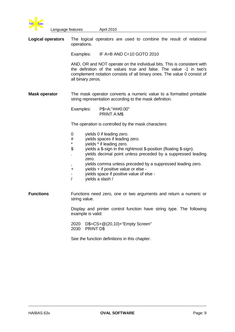

| <b>Logical operators</b> | The logical operators are used to combine the result of relational<br>operations.                                                                                                                                                                                                                                                                                                                                                                     |  |  |  |  |
|--------------------------|-------------------------------------------------------------------------------------------------------------------------------------------------------------------------------------------------------------------------------------------------------------------------------------------------------------------------------------------------------------------------------------------------------------------------------------------------------|--|--|--|--|
|                          | Examples: IF A>B AND C<10 GOTO 2010                                                                                                                                                                                                                                                                                                                                                                                                                   |  |  |  |  |
|                          | AND, OR and NOT operate on the individual bits. This is consistent with<br>the definition of the values true and false. The value -1 in two's<br>complement notation consists of all binary ones. The value 0 consist of<br>all binary zeros.                                                                                                                                                                                                         |  |  |  |  |
| <b>Mask operator</b>     | The mask operator converts a numeric value to a formatted printable<br>string representation according to the mask definition.                                                                                                                                                                                                                                                                                                                        |  |  |  |  |
|                          | P\$=A:"###0.00"<br>Examples:<br><b>PRINT A:M\$</b>                                                                                                                                                                                                                                                                                                                                                                                                    |  |  |  |  |
|                          | The operation is controlled by the mask characters:                                                                                                                                                                                                                                                                                                                                                                                                   |  |  |  |  |
|                          | yields 0 if leading zero.<br>0<br>yields spaces if leading zero.<br>#<br>*<br>yields * if leading zero.<br>\$<br>yields a \$-sign in the rightmost \$-position (floating \$-sign).<br>yields decimal point unless preceded by a suppressed leading<br>zero.<br>yields comma unless preceded by a suppressed leading zero.<br>,<br>yields + if positive value or else -<br>+<br>yields space if positive value of else -<br>-<br>T<br>yields a slash / |  |  |  |  |
| <b>Functions</b>         | Functions need zero, one or two arguments and return a numeric or<br>string value.                                                                                                                                                                                                                                                                                                                                                                    |  |  |  |  |
|                          | Display and printer control function have string type. The following<br>example is valid:                                                                                                                                                                                                                                                                                                                                                             |  |  |  |  |
|                          | D\$=CS+@(20,10)+"Empty Screen"<br>2020<br>2030<br>PRINT D\$                                                                                                                                                                                                                                                                                                                                                                                           |  |  |  |  |
|                          | See the function definitions in this chapter.                                                                                                                                                                                                                                                                                                                                                                                                         |  |  |  |  |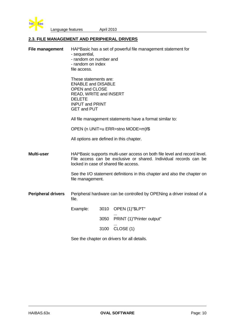

#### **2.3. FILE MANAGEMENT AND PERIPHERAL DRIVERS**

| <b>File management</b>    | HAI*Basic has a set of powerful file management statement for<br>- sequential,<br>- random on number and<br>- random on index<br>file access.<br>These statements are:<br><b>ENABLE and DISABLE</b><br><b>OPEN and CLOSE</b><br>READ, WRITE and INSERT<br><b>DELETE</b><br><b>INPUT and PRINT</b><br><b>GET and PUT</b> |      |                                                                                                                                                |  |  |  |
|---------------------------|-------------------------------------------------------------------------------------------------------------------------------------------------------------------------------------------------------------------------------------------------------------------------------------------------------------------------|------|------------------------------------------------------------------------------------------------------------------------------------------------|--|--|--|
|                           |                                                                                                                                                                                                                                                                                                                         |      |                                                                                                                                                |  |  |  |
|                           | All file management statements have a format similar to:                                                                                                                                                                                                                                                                |      |                                                                                                                                                |  |  |  |
|                           | OPEN (n UNIT=u ERR=stno MODE=m)f\$                                                                                                                                                                                                                                                                                      |      |                                                                                                                                                |  |  |  |
|                           | All options are defined in this chapter.                                                                                                                                                                                                                                                                                |      |                                                                                                                                                |  |  |  |
| Multi-user                | locked in case of shared file access.                                                                                                                                                                                                                                                                                   |      | HAI*Basic supports multi-user access on both file level and record level.<br>File access can be exclusive or shared. Individual records can be |  |  |  |
|                           | See the I/O statement definitions in this chapter and also the chapter on<br>file management.                                                                                                                                                                                                                           |      |                                                                                                                                                |  |  |  |
| <b>Peripheral drivers</b> | file.                                                                                                                                                                                                                                                                                                                   |      | Peripheral hardware can be controlled by OPENing a driver instead of a                                                                         |  |  |  |
|                           | Example:                                                                                                                                                                                                                                                                                                                |      | 3010 OPEN (1)"\$LPT"                                                                                                                           |  |  |  |
|                           |                                                                                                                                                                                                                                                                                                                         |      | 3050 PRINT (1)"Printer output"                                                                                                                 |  |  |  |
|                           |                                                                                                                                                                                                                                                                                                                         | 3100 | CLOSE (1)                                                                                                                                      |  |  |  |
|                           | See the chapter on drivers for all details.                                                                                                                                                                                                                                                                             |      |                                                                                                                                                |  |  |  |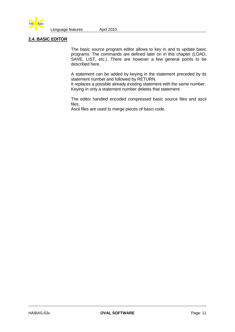

#### **2.4. BASIC EDITOR**

The basic source program editor allows to key in and to update basic programs. The commands are defined later on in this chapter (LOAD, SAVE, LIST, etc.). There are however a few general points to be described here.

A statement can be added by keying in the statement preceded by its statement number and followed by RETURN.

It replaces a possible already existing statement with the same number. Keying in only a statement number deletes that statement.

The editor handled encoded compressed basic source files and ascii files.

Ascii files are used to merge pieces of basci code.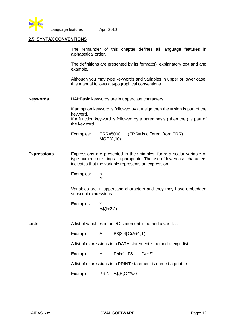

#### **2.5. SYNTAX CONVENTIONS**

The remainder of this chapter defines all language features in alphabetical order.

The definitions are presented by its format(s), explanatory text and and example.

Although you may type keywords and variables in upper or lower case, this manual follows a typographical conventions.

**Keywords** HAI\*Basic keywords are in uppercase characters.

If an option keyword is followed by  $a =$  sign then the  $=$  sign is part of the keyword. If a function keyword is followed by a parenthesis ( then the ( is part of the keyword.

| Examples: | ERR=5000  | (ERR= is different from ERR) |
|-----------|-----------|------------------------------|
|           | MOD(A,10) |                              |

- **Expressions** Expressions are presented in their simplest form: a scalar variable of type numeric or string as appropriate. The use of lowercase characters indicates that the variable represents an expression.
	- Examples: n f\$

Variables are in uppercase characters and they may have embedded subscript expressions.

Examples: Y  $A\$(I+2,J)$ 

Lists A list of variables in an I/O statement is named a var list.

Example:  $A \qquad B\$ [3,4]  $C(A+1, T)$ 

A list of expressions in a DATA statement is named a expr list.

Example: H F<sup>\*4+1</sup> F\$ "XYZ"

A list of expressions in a PRINT statement is named a print\_list.

Example: PRINT A\$,B,C:"##0"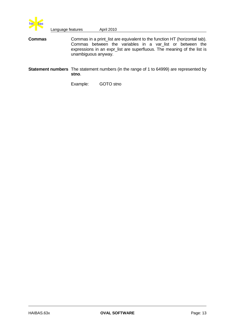

**Commas** Commas in a print\_list are equivalent to the function HT (horizontal tab). Commas between the variables in a var\_list or between the expressions in an expr\_list are superfluous. The meaning of the list is unambiguous anyway.

**Statement numbers** The statement numbers (in the range of 1 to 64999) are represented by **stno**.

Example: GOTO stno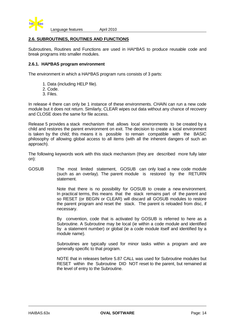

#### **2.6. SUBROUTINES, ROUTINES AND FUNCTIONS**

Subroutines, Routines and Functions are used in HAI\*BAS to produce reusable code and break programs into smaller modules.

#### **2.6.1. HAI\*BAS program environment**

The environment in which a HAI\*BAS program runs consists of 3 parts:

- 1. Data (including HELP file).
- 2. Code.
- 3. Files.

In release 4 there can only be 1 instance of these environments. CHAIN can run a new code module but it does not return. Similarly, CLEAR wipes out data without any chance of recovery and CLOSE does the same for file access.

Release 5 provides a stack mechanism that allows local environments to be created by a child and restores the parent environment on exit. The decision to create a local environment is taken by the child; this means it is possible to remain compatible with the BASIC philosophy of allowing global access to all items (with all the inherent dangers of such an approach).

The following keywords work with this stack mechanism (they are described more fully later on):

GOSUB The most limited statement, GOSUB can only load a new code module (such as an overlay). The parent module is restored by the RETURN statement.

> Note that there is no possibility for GOSUB to create a new environment. In practical terms, this means that the stack remains part of the parent and so RESET (or BEGIN or CLEAR) will discard all GOSUB modules to restore the parent program and reset the stack. The parent is reloaded from disc, if necessary.

> By convention, code that is activated by GOSUB is referred to here as a Subroutine. A Subroutine may be local (ie within a code module and identified by a statement number) or global (ie a code module itself and identified by a module name).

> Subroutines are typically used for minor tasks within a program and are generally specific to that program.

> NOTE that in releases before 5.87 CALL was used for Subroutine modules but RESET within the Subroutine DID NOT reset to the parent, but remained at the level of entry to the Subroutine.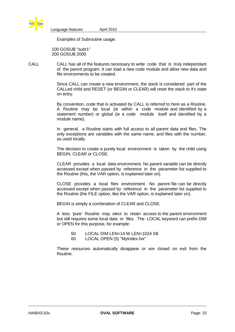

Examples of Subroutine usage:

 100 GOSUB "subr1" 200 GOSUB 2000

CALL CALL has all of the features necessary to write code that is truly independant of the parent program. It can load a new code module and allow new data and file environments to be created.

> Since CALL can create a new environment, the stack is considered part of the CALLed child and RESET (or BEGIN or CLEAR) will reset the stack to it's state on entry.

> By convention, code that is activated by CALL is referred to here as a Routine. A Routine may be local (ie within a code module and identified by a statement number) or global (ie a code module itself and identified by a module name).

> In general, a Routine starts with full access to all parent data and files. The only exceptions are variables with the same name, and files with the number, as used locally.

> The decision to create a purely local environment is taken by the child using BEGIN, CLEAR or CLOSE.

> CLEAR provides a local data environment. No parent variable can be directly accessed except when passed by reference in the parameter list supplied to the Routine (this, the VAR option, is explained later on).

> CLOSE provides a local files environment. No parent file can be directly accessed except when passed by reference in the parameter list supplied to the Routine (the FILE option, like the VAR option, is explained later on).

BEGIN is simply a combination of CLEAR and CLOSE.

A less 'pure' Routine may elect to retain access to the parent environment but still requires some local data or files. The LOCAL keyword can prefix DIM or OPEN for this purpose, for example:

- 50 LOCAL DIM LEN=14 W LEN=1024 X\$
- 60 LOCAL OPEN (5) "MyIndex.hix"

These resources automatically disappear or are closed on exit from the Routine.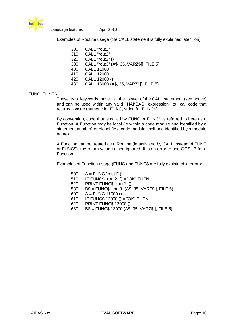

Examples of Routine usage (the CALL statement is fully explained later on):

| 300 | CALL "rout1"                             |
|-----|------------------------------------------|
| 310 | CALL "rout2"                             |
| 320 | CALL "rout2" ()                          |
| 330 | CALL "rout3" (A\$, 35, VARZ\$[], FILE 5) |
| 400 | <b>CALL 11000</b>                        |
| 410 | <b>CALL 12000</b>                        |
| 420 | CALL 12000 ()                            |
| 430 | CALL 13000 (A\$, 35, VARZ\$[], FILE 5)   |

#### FUNC, FUNC\$

These two keywords have all the power of the CALL statement (see above) and can be used within any valid HAI\*BAS expression to call code that returns a value (numeric for FUNC, string for FUNC\$).

By convention, code that is called by FUNC or FUNC\$ is referred to here as a Function. A Function may be local (ie within a code module and identified by a statement number) or global (ie a code module itself and identified by a module name).

A Function can be treated as a Routine (ie activated by CALL instead of FUNC or FUNC\$); the return value is then ignored. It is an error to use GOSUB for a Function.

Examples of Function usage (FUNC and FUNC\$ are fully explained later on):

- 500 A = FUNC "rout1" ()
- 510 IF FUNC\$ "rout2"  $\hat{()}$  = "OK" THEN ...
- 520 PRINT FUNC\$ "rout2" ()
- 530 B\$ = FUNC\$ "rout3" (A\$, 35, VARZ\$[], FILE 5)
- 600  $A =$  FUNC 11000 ()
- 610 IF FUNC\$ 12000 ( $\hat{0}$  = "OK" THEN ...
- 620 PRINT FUNC\$ 12000 ()
- 630 B\$ = FUNC\$ 13000 (A\$, 35, VARZ\$[], FILE 5)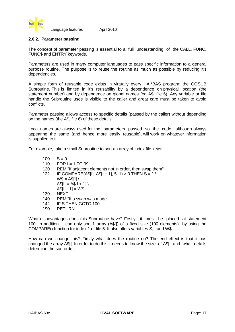

#### **2.6.2. Parameter passing**

The concept of parameter passing is essential to a full understanding of the CALL, FUNC, FUNC\$ and ENTRY keywords.

Parameters are used in many computer languages to pass specific information to a general purpose routine. The purpose is to reuse the routine as much as possible by reducing it's dependencies.

A simple form of reusable code exists in virtually every HAI\*BAS program: the GOSUB Subroutine. This is limited in it's reusability by a dependence on physical location (the statement number) and by dependence on global names (eg A\$, file 6). Any variable or file handle the Subroutine uses is visible to the caller and great care must be taken to avoid conflicts.

Parameter passing allows access to specific details (passed by the caller) without depending on the names (the A\$, file 6) of these details.

Local names are always used for the parameters passed so the code, although always appearing the same (and hence more easily reusable), will work on whatever information is supplied to it.

For example, take a small Subroutine to sort an array of index file keys:

- $100 \t S = 0$
- 110  $FOR I = 1 TO 99$
- 120 REM "If adjacent elements not in order, then swap them"
- 122 IF COMPARE(A\$[I], A\$[I + 1], 5, 1) > 0 THEN S = 1 \
	- $W$ = ASIII \setminus$ 
		- $A$[I] = A$[I + 1] \$
		- $A$[I + 1] = W$$
- 130 NEXT
- 140 REM "If a swap was made"
- 142 IF S THEN GOTO 100
- 190 RETURN

What disadvantages does this Subroutine have? Firstly, it must be placed at statement 100. In addition, it can only sort 1 array (A\$[]) of a fixed size (100 elements) by using the COMPARE() function for index 1 of file 5. It also alters variables S, I and W\$.

How can we change this? Firstly what does the routine do? The end effect is that it has changed the array A\$[]. In order to do this it needs to know the size of A\$[] and what details determine the sort order.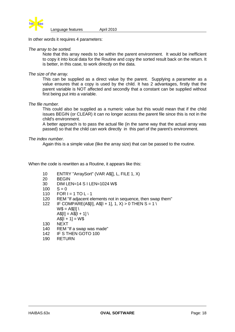

In other words it requires 4 parameters:

#### *The array to be sorted.*

Note that this array needs to be within the parent environment. It would be inefficient to copy it into local data for the Routine and copy the sorted result back on the return. It is better, in this case, to work directly on the data.

#### *The size of the array.*

This can be supplied as a direct value by the parent. Supplying a parameter as a value ensures that a copy is used by the child. It has 2 advantages, firstly that the parent variable is NOT affected and secondly that a constant can be supplied without first being put into a variable.

#### *The file number.*

This could also be supplied as a numeric value but this would mean that if the child issues BEGIN (or CLEAR) it can no longer access the parent file since this is not in the child's environment.

A better approach is to pass the actual file (in the same way that the actual array was passed) so that the child can work directly in this part of the parent's environment.

#### *The index number.*

Again this is a simple value (like the array size) that can be passed to the routine.

When the code is rewritten as a Routine, it appears like this:

- 10 ENTRY "ArraySort" (VAR A\$[], L, FILE 1, X)<br>20 BEGIN
- **BEGIN**
- 30 DIM LEN=14 S I LEN=1024 W\$
- $100 S = 0$
- 110  $FOR I = 1 TO L 1$
- 120 REM "If adjacent elements not in sequence, then swap them"
- 122 IF COMPARE(A\$[I], A\$[I + 1], 1, X) > 0 THEN S = 1 \
	- $W$ = A$$ [I] \
		- $ASIII = ASII + 11 \setminus$
		- $AS[1 + 1] = W$$
- 130 NEXT
- 140 REM "If a swap was made"
- 142 IF S THEN GOTO 100
- 190 RETURN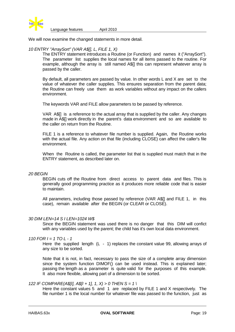

We will now examine the changed statements in more detail.

#### *10 ENTRY "ArraySort" (VAR A\$[], L, FILE 1, X)*

The ENTRY statement introduces a Routine (or Function) and names it ("ArraySort"). The parameter list supplies the local names for all items passed to the routine. For example, although the array is still named A\$[] this can represent whatever array is passed by the caller.

By default, all parameters are passed by value. In other words L and X are set to the value of whatever the caller supplies. This ensures separation from the parent data; the Routine can freely use them as work variables without any impact on the callers environment.

The keywords VAR and FILE allow parameters to be passed by reference.

VAR A\$[] is a reference to the actual array that is supplied by the caller. Any changes made in A\$[] work directly in the parent's data environment and so are available to the caller on return from the Routine.

FILE 1 is a reference to whatever file number is supplied. Again, the Routine works with the actual file. Any action on that file (including CLOSE) can affect the caller's file environment.

When the Routine is called, the parameter list that is supplied must match that in the ENTRY statement, as described later on.

#### *20 BEGIN*

BEGIN cuts off the Routine from direct access to parent data and files. This is generally good programming practice as it produces more reliable code that is easier to maintain.

All parameters, including those passed by reference (VAR A\$[] and FILE 1, in this case), remain available after the BEGIN (or CLEAR or CLOSE).

#### *30 DIM LEN=14 S I LEN=1024 W\$*

Since the BEGIN statement was used there is no danger that this DIM will confict with any variables used by the parent; the child has it's own local data environment.

#### *110 FOR I = 1 TO L - 1*

Here the supplied length  $(L - 1)$  replaces the constant value 99, allowing arrays of any size to be sorted.

Note that it is not, in fact, necessary to pass the size of a complete array dimension since the system function DIMOF() can be used instead. This is explained later; passing the length as a parameter is quite valid for the purposes of this example. It also more flexible, allowing part of a dimension to be sorted.

#### *122 IF COMPARE(A\$[I], A\$[I + 1], 1, X) > 0 THEN S = 1 \*

Here the constant values 5 and 1 are replaced by FILE 1 and X respectively. The file number 1 is the local number for whatever file was passed to the function, just as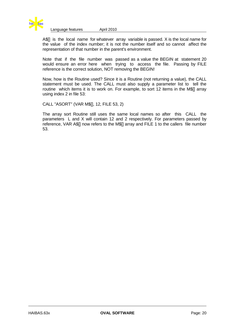

A $\frac{1}{2}$  is the local name for whatever array variable is passed. X is the local name for the value of the index number; it is not the number itself and so cannot affect the representation of that number in the parent's environment.

Note that if the file number was passed as a value the BEGIN at statement 20 would ensure an error here when trying to access the file. Passing by FILE reference is the correct solution, NOT removing the BEGIN!

Now, how is the Routine used? Since it is a Routine (not returning a value), the CALL statement must be used. The CALL must also supply a parameter list to tell the routine which items it is to work on. For example, to sort 12 items in the M\$[] array using index 2 in file 53:

CALL "ASORT" (VAR M\$[], 12, FILE 53, 2)

The array sort Routine still uses the same local names so after this CALL the parameters L and X will contain 12 and 2 respectively. For parameters passed by reference, VAR A\$[] now refers to the M\$[] array and FILE 1 to the callers file number 53.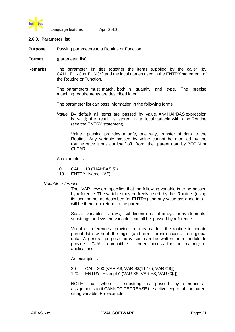

#### **2.6.3. Parameter list**

**Purpose** Passing parameters to a Routine or Function.

- **Format** (parameter list)
- **Remarks** The parameter list ties together the items supplied by the caller (by CALL, FUNC or FUNC\$) and the local names used in the ENTRY statement of the Routine or Function.

The parameters must match, both in quantity and type. The precise matching requirements are described later.

The parameter list can pass information in the following forms:

*Value* By default all items are passed by value. Any HAI\*BAS expression is valid; the result is stored in a local variable within the Routine (see the ENTRY statement).

Value passing provides a safe, one way, transfer of data to the Routine. Any variable passed by value cannot be modified by the routine once it has cut itself off from the parent data by BEGIN or CLEAR.

An example is:

- 10 CALL 110 ("HAI\*BAS 5")
- 110 ENTRY "Name" (A\$)

#### *Variable reference*

The VAR keyword specifies that the following variable is to be passed by reference. The variable may be freely used by the Routine (using its local name, as described for ENTRY) and any value assigned into it will be there on return to the parent.

Scalar variables, arrays, subdimensions of arrays, array elements, substrings and system variables can all be passed by reference.

Variable references provide a means for the routine to update parent data without the rigid (and error prone) access to all global data. A general purpose array sort can be written or a module to provide CUA compatible screen access for the majority of applications.

An example is:

20 CALL 200 (VAR A\$, VAR B\$(11,10), VAR C\$[]) 120 ENTRY "Example" (VAR X\$, VAR Y\$, VAR C\$[])

NOTE that when a substring is passed by reference all assignments to it CANNOT DECREASE the active length of the parent string variable. For example: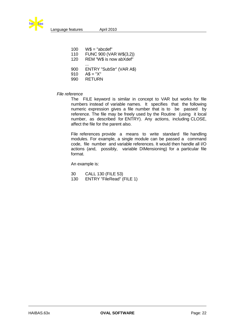

| 100 | $WS = "abcdef"$          |
|-----|--------------------------|
| 110 | FUNC 900 (VAR W\$(3,2))  |
| 120 | REM "W\$ is now abXdef"  |
| 900 | ENTRY "SubStr" (VAR A\$) |
| 910 | $AS = "X"$               |
| 990 | <b>RETURN</b>            |

#### *File reference*

The FILE keyword is similar in concept to VAR but works for file numbers instead of variable names. It specifies that the following numeric expression gives a file number that is to be passed by reference. The file may be freely used by the Routine (using it local number, as described for ENTRY). Any actions, including CLOSE, affect the file for the parent also.

File references provide a means to write standard file handling modules. For example, a single module can be passed a command code, file number and variable references. It would then handle all I/O actions (and, possibly, variable DIMensioning) for a particular file format.

An example is:

- 30 CALL 130 (FILE 53)<br>130 ENTRY "FileRead" (I
- ENTRY "FileRead" (FILE 1)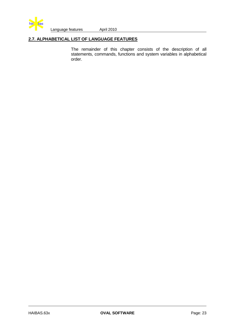

#### **2.7. ALPHABETICAL LIST OF LANGUAGE FEATURES**

The remainder of this chapter consists of the description of all statements, commands, functions and system variables in alphabetical order.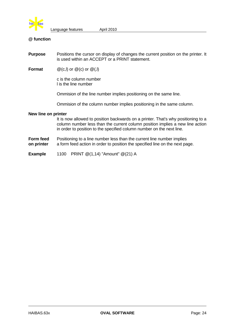

#### **@ function**

- **Purpose** Positions the cursor on display of changes the current position on the printer. It is used within an ACCEPT or a PRINT statement.
- **Format**  $@$  (c,l) or  $@$  (c) or  $@$  (,l)

c is the column number l is the line number

Ommision of the line number implies positioning on the same line.

Ommision of the column number implies positioning in the same column.

#### **New line on printer**

It is now allowed to position backwards on a printer. That's why positioning to a column number less than the current column position implies a new line action in order to position to the specified column number on the next line.

**Form feed** Positioning to a line number less than the current line number implies **on printer** a form feed action in order to position the specified line on the next page.

**Example** 1100 PRINT @(1,14) "Amount" @(21) A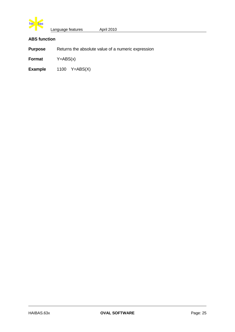

#### **ABS function**

**Purpose** Returns the absolute value of a numeric expression

**Format** Y=ABS(x)

**Example** 1100 Y=ABS(X)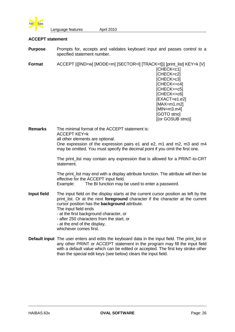

#### **ACCEPT statement**

**Purpose** Prompts for, accepts and validates keyboard input and passes control to a specified statement number.

**Format** ACCEPT  $[([IND=w] [MODE=m] [SECTION=II] [TRACK=t])] [print_list] KEY=k [V]$ [CHECK<c1] [CHECK=c2] [CHECK>c3] [CHECK<=c4] [CHECK>=c5] [CHECK<>c6] [EXACT=e1.e2]  $[MAX=m1.m2]$ [MIN=m3.m4] [GOTO stno] [(or GOSUB stno)]

**Remarks** The minimal format of the ACCEPT statement is: ACCEPT KEY=k all other elements are optional. One expression of the expression pairs e1 and e2, m1 and m2, m3 and m4 may be omitted. You must specify the decimal point if you omit the first one.

> The print list may contain any expression that is allowed for a PRINT-to-CRT statement.

> The print list may end with a display attribute function. The attribute will then be effective for the ACCEPT input field.

Example: The BI function may be used to enter a password.

- **Input field** The input field on the display starts at the current cursor position as left by the print list. Or at the next **foreground** character if the character at the current cursor position has the **background** attribute.
	- The input field ends
	- at the first background character, or - after 250 characters from the start, or
	-
	- at the end of the display,
	- whichever comes first.
- **Default input** The user enters and edits the keyboard data in the input field. The print\_list or any other PRINT or ACCEPT statement in the program may fill the input field with a default value which can be edited or accepted. The first key stroke other than the special edit keys (see below) clears the input field.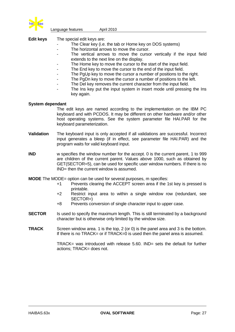

**Edit keys** The special edit keys are:

- The Clear key (i.e. the tab or Home key on DOS systems)
- The horizontal arrows to move the cursor.
- The vertical arrows to move the cursor vertically if the input field extends to the next line on the display.
- The Home key to move the cursor to the start of the input field.
- The End key to move the cursor to the end of the input field.
- The PgUp key to move the cursor a number of positions to the right.
- The PgDn key to move the cursor a number of positions to the left.
- The Del key removes the current character from the input field.
- The Ins key put the input system in insert mode until pressing the Ins key again.

#### **System dependant**

- The edit keys are named according to the implementation on the IBM PC keyboard and with PCDOS. It may be different on other hardware and/or other host operating systems. See the system parameter file HAI.PAR for the keyboard parameterization.
- **Validation** The keyboard input is only accepted if all validations are successful. Incorrect input generates a bleep (if in effect, see parameter file HAI.PAR) and the program waits for valid keyboard input.
- **IND** w specifies the window number for the accept. 0 is the current parent, 1 to 999 are children of the current parent. Values above 1000, such as obtained by GET(SECTOR=5), can be used for specific user window numbers. If there is no IND= then the current window is assumed.

**MODE** The MODE= option can be used for several purposes, m specifies:

- +1 Prevents clearing the ACCEPT screen area if the 1st key is pressed is printable.
- +2 Restrict input area to within a single window row (redundant, see SECTOR=)
- +8 Prevents conversion of single character input to upper case.
- **SECTOR** Is used to specify the maximum length. This is still terminated by a background character but is otherwise only limited by the window size.
- **TRACK** Screen window area. 1 is the top, 2 (or 0) is the panel area and 3 is the bottom. If there is no TRACK= or if TRACK=0 is used then the panel area is assumed.

TRACK= was introduced with release 5.60. IND= sets the default for further actions; TRACK= does not.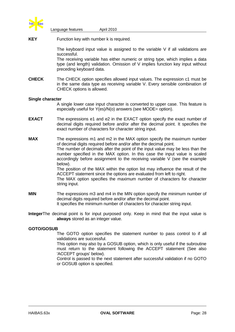

**KEY** Function key with number k is required.

The keyboard input value is assigned to the variable V if all validations are successful.

The receiving variable has either numeric or string type, which implies a data type (and length) validation. Omission of V implies function key input without preceding keyboard data.

**CHECK** The CHECK option specifies allowed input values. The expression c1 must be in the same data type as receiving variable V. Every sensible combination of CHECK options is allowed.

#### **Single character**

A single lower case input character is converted to upper case. This feature is especially useful for Y(es)/N(o) answers (see MODE= option).

**EXACT** The expressions e1 and e2 in the EXACT option specify the exact number of decimal digits required before and/or after the decimal point. It specifies the exact number of characters for character string input.

**MAX** The expressions m1 and m2 in the MAX option specify the maximum number of decimal digits required before and/or after the decimal point. The number of decimals after the point of the input value may be less than the number specified in the MAX option. In this case the input value is scaled accordingly before assignment to the receiving variable V (see the example below). The position of the MAX within the option list may influence the result of the

ACCEPT statement since the options are evaluated from left to right. The MAX option specifies the maximum number of characters for character

string input.

- **MIN** The expressions m3 and m4 in the MIN option specify the minimum number of decimal digits required before and/or after the decimal point. It specifies the minimum number of characters for character string input.
- **Integer**The decimal point is for input purposed only. Keep in mind that the input value is **always** stored as an integer value.

#### **GOTO/GOSUB**

The GOTO option specifies the statement number to pass control to if all validations are successful.

This option may also by a GOSUB option, which is only useful if the subroutine must return to the statement following the ACCEPT statement (See also 'ACCEPT groups' below).

Control is passed to the next statement after successful validation if no GOTO or GOSUB option is specified.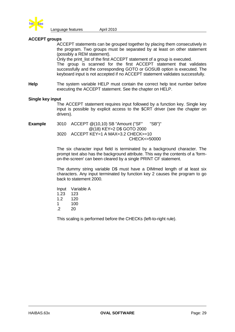

#### **ACCEPT groups**

ACCEPT statements can be grouped together by placing them consecutively in the program. Two groups must be separated by at least on other statement (possibly a REM statement).

Only the print list of the first ACCEPT statement of a group is executed. The group is scanned for the first ACCEPT statement that validates successfully and the corresponding GOTO or GOSUB option is executed. The keyboard input is not accepted if no ACCEPT statement validates successfully.

**Help** The system variable HELP must contain the correct help text number before executing the ACCEPT statement. See the chapter on HELP.

#### **Single key input**

The ACCEPT statement requires input followed by a function key. Single key input is possible by explicit access to the \$CRT driver (see the chapter on drivers).

**Example** 3010 ACCEPT @(10,10) SB "Amount ("SF" "SB")" @(18) KEY=2 D\$ GOTO 2000 3020 ACCEPT KEY=1 A MAX=3.2 CHECK>=10 CHECK<=50000

> The six character input field is terminated by a background character. The prompt text also has the background attribute. This way the contents of a 'formon-the-screen' can been cleared by a single PRINT CF statement.

> The dummy string variable D\$ must have a DIMmed length of at least six characters. Any input terminated by function key 2 causes the program to go back to statement 2000.

Input Variable A 1.23 123 1.2 120 1 100  $.2 \t 20$ 

This scaling is performed before the CHECKs (left-to-right rule).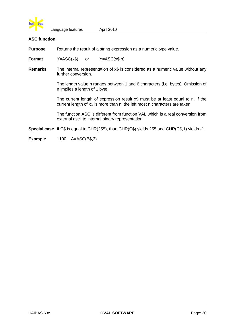

#### **ASC function**

**Purpose** Returns the result of a string expression as a numeric type value.

**Format** Y=ASC(x\$) or Y=ASC(x\$,n)

**Remarks** The internal representation of x\$ is considered as a numeric value without any further conversion.

> The length value n ranges between 1 and 6 characters (i.e. bytes). Omission of n implies a length of 1 byte.

> The current length of expression result x\$ must be at least equal to n. If the current length of x\$ is more than n, the left most n characters are taken.

> The function ASC is different from function VAL which is a real conversion from external ascii to internal binary representation.

**Special case** If C\$ is equal to CHR(255), than CHR(C\$) yields 255 and CHR(C\$,1) yields -1.

#### **Example** 1100 A=ASC(B\$,3)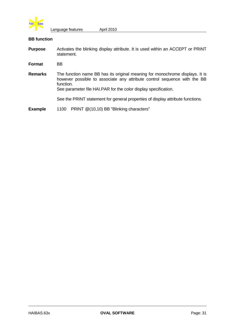

### **BB function**

- **Purpose** Activates the blinking display attribute. It is used within an ACCEPT or PRINT statement.
- **Format** BB
- **Remarks** The function name BB has its original meaning for monochrome displays. It is however possible to associate any attribute control sequence with the BB function.

See parameter file HAI.PAR for the color display specification.

See the PRINT statement for general properties of display attribute functions.

**Example** 1100 PRINT @(10,10) BB "Blinking characters"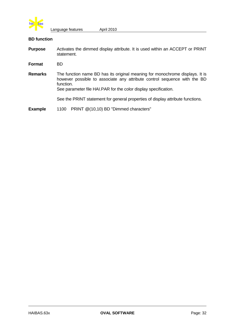

### **BD function**

- **Purpose** Activates the dimmed display attribute. It is used within an ACCEPT or PRINT statement.
- **Format** BD
- **Remarks** The function name BD has its original meaning for monochrome displays. It is however possible to associate any attribute control sequence with the BD function.

See parameter file HAI.PAR for the color display specification.

See the PRINT statement for general properties of display attribute functions.

**Example** 1100 PRINT @(10,10) BD "Dimmed characters"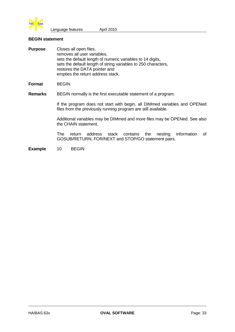

### **BEGIN statement**

| <b>Purpose</b> | Closes all open files,<br>removes all user variables,<br>sets the default length of numeric variables to 14 digits,<br>sets the default length of string variables to 250 characters,<br>restores the DATA pointer and<br>empties the return address stack. |
|----------------|-------------------------------------------------------------------------------------------------------------------------------------------------------------------------------------------------------------------------------------------------------------|
| Format         | <b>BEGIN</b>                                                                                                                                                                                                                                                |
| <b>Remarks</b> | BEGIN normally is the first executable statement of a program.                                                                                                                                                                                              |
|                | If the program does not start with begin, all DIMmed variables and OPENed<br>files from the previously running program are still available.                                                                                                                 |

Additional variables may be DIMmed and more files may be OPENed. See also the CHAIN statement.

The return address stack contains the nesting information of GOSUB/RETURN, FOR/NEXT and STOP/GO statement pairs.

**Example** 10 BEGIN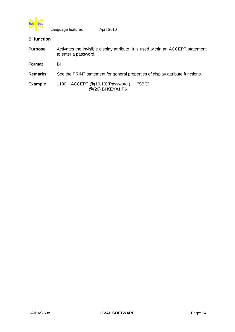

# **BI function**

| <b>Purpose</b> | Activates the invisible display attribute. It is used within an ACCEPT statement<br>to enter a password. |  |  |  |  |  |
|----------------|----------------------------------------------------------------------------------------------------------|--|--|--|--|--|
| Format         | BI                                                                                                       |  |  |  |  |  |
| <b>Remarks</b> | See the PRINT statement for general properties of display attribute functions.                           |  |  |  |  |  |
| <b>Example</b> | ACCEPT @(10,10)"Password (<br>"SB")"<br>1100<br>@(20) BI KEY=1 P\$                                       |  |  |  |  |  |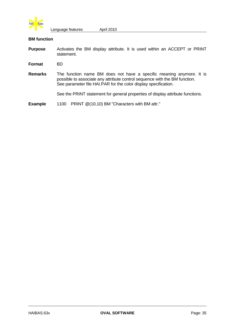

### **BM function**

- **Purpose** Activates the BM display attribute. It is used within an ACCEPT or PRINT statement.
- **Format** BD
- **Remarks** The function name BM does not have a specific meaning anymore. It is possible to associate any attribute control sequence with the BM function. See parameter file HAI.PAR for the color display specification.

See the PRINT statement for general properties of display attribute functions.

**Example** 1100 PRINT @(10,10) BM "Characters with BM attr."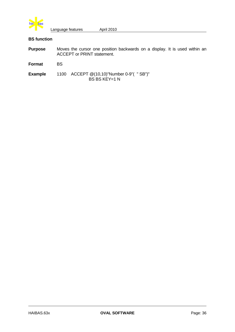

## **BS function**

| <b>Purpose</b> | Moves the cursor one position backwards on a display. It is used within an<br><b>ACCEPT or PRINT statement.</b> |
|----------------|-----------------------------------------------------------------------------------------------------------------|
| Format         | BS.                                                                                                             |
| Example        | 1100 ACCEPT @(10,10)"Number 0-9"( "SB")"<br>BS BS KEY=1 N                                                       |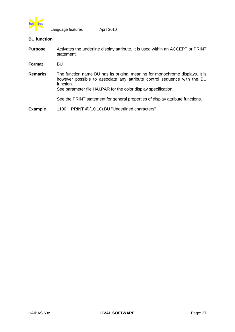

### **BU function**

**Purpose** Activates the underline display attribute. It is used within an ACCEPT or PRINT statement.

**Format** BU

**Remarks** The function name BU has its original meaning for monochrome displays. It is however possible to associate any attribute control sequence with the BU function.

See parameter file HAI.PAR for the color display specification.

See the PRINT statement for general properties of display attribute functions.

**Example** 1100 PRINT @(10,10) BU "Underlined characters"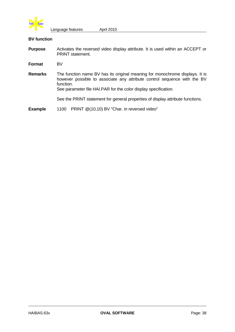

### **BV function**

- **Purpose** Activates the reversed video display attribute. It is used within an ACCEPT or PRINT statement.
- **Format** BV
- **Remarks** The function name BV has its original meaning for monochrome displays. It is however possible to associate any attribute control sequence with the BV function.

See parameter file HAI.PAR for the color display specification.

See the PRINT statement for general properties of display attribute functions.

**Example** 1100 PRINT @(10,10) BV "Char. in reversed video"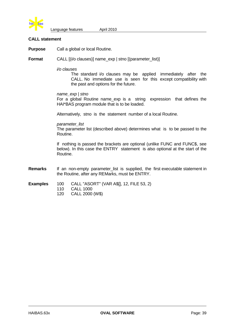

### **CALL statement**

**Purpose** Call a global or local Routine.

**Format** CALL [(i/o clauses)] name\_exp | stno [(parameter\_list)]

*i/o clauses*

The standard i/o clauses may be applied immediately after the CALL. No immediate use is seen for this except compatibility with the past and options for the future.

#### *name\_exp | stno*

For a global Routine name\_exp is a string expression that defines the HAI\*BAS program module that is to be loaded.

Alternatively, stno is the statement number of a local Routine.

*parameter\_list*

The parameter list (described above) determines what is to be passed to the Routine.

 If nothing is passed the brackets are optional (unlike FUNC and FUNC\$, see below). In this case the ENTRY statement is also optional at the start of the Routine.

- **Remarks** If an non-empty parameter\_list is supplied, the first executable statement in the Routine, after any REMarks, must be ENTRY.
- **Examples** 100 CALL "ASORT" (VAR A\$[], 12, FILE 53, 2)
	- 110 CALL 1000
		- 120 CALL 2000 (W\$)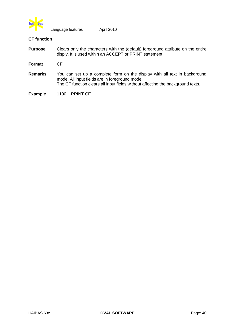

### **CF function**

**Purpose** Clears only the characters with the (default) foreground attribute on the entire disply. It is used within an ACCEPT or PRINT statement.

**Format** CF

**Remarks** You can set up a complete form on the display with all text in background mode. All input fields are in foreground mode. The CF function clears all input fields without affecting the background texts.

**Example** 1100 PRINT CF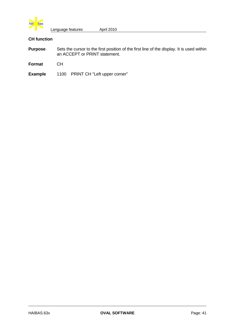

# **CH function**

| <b>Purpose</b> | Sets the cursor to the first position of the first line of the display. It is used within<br>an ACCEPT or PRINT statement. |
|----------------|----------------------------------------------------------------------------------------------------------------------------|
| Format         | CH.                                                                                                                        |
| <b>Example</b> | 1100 PRINT CH "Left upper corner"                                                                                          |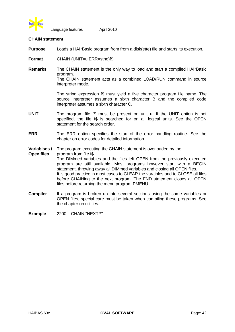

### **CHAIN statement**

- **Purpose** Loads a HAI\*Basic program from from a disk(ette) file and starts its execution.
- **Format** CHAIN (UNIT=u ERR=stno)f\$
- **Remarks** The CHAIN statement is the only way to load and start a compiled HAI\*Basic program.

The CHAIN statement acts as a combined LOAD/RUN command in source interpreter mode.

The string expression f\$ must yield a five character program file name. The source interpreter assumes a sixth character B and the compiled code interpreter assumes a sixth character C.

- **UNIT** The program file f\$ must be present on unit u. If the UNIT option is not specified, the file f\$ is searched for on all logical units. See the OPEN statement for the search order.
- **ERR** The ERR option specifies the start of the error handling routine. See the chapter on error codes for detailed information.
- **Variablses /** The program executing the CHAIN statement is overloaded by the

**Open files** program from file f\$. The DIMmed variables and the files left OPEN from the previously executed program are still available. Most programs however start with a BEGIN statement, throwing away all DIMmed variables and closing all OPEN files. It is good practice in most cases to CLEAR the varaibles and to CLOSE all files before CHAINing to the next program. The END statement closes all OPEN files before returning the menu program PMENU.

- **Compiler** If a program is broken up into several sections using the same variables or OPEN files, special care must be taken when compiling these programs. See the chapter on utilities.
- **Example** 2200 CHAIN "NEXTP"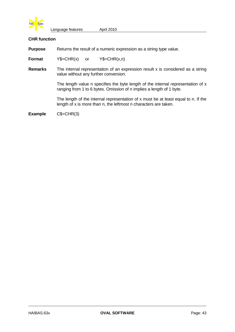

### **CHR function**

**Purpose** Returns the result of a numeric expression as a string type value.

**Format**  $Y\$ =CHR(x) or  $Y\$ =CHR(x,n)

**Remarks** The internal representation of an expression result x is considered as a string value without any further conversion.

> The length value n specifies the byte length of the internal representation of x ranging from 1 to 6 bytes. Omission of n implies a length of 1 byte.

> The length of the internal representation of x must be at least equal to n. If the length of x is more than n, the leftmost n characters are taken.

**Example** C\$=CHR(3)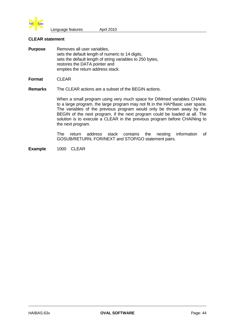

#### **CLEAR statement**

**Purpose** Removes all user variables, sets the default length of numeric to 14 digits. sets the default length of string variables to 250 bytes, restores the DATA pointer and empties the return address stack.

**Format** CLEAR

**Remarks** The CLEAR actions are a subset of the BEGIN actions.

When a small program using very much space for DIMmed variables CHAINs to a large program, the large program may not fit in the HAI\*Basic user space. The variables of the previous program would only be thrown away by the BEGIN of the next program, if the next program could be loaded at all. The solution is to execute a CLEAR in the previous program before CHAINing to the next program.

The return address stack contains the nesting information of GOSUB/RETURN, FOR/NEXT and STOP/GO statement pairs.

**Example** 1000 CLEAR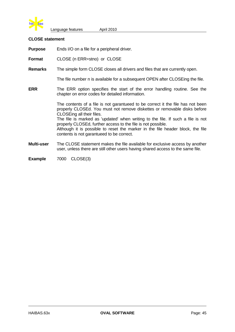

### **CLOSE statement**

**Purpose** Ends I/O on a file for a peripheral driver.

**Format** CLOSE (n ERR=stno) or CLOSE

**Remarks** The simple form CLOSE closes all drivers and files that are currently open.

The file number n is available for a subsequent OPEN after CLOSEing the file.

**ERR** The ERR option specifies the start of the error handling routine. See the chapter on error codes for detailed information.

> The contents of a file is not garantueed to be correct it the file has not been properly CLOSEd. You must not remove diskettes or removable disks before CLOSEing all their files.

> The file is marked as 'updated' when writing to the file. If such a file is not properly CLOSEd, further access to the file is not possible.

> Although it is possible to reset the marker in the file header block, the file contents is not garantueed to be correct.

- **Multi-user** The CLOSE statement makes the file available for exclusive access by another user, unless there are still other users having shared access to the same file.
- **Example** 7000 CLOSE(3)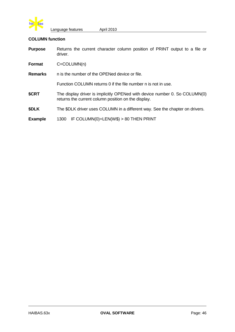

### **COLUMN function**

| <b>Purpose</b> | Returns the current character column position of PRINT output to a file or<br>driver.                                             |  |  |  |  |  |  |
|----------------|-----------------------------------------------------------------------------------------------------------------------------------|--|--|--|--|--|--|
| <b>Format</b>  | $C = COLUMN(n)$                                                                                                                   |  |  |  |  |  |  |
| <b>Remarks</b> | n is the number of the OPENed device or file.                                                                                     |  |  |  |  |  |  |
|                | Function COLUMN returns 0 if the file number n is not in use.                                                                     |  |  |  |  |  |  |
| \$CRT          | The display driver is implicitly OPENed with device number 0. So COLUMN(0)<br>returns the current column position on the display. |  |  |  |  |  |  |
| \$DLK          | The \$DLK driver uses COLUMN in a different way. See the chapter on drivers.                                                      |  |  |  |  |  |  |
| <b>Example</b> | IF COLUMN(0)+LEN(W\$) > 80 THEN PRINT<br>1300                                                                                     |  |  |  |  |  |  |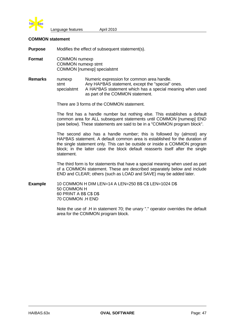

### **COMMON statement**

**Purpose** Modifies the effect of subsequent statement(s).

**Format** COMMON numexp COMMON numexp stmt COMMON [numexp] specialstmt

#### **Remarks** numexp Numeric expression for common area handle. stmt Any HAI\*BAS statement, except the "special" ones. specialstmt A HAI\*BAS statement which has a special meaning when used as part of the COMMON statement.

There are 3 forms of the COMMON statement.

The first has a handle number but nothing else. This establishes a default common area for ALL subsequent statements until COMMON [numexp] END (see below). These statements are said to be in a "COMMON program block".

The second also has a handle number; this is followed by (almost) any HAI\*BAS statement. A default common area is established for the duration of the single statement only. This can be outside or inside a COMMON program block; in the latter case the block default reasserts itself after the single statement.

The third form is for statements that have a special meaning when used as part of a COMMON statement. These are described separately below and include END and CLEAR; others (such as LOAD and SAVE) may be added later.

**Example** 10 COMMON H DIM LEN=14 A LEN=250 B\$ C\$ LEN=1024 D\$ 50 COMMON H 60 PRINT A B\$ C\$ D\$ 70 COMMON .H END

> Note the use of .H in statement 70; the unary "." operator overrides the default area for the COMMON program block.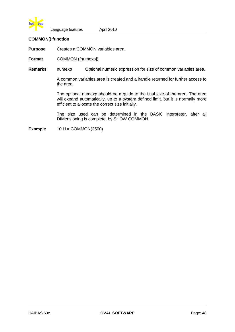

### **COMMON() function**

**Purpose** Creates a COMMON variables area.

**Format** COMMON ([numexp])

**Remarks** numexp Optional numeric expression for size of common variables area.

A common variables area is created and a handle returned for further access to the area.

The optional numexp should be a guide to the final size of the area. The area will expand automatically, up to a system defined limit, but it is normally more efficient to allocate the correct size initially.

The size used can be determined in the BASIC interpreter, after all DIMensioning is complete, by SHOW COMMON.

**Example**  $10 H = \text{COMMON}(2500)$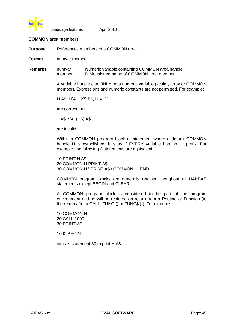

### **COMMON area members**

**Purpose** References members of a COMMON area

**Format** numvar.member

**Remarks** numvar Numeric variable containing COMMON area handle. member DIMensioned name of COMMON area member.

> A variable handle can ONLY be a numeric variable (scalar, array or COMMON member). Expressions and numeric constants are not permitted. For example:

H.A\$, H[A + 27].B\$, H.X.C\$

are correct, but:

1.A\$, VAL(H\$).A\$

are invalid.

Within a COMMON program block or statement where a default COMMON handle H is established, it is as if EVERY variable has an H. prefix. For example, the following 3 statements are equivalent:

10 PRINT H.A\$ 20 COMMON H PRINT A\$ 30 COMMON H \ PRINT A\$ \ COMMON .H END

COMMON program blocks are generally retained thoughout all HAI\*BAS statements except BEGIN and CLEAR.

A COMMON program block is considered to be part of the program environment and so will be restored on return from a Routine or Function (ie the return after a CALL, FUNC () or FUNC\$ ()). For example:

10 COMMON H 20 CALL 1000 30 PRINT A\$ ...

1000 BEGIN

causes statement 30 to print H.A\$.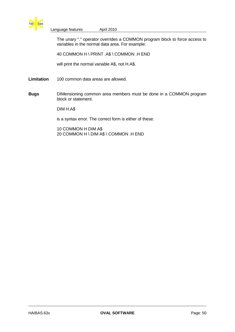

The unary "." operator overrides a COMMON program block to force access to variables in the normal data area. For example:

40 COMMON H \ PRINT .A\$ \ COMMON .H END

will print the normal variable A\$, not H.A\$.

**Limitation** 100 common data areas are allowed.

**Bugs** DIMensioning common area members must be done in a COMMON program block or statement.

DIM H.A\$

is a syntax error. The correct form is either of these:

10 COMMON H DIM A\$ 20 COMMON H \ DIM A\$ \ COMMON .H END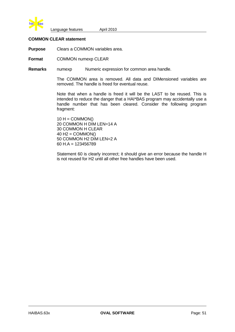

### **COMMON CLEAR statement**

**Purpose** Clears a COMMON variables area.

**Format** COMMON numexp CLEAR

**Remarks** numexp Numeric expression for common area handle.

The COMMON area is removed. All data and DIMensioned variables are removed. The handle is freed for eventual reuse.

Note that when a handle is freed it will be the LAST to be reused. This is intended to reduce the danger that a HAI\*BAS program may accidentally use a handle number that has been cleared. Consider the following program fragment:

 $10 H =$  COMMON() 20 COMMON H DIM LEN=14 A 30 COMMON H CLEAR  $40$  H<sub>2</sub> = COMMON() 50 COMMON H2 DIM LEN=2 A 60 H.A = 123456789

Statement 60 is clearly incorrect; it should give an error because the handle H is not reused for H2 until all other free handles have been used.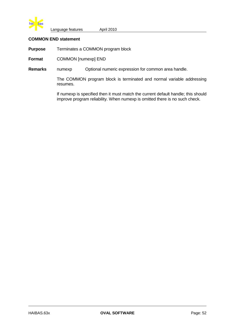

## **COMMON END statement**

**Purpose** Terminates a COMMON program block

**Format** COMMON [numexp] END

**Remarks** numexp Optional numeric expression for common area handle.

The COMMON program block is terminated and normal variable addressing resumes.

If numexp is specified then it must match the current default handle; this should improve program reliability. When numexp is omitted there is no such check.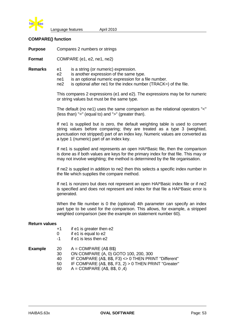

### **COMPARE() function**

**Purpose** Compares 2 numbers or strings

**Format** COMPARE (e1, e2, ne1, ne2)

- **Remarks** e1 is a string (or numeric) expression.
	- e2 is another expression of the same type.
	- ne1 is an optional numeric expression for a file number.
	- ne2 is optional after ne1 for the index number (TRACK=) of the file.

This compares 2 expressions (e1 and e2). The expressions may be for numeric or string values but must be the same type.

The default (no ne1) uses the same comparison as the relational operators "<" (less than) "=" (equal to) and ">" (greater than).

If ne1 is supplied but is zero, the default weighting table is used to convert string values before comparing; they are treated as a type 3 (weighted, punctuation not stripped) part of an index key. Numeric values are converted as a type 1 (numeric) part of an index key.

If ne1 is supplied and represents an open HAI\*Basic file, then the comparison is done as if both values are keys for the primary index for that file. This may or may not involve weighting; the method is determined by the file organisation.

If ne2 is supplied in addition to ne2 then this selects a specific index number in the file which supplies the compare method.

If ne1 is nonzero but does not represent an open HAI\*Basic index file or if ne2 is specified and does not represent and index for that file a HAI\*Basic error is generated.

When the file number is 0 the (optional) 4th parameter can specify an index part type to be used for the comparison. This allows, for example, a stripped weighted comparison (see the example on statement number 60).

### **Return values**

- +1 if e1 is greater then e2
- 0 if e1 is equal to e2
- -1 if e1 is less then e2

| <b>Example</b> | 20 I | $A = COMPARE (A$ B$)$                                 |
|----------------|------|-------------------------------------------------------|
|                | 30   | ON COMPARE (A, 0) GOTO 100, 200, 300                  |
|                | 40   | IF COMPARE (A\$, B\$, F3) <> 0 THEN PRINT "Different" |
|                | 50.  | IF COMPARE (A\$, B\$, F3, 2) > 0 THEN PRINT "Greater" |
|                | 60.  | $A = COMPARE (A$, B$, 0, 4)$                          |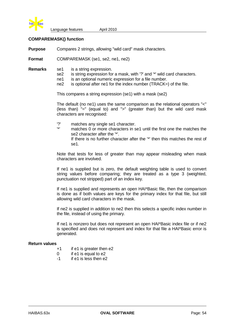

### **COMPAREMASK() function**

**Purpose** Compares 2 strings, allowing "wild card" mask characters.

**Format** COMPAREMASK (se1, se2, ne1, ne2)

- **Remarks** se1 is a string expression.
	- se2 is string expression for a mask, with '?' and '\*' wild card characters.
	- ne1 is an optional numeric expression for a file number.
	- ne2 is optional after ne1 for the index number (TRACK=) of the file.

This compares a string expression (se1) with a mask (se2)

The default (no ne1) uses the same comparison as the relational operators "<" (less than) "=" (equal to) and ">" (greater than) but the wild card mask characters are recognised:

- '?' matches any single se1 character.
	- matches 0 or more characters in se1 until the first one the matches the se2 character after the '\*'.

If there is no further character after the '\*' then this matches the rest of se1.

Note that tests for less of greater than may appear misleading when mask characters are involved.

If ne1 is supplied but is zero, the default weighting table is used to convert string values before comparing; they are treated as a type 3 (weighted, punctuation not stripped) part of an index key.

If ne1 is supplied and represents an open HAI\*Basic file, then the comparison is done as if both values are keys for the primary index for that file, but still allowing wild card characters in the mask.

If ne2 is supplied in addition to ne2 then this selects a specific index number in the file, instead of using the primary.

If ne1 is nonzero but does not represent an open HAI\*Basic index file or if ne2 is specified and does not represent and index for that file a HAI\*Basic error is generated.

### **Return values**

- +1 if e1 is greater then e2
- $0$  if e1 is equal to  $e2$
- -1 if e1 is less then e2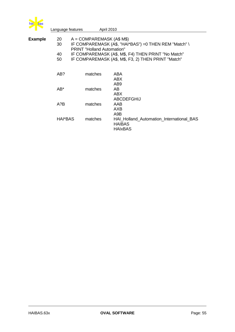

|                      |         | April 2010                                                                                                                                                           |
|----------------------|---------|----------------------------------------------------------------------------------------------------------------------------------------------------------------------|
| 20<br>30<br>40<br>50 |         | IF COMPAREMASK (A\$, "HAI*BAS") = 0 THEN REM "Match" \<br>IF COMPAREMASK (A\$, M\$, F4) THEN PRINT "No Match"<br>IF COMPAREMASK (A\$, M\$, F3, 2) THEN PRINT "Match" |
| AB?                  | matches | ABA<br>ABX.<br>AB <sub>9</sub>                                                                                                                                       |
| AB*                  | matches | AB.<br>ABX<br><b>ABCDEFGHIJ</b>                                                                                                                                      |
| A?B                  | matches | AAB<br><b>AXB</b><br>A9B                                                                                                                                             |
| HAI*BAS              | matches | HAI_Holland_Automation_International_BAS<br><b>HAIBAS</b><br><b>HAIxBAS</b>                                                                                          |
|                      |         | Language features<br>$A = COMPARENT (A$ M$)$<br><b>PRINT "Holland Automation"</b>                                                                                    |

J.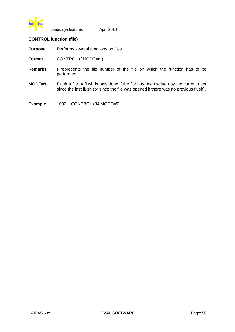

## **CONTROL function (file)**

**Purpose** Performs several functions on files.

**Format** CONTROL (f MODE=m)

- **Remarks** f represents the file number of the file on which the function has to be performed.
- **MODE=9** Flush a file. A flush is only done if the file has been written by the current user since the last flush (or since the file was opened if there was no previous flush).

**Example** 1000 CONTROL (34 MODE=9)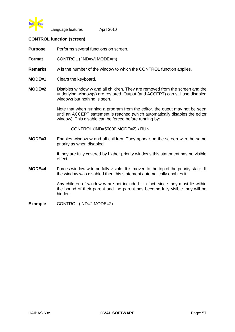

### **CONTROL function (screen)**

**Purpose** Performs several functions on screen.

**Format** CONTROL ([IND=w] MODE=m)

- **Remarks** w is the number of the window to which the CONTROL function applies.
- **MODE=1** Clears the keyboard.
- **MODE=2** Disables window w and all children. They are removed from the screen and the underlying window(s) are restored. Output (and ACCEPT) can still use disabled windows but nothing is seen.

Note that when running a program from the editor, the ouput may not be seen until an ACCEPT statement is reached (which automatically disables the editor window). This disable can be forced before running by:

CONTROL (IND=50000 MODE=2) \ RUN

**MODE=3** Enables window w and all children. They appear on the screen with the same priority as when disabled.

> If they are fully covered by higher priority windows this statement has no visible effect.

**MODE=4** Forces window w to be fully visible. It is moved to the top of the priority stack. If the window was disabled then this statement automatically enables it.

> Any children of window w are not included - in fact, since they must lie within the bound of their parent and the parent has become fully visible they will be hidden.

**Example** CONTROL (IND=2 MODE=2)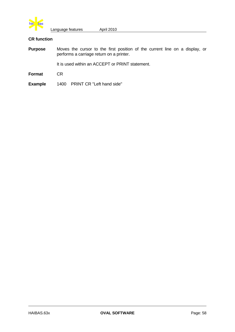

# **CR function**

| <b>Purpose</b> | Moves the cursor to the first position of the current line on a display, or<br>performs a carriage return on a printer. |  |  |  |  |  |
|----------------|-------------------------------------------------------------------------------------------------------------------------|--|--|--|--|--|
|                | It is used within an ACCEPT or PRINT statement.                                                                         |  |  |  |  |  |
| Format         | CR.                                                                                                                     |  |  |  |  |  |
| <b>Example</b> | 1400 PRINT CR "Left hand side"                                                                                          |  |  |  |  |  |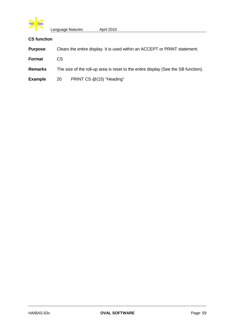

# **CS function**

| <b>Purpose</b> | Clears the entire display. It is used within an ACCEPT or PRINT statement.         |                          |  |  |  |  |
|----------------|------------------------------------------------------------------------------------|--------------------------|--|--|--|--|
| Format         | CS.                                                                                |                          |  |  |  |  |
| <b>Remarks</b> | The size of the roll-up area is reset to the entire display (See the SB function). |                          |  |  |  |  |
| <b>Example</b> | 20                                                                                 | PRINT CS @(15) "Heading" |  |  |  |  |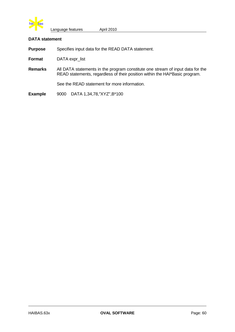

### **DATA statement**

**Purpose** Specifies input data for the READ DATA statement.

**Format** DATA expr\_list

**Remarks** All DATA statements in the program constitute one stream of input data for the READ statements, regardless of their position within the HAI\*Basic program.

See the READ statement for more information.

**Example** 9000 DATA 1,34,78,"XYZ",B\*100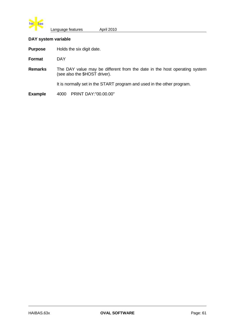

### **DAY system variable**

**Purpose** Holds the six digit date.

**Format** DAY

**Remarks** The DAY value may be different from the date in the host operating system (see also the \$HOST driver).

It is normally set in the START program and used in the other program.

**Example** 4000 PRINT DAY:"00.00.00"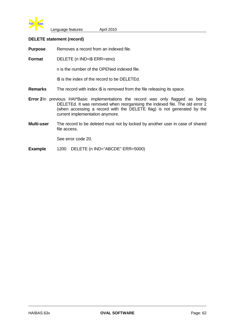

### **DELETE statement (record)**

**Purpose** Removes a record from an indexed file.

**Format** DELETE (n IND=i\$ ERR=stno)

n is the number of the OPENed indexed file.

i\$ is the index of the record to be DELETEd.

- **Remarks** The record with index i\$ is removed from the file releasing its space.
- **Error 2**In previous HAI\*Basic implementations the record was only flagged as being DELETEd. It was removed when reorganising the indexed file. The old error 2 (when accessing a record with the DELETE flag) is not generated by the current implementation anymore.
- **Multi-user** The record to be deleted must not by locked by another user in case of shared file access.

See error code 20.

**Example** 1200 DELETE (n IND="ABCDE" ERR=5000)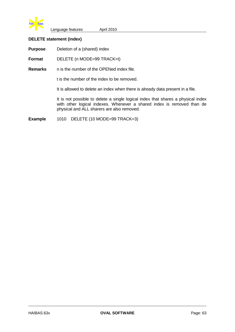

## **DELETE statement (index)**

**Purpose** Deletion of a (shared) index

**Format** DELETE (n MODE=99 TRACK=t)

**Remarks** n is the number of the OPENed index file.

t is the number of the index to be removed.

It is allowed to delete an index when there is already data present in a file.

It is not possible to delete a single logical index that shares a physical index with other logical indexes. Whenever a shared index is removed than de physical and ALL sharers are also removed.

**Example** 1010 DELETE (10 MODE=99 TRACK=3)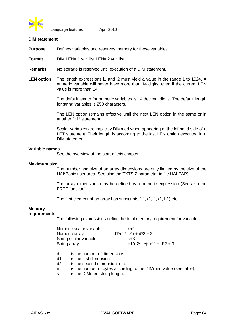

#### **DIM statement**

**Purpose** Defines variables and reserves memory for these variables.

**Format** DIM LEN=l1 var\_list LEN=l2 var\_list ...

- **Remarks** No storage is reserved until execution of a DIM statement.
- **LEN option** The length expressions l1 and l2 must yield a value in the range 1 to 1024. A numeric variable will never have more than 14 digits, even if the current LEN value is more than 14.

The default length for numeric variables is 14 decimal digits. The default length for string variables is 250 characters.

The LEN option remains effective until the next LEN option in the same or in another DIM statement.

Scalar variables are implicitly DIMmed when appearing at the lefthand side of a LET statement. Their length is according to the last LEN option executed in a DIM statement.

### **Variable names**

See the overview at the start of this chapter.

#### **Maximum size**

The number and size of an array dimensions are only limited by the size of the HAI\*Basic user area (See also the TXTSIZ parameter in file HAI.PAR).

The array dimensions may be defined by a numeric expression (See also the FREE function).

The first element of an array has subscripts (1), (1,1), (1,1,1) etc.

#### **Memory requirements**

The following expressions define the total memory requirement for variables:

| Numeric scalar variable | $n+1$                            |
|-------------------------|----------------------------------|
| Numeric array           | $d1*d2**n + d*2 + 2$             |
| String scalar variable  | $S+3$                            |
| String array            | $d1 * d2 *  * (s+1) + d * 2 + 3$ |

- d is the number of dimensions
- d1 is the first dimension
- d2 is the second dimension, etc.
- n is the number of bytes according to the DIMmed value (see table).
- s is the DIMmed string length.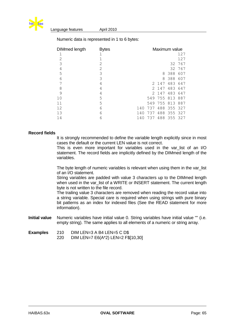

| <b>DIMmed length</b> | <b>Bytes</b> |     | Maximum value |       |         |         |
|----------------------|--------------|-----|---------------|-------|---------|---------|
| $\mathbf 1$          |              |     |               |       |         | 127     |
| $\overline{2}$       |              |     |               |       |         | 127     |
| 3                    | 2            |     |               |       | 32      | 767     |
| $\overline{4}$       | 2            |     |               |       | 32      | 767     |
| 5                    | 3            |     |               | 8     | 388     | 607     |
| 6                    | 3            |     |               | 8     | 388     | 607     |
| 7                    | 4            |     |               | 2 147 | 483     | 647     |
| 8                    | 4            |     | 2             | 147   | 483     | 647     |
| 9                    | 4            |     |               | 2 147 | 483     | 647     |
| 10                   | 5            |     | 549           | 755   | 813     | 887     |
| 11                   | 5            |     | 549           |       | 755 813 | 887     |
| 12                   | 6            | 140 | 737           | 488   | 355 327 |         |
| 13                   | 6            | 140 | 737           | 488   |         | 355 327 |
| 14                   | 6            | 140 | 737           | 488   |         | 355 327 |

Numeric data is represented in 1 to 6 bytes:

### **Record fields**

It is strongly recommended to define the variable length explicitly since in most cases the default or the current LEN value is not correct.

This is even more important for variables used in the var list of an I/O statement. The record fields are implicitly defined by the DIMmed length of the variables.

The byte length of numeric variables is relevant when using them in the var\_list of an I/O statement.

String variables are padded with value 3 characters up to the DIMmed length when used in the var list of a WRITE or INSERT statement. The current length byte is not written to the file record.

The trailing value 3 characters are removed when reading the record value into a string variable. Special care is required when using strings with pure binary bit patterns as an index for indexed files (See the READ statement for more information).

- **Initial value** Numeric variables have initial value 0. String variables have initial value "" (i.e. empty string). The same applies to all elements of a numeric or string array.
- **Examples** 210 DIM LEN=3 A B4 LEN=5 C D\$ 220 DIM LEN=7 E6(A\*2) LEN=2 F\$[10,30]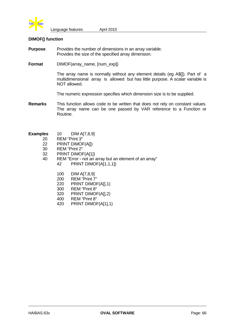

### **DIMOF() function**

- **Purpose** Provides the number of dimensions in an array variable. Provides the size of the specified array dimension.
- **Format** DIMOF(array name, [num\_exp])

The array name is normally without any element details (eg A\$[]). Part of a multidimensional array is allowed but has little purpose. A scalar variable is NOT allowed.

The numeric expression specifies which dimension size is to be supplied.

- **Remarks** This function allows code to be written that does not rely on constant values. The array name can be one passed by VAR reference to a Function or Routine.
- **Examples** 10 DIM A[7,8,9]
	- 20 REM "Print 3"
		- 22 PRINT DIMOF(A[])
		- 30 REM "Print 2"
		- 32 PRINT DIMOF(A[1])
		- 40 REM "Error not an array but an element of an array" 42 PRINT DIMOF(A[1,1,1])
			- 100 DIM A[7,8,9]<br>200 REM "Print 7
			- REM "Print 7"
			- 220 PRINT DIMOF(A[],1)
			- 300 REM "Print 8"
			- 320 PRINT DIMOF(A[],2)
			- 400 REM "Print 8"
			- 420 PRINT DIMOF(A[1],1)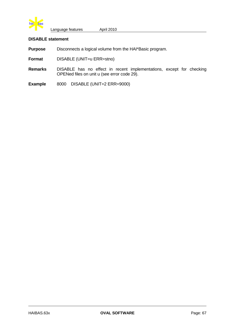

## **DISABLE statement**

**Purpose** Disconnects a logical volume from the HAI\*Basic program.

- **Format** DISABLE (UNIT=u ERR=stno)
- **Remarks** DISABLE has no effect in recent implementations, except for checking OPENed files on unit u (see error code 29).
- **Example** 8000 DISABLE (UNIT=2 ERR=9000)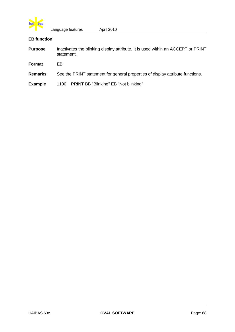

# **EB function**

| <b>Purpose</b> | Inactivates the blinking display attribute. It is used within an ACCEPT or PRINT<br>statement. |
|----------------|------------------------------------------------------------------------------------------------|
| Format         | EB                                                                                             |
| <b>Remarks</b> | See the PRINT statement for general properties of display attribute functions.                 |
| <b>Example</b> | 1100 PRINT BB "Blinking" EB "Not blinking"                                                     |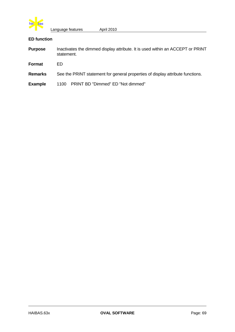

# **ED function**

| <b>Purpose</b> | Inactivates the dimmed display attribute. It is used within an ACCEPT or PRINT<br>statement. |
|----------------|----------------------------------------------------------------------------------------------|
| Format         | FD.                                                                                          |
| <b>Remarks</b> | See the PRINT statement for general properties of display attribute functions.               |
| <b>Example</b> | 1100 PRINT BD "Dimmed" ED "Not dimmed"                                                       |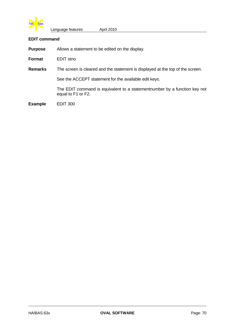

#### **EDIT command**

**Purpose** Allows a statement to be edited on the display.

**Format** EDIT stno

**Remarks** The screen is cleared and the statement is displayed at the top of the screen.

See the ACCEPT statement for the available edit keys.

The EDIT command is equivalent to a statementnumber by a function key not equal to F1 or F2.

**Example** EDIT 300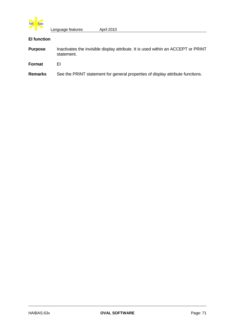

# **EI function**

| <b>Purpose</b> | Inactivates the invisible display attribute. It is used within an ACCEPT or PRINT<br>statement. |
|----------------|-------------------------------------------------------------------------------------------------|
| Format         | FΙ                                                                                              |
| <b>Remarks</b> | See the PRINT statement for general properties of display attribute functions.                  |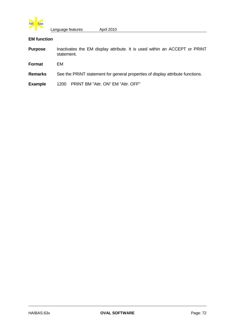

# **EM function**

| <b>Purpose</b> | Inactivates the EM display attribute. It is used within an ACCEPT or PRINT<br>statement. |
|----------------|------------------------------------------------------------------------------------------|
| <b>Format</b>  | EM                                                                                       |
| <b>Remarks</b> | See the PRINT statement for general properties of display attribute functions.           |
| <b>Example</b> | PRINT BM "Attr. ON" EM "Attr. OFF"<br>1200                                               |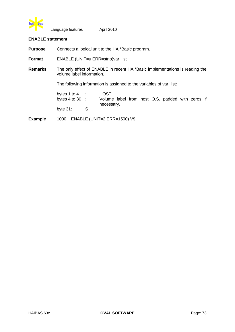

## **ENABLE statement**

**Purpose** Connects a logical unit to the HAI\*Basic program.

**Format** ENABLE (UNIT=u ERR=stno)var\_list

**Remarks** The only effect of ENABLE in recent HAI\*Basic implementations is reading the volume label information.

The following information is assigned to the variables of var\_list:

bytes 1 to 4 : HOST<br>bytes 4 to 30 : Volume Volume label from host O.S. padded with zeros if necessary. byte 31: S

**Example** 1000 ENABLE (UNIT=2 ERR=1500) V\$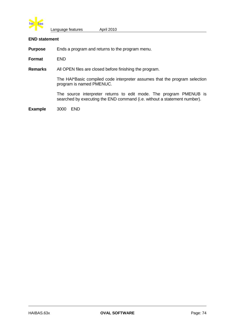

#### **END statement**

**Purpose** Ends a program and returns to the program menu.

**Format** END

**Remarks** All OPEN files are closed before finishing the program.

The HAI\*Basic compiled code interpreter assumes that the program selection program is named PMENUC.

The source interpreter returns to edit mode. The program PMENUB is searched by executing the END command (i.e. without a statement number).

**Example** 3000 END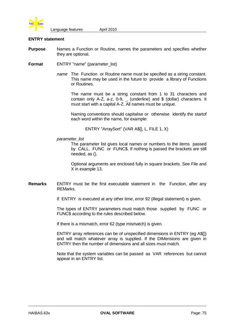

#### **ENTRY statement**

- **Purpose** Names a Function or Routine, names the parameters and specifies whether they are optional.
- **Format** ENTRY "name" (parameter list)
	- *name* The Function or Routine name must be specified as a string constant. This name may be used in the future to provide a library of Functions or Routines.

The name must be a string constant from 1 to 31 characters and contain only A-Z, a-z, 0-9,  $\overline{a}$  (underline) and \$ (dollar) characters. It must start with a capital A-Z. All names must be unique.

Naming conventions should capitalise or otherwise identify the startof each word within the name, for example:

ENTRY "ArraySort" (VAR A\$[], L, FILE 1, X)

*parameter\_list*

The parameter list gives local names or numbers to the items passed by CALL, FUNC or FUNC\$. If nothing is passed the brackets are still needed, as ().

Optional arguments are enclosed fully in square brackets. See File and X in example 13.

- **Remarks** ENTRY must be the first executable statement in the Function, after any REMarks.
	- If ENTRY is executed at any other time, error 92 (illegal statement) is given.

The types of ENTRY parameters must match those supplied by FUNC or FUNC\$ according to the rules described below.

If there is a mismatch, error 62 (type mismatch) is given.

ENTRY array references can be of unspecified dimensions in ENTRY (eg A\$[]) and will match whatever array is supplied. If the DIMensions are given in ENTRY then the number of dimensions and all sizes must match.

Note that the system variables can be passed as VAR references but cannot appear in an ENTRY list.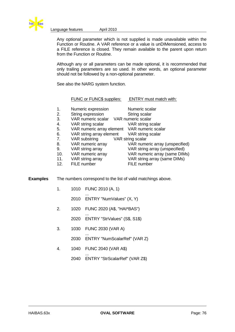

Any optional parameter which is not supplied is made unavailable within the Function or Routine. A VAR reference or a value is unDIMensioned, access to a FILE reference is closed. They remain available to the parent upon return from the Function or Routine.

Although any or all parameters can be made optional, it is recommended that only trailing parameters are so used. In other words, an optional parameter should not be followed by a non-optional parameter.

See also the NARG system function.

### FUNC or FUNC\$ supplies: ENTRY must match with:

| 1.  | Numeric expression                           | Numeric scalar                  |
|-----|----------------------------------------------|---------------------------------|
| 2.  | String expression                            | String scalar                   |
| 3.  | VAR numeric scalar VAR numeric scalar        |                                 |
| 4.  | VAR string scalar                            | VAR string scalar               |
| 5.  | VAR numeric array element VAR numeric scalar |                                 |
| 6.  | VAR string array element VAR string scalar   |                                 |
| 7.  | VAR substring                                | VAR string scalar               |
| 8.  | VAR numeric array                            | VAR numeric array (unspecified) |
| 9.  | VAR string array                             | VAR string array (unspecified)  |
| 10. | VAR numeric array                            | VAR numeric array (same DIMs)   |
| 11. | VAR string array                             | VAR string array (same DIMs)    |
| 12. | FILE number                                  | <b>FILE</b> number              |

**Examples** The numbers correspond to the list of valid matchings above.

- 1. 1010 FUNC 2010 (A, 1)
	- ... 2010 ENTRY "NumValues" (X, Y)
- 2. 1020 FUNC 2020 (A\$, "HAI\*BAS")
	- ... 2020 ENTRY "StrValues" (S\$, S1\$)
- 3. 1030 FUNC 2030 (VAR A) ...
	- 2030 ENTRY "NumScalarRef" (VAR Z)
- 4. 1040 FUNC 2040 (VAR A\$)
	- ... 2040 ENTRY "StrScalarRef" (VAR Z\$)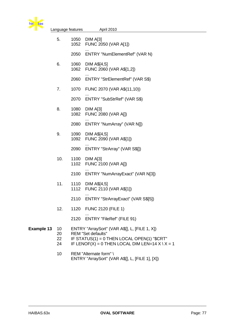

| 78                | Language features                 |              | April 2010                                                                                                                                                                             |
|-------------------|-----------------------------------|--------------|----------------------------------------------------------------------------------------------------------------------------------------------------------------------------------------|
|                   | 5.                                | 1050<br>1052 | DIM A[3]<br>FUNC 2050 (VAR A[1])                                                                                                                                                       |
|                   |                                   | 2050         | ENTRY "NumElementRef" (VAR N)                                                                                                                                                          |
|                   | 6.                                | 1060<br>1062 | DIM A\$[4,5]<br>FUNC 2060 (VAR A\$[1,2])                                                                                                                                               |
|                   |                                   | 2060         | ENTRY "StrElementRef" (VAR S\$)                                                                                                                                                        |
|                   | 7.                                | 1070         | FUNC 2070 (VAR A\$(11,10))                                                                                                                                                             |
|                   |                                   | 2070         | ENTRY "SubStrRef" (VAR S\$)                                                                                                                                                            |
|                   | 8.                                | 1080<br>1082 | DIM A[3]<br><b>FUNC 2080 (VAR A[])</b>                                                                                                                                                 |
|                   |                                   | 2080         | ENTRY "NumArray" (VAR N[])                                                                                                                                                             |
|                   | 9.                                | 1090<br>1092 | DIM A\$[4,5]<br>FUNC 2090 (VAR A\$[1])                                                                                                                                                 |
|                   |                                   | 2090         | ENTRY "StrArray" (VAR S\$[])                                                                                                                                                           |
|                   | 10.                               | 1100<br>1102 | DIM A[3]<br><b>FUNC 2100 (VAR A[])</b>                                                                                                                                                 |
|                   |                                   | 2100         | ENTRY "NumArrayExact" (VAR N[3])                                                                                                                                                       |
|                   | 11.                               | 1110<br>1112 | DIM A\$[4,5]<br>FUNC 2110 (VAR A\$[1])                                                                                                                                                 |
|                   |                                   | 2110         | ENTRY "StrArrayExact" (VAR S\$[5])                                                                                                                                                     |
|                   | 12.                               |              | 1120 FUNC 2120 (FILE 1)                                                                                                                                                                |
|                   |                                   | 2120         | <b>ENTRY "FileRef" (FILE 91)</b>                                                                                                                                                       |
| <b>Example 13</b> | 10 <sup>°</sup><br>20<br>22<br>24 |              | ENTRY "ArraySort" (VAR A\$[], L, [FILE 1, X])<br><b>REM "Set defaults"</b><br>IF STATUS(1) = 0 THEN LOCAL OPEN(1) "\$CRT"<br>IF LENOF(X) = 0 THEN LOCAL DIM LEN=14 $X \setminus X = 1$ |
|                   | 10                                |              | REM "Alternate form" \<br>ENTRY "ArraySort" (VAR A\$[], L, [FILE 1], [X])                                                                                                              |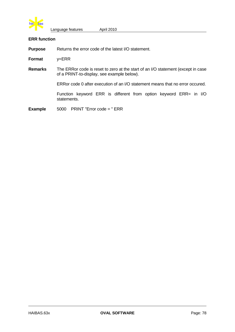

#### **ERR function**

**Purpose** Returns the error code of the latest I/O statement.

**Format** y=ERR

**Remarks** The ERRor code is reset to zero at the start of an I/O statement (except in case of a PRINT-to-display, see example below).

ERRor code 0 after execution of an I/O statement means that no error occured.

Function keyword ERR is different from option keyword ERR= in I/O statements.

**Example** 5000 PRINT "Error code = " ERR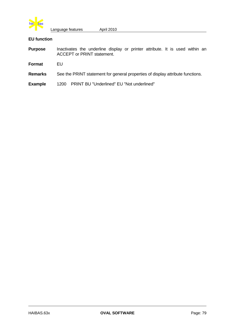

# **EU function**

| <b>Purpose</b> | Inactivates the underline display or printer attribute. It is used within an<br><b>ACCEPT or PRINT statement.</b> |
|----------------|-------------------------------------------------------------------------------------------------------------------|
| Format         | FU                                                                                                                |
| <b>Remarks</b> | See the PRINT statement for general properties of display attribute functions.                                    |

**Example** 1200 PRINT BU "Underlined" EU "Not underlined"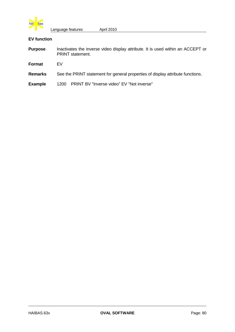

# **EV function**

| <b>Purpose</b> | Inactivates the inverse video display attribute. It is used within an ACCEPT or<br><b>PRINT</b> statement. |
|----------------|------------------------------------------------------------------------------------------------------------|
| Format         | FV                                                                                                         |
| <b>Remarks</b> | See the PRINT statement for general properties of display attribute functions.                             |
| <b>Example</b> | PRINT BV "Inverse video" EV "Not inverse"<br>1200                                                          |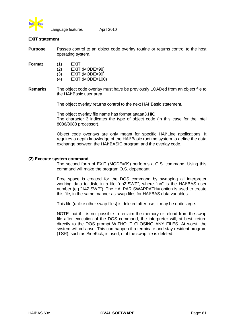

## **EXIT statement**

**Purpose** Passes control to an object code overlay routine or returns control to the host operating system.

**Format** (1) EXIT

- (2) EXIT (MODE=98)
- (3) EXIT (MODE=99)
- (4) EXIT (MODE=100)
- **Remarks** The object code overlay must have be previously LOADed from an object file to the HAI\*Basic user area.

The object overlay returns control to the next HAI\*Basic statement.

The object overlay file name has format:aaaaa3.HIO The character 3 indicates the type of object code (in this case for the Intel 8086/8088 processor).

Object code overlays are only meant for specific HAI\*Line applications. It requires a depth knowledge of the HAI\*Basic runtime system to define the data exchange between the HAI\*BASIC program and the overlay code.

#### **(2) Execute system command**

The second form of EXIT (MODE=99) performs a O.S. command. Using this command will make the program O.S. dependant!

Free space is created for the DOS command by swapping all interpreter working data to disk, in a file "nnZ.SWP", where "nn" is the HAI\*BAS user number (eg "14Z.SWP"). The HAI.PAR SWAPPATH= option is used to create this file, in the same manner as swap files for HAI\*BAS data variables.

This file (unlike other swap files) is deleted after use; it may be quite large.

NOTE that if it is not possible to reclaim the memory or reload from the swap file after execution of the DOS command, the interpreter will, at best, return directly to the DOS prompt WITHOUT CLOSING ANY FILES. At worst, the system will collapse. This can happen if a terminate and stay resident program (TSR), such as SideKick, is used, or if the swap file is deleted.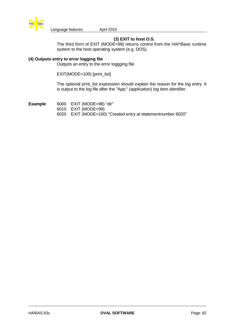

# **(3) EXIT to host O.S.**

The third form of EXIT (MODE=99) returns control from the HAI\*Basic runtime system to the host operating system (e.g. DOS).

### **(4) Outputs entry to error logging file**

Outputs an entry to the error loggging file.

EXIT(MODE=100) [print\_list]

The optional print\_list expression should explain the reason for the log entry. It is output to the log file after the "App:" (application) log item identifier.

**Example** 6000 EXIT (MODE=98) "dir" 6010 EXIT (MODE=99) 6020 EXIT (MODE=100) "Created entry at statementnumber 6020"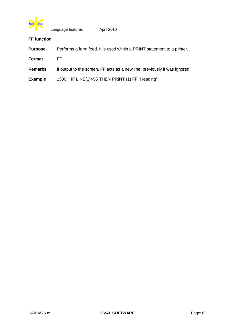

# **FF function**

| <b>Purpose</b> | Performs a form feed. It is used within a PRINT statement to a printer.    |  |
|----------------|----------------------------------------------------------------------------|--|
| Format         | FF.                                                                        |  |
| Remarks        | If output to the screen, FF acts as a new line; previously it was ignored. |  |
| <b>Example</b> | 1500 IF LINE(1)>55 THEN PRINT (1) FF "Heading"                             |  |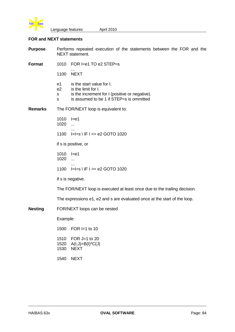

# **FOR and NEXT statements**

**Purpose** Performs repeated execution of the statements between the FOR and the NEXT statement.

**Format** 1010 FOR I=e1 TO e2 STEP=s

... 1100 NEXT

- e1 is the start value for I.
- e2 is the limit for I.
- s is the increment for I (positive or negative).
- s is assumed to be 1 if STEP=s is ommitted

**Remarks** The FOR/NEXT loop is equivalent to:

- 1010 I=e1 1020 ... ... 1100 I=I+s \ IF I <= e2 GOTO 1020 if s is positive, or 1010 I=e1 1020 ... ...
- 1100 I=I+s \ IF I >= e2 GOTO 1020

if s is negative.

The FOR/NEXT loop is executed at least once due to the trailing decision.

The expressions e1, e2 and s are evaluated once at the start of the loop.

**Nesting** FOR/NEXT loops can be nested

Example:

| 1500                 | FOR $I=1$ to 10                                     |
|----------------------|-----------------------------------------------------|
| 1510<br>1520<br>1530 | FOR J=1 to 20<br>$A(I,J)=B(I)^*C(J)$<br><b>NFXT</b> |
| 1540                 | <b>NEXT</b>                                         |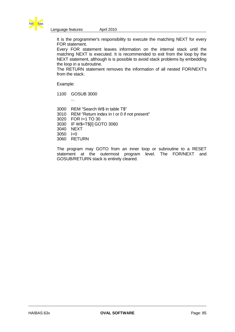

It is the programmer's responsibility to execute the matching NEXT for every FOR statement.

Every FOR statement leaves information on the internal stack until the matching NEXT is executed. It is recommended to exit from the loop by the NEXT statement, although is is possible to avoid stack problems by embedding the loop in a subroutine.

The RETURN statement removes the information of all nested FOR/NEXT's from the stack.

Example:

1100 GOSUB 3000

...

3000 REM "Search W\$ in table T\$" 3010 REM "Return index in I or 0 if not present" 3020 FOR I=1 TO 30 3030 IF W\$=T\$[I] GOTO 3060 3040 NEXT  $3050 = -10$ 3060 RETURN

The program may GOTO from an inner loop or subroutine to a RESET statement at the outermost program level. The FOR/NEXT and GOSUB/RETURN stack is entirely cleared.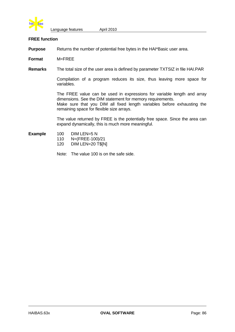

#### **FREE function**

**Purpose** Returns the number of potential free bytes in the HAI\*Basic user area.

**Format** M=FREE

**Remarks** The total size of the user area is defined by parameter TXTSIZ in file HAI.PAR

Compilation of a program reduces its size, thus leaving more space for variables.

The FREE value can be used in expressions for variable length and array dimensions. See the DIM statement for memory requirements. Make sure that you DIM all fixed length variables before exhausting the remaining space for flexible size arrays.

The value returned by FREE is the potentially free space. Since the area can expand dynamically, this is much more meaningful.

- Example 100 DIM LEN=5 N
	- 110 N=(FREE-100)/21
	- 120 DIM LEN=20 T\$[N]
	- Note: The value 100 is on the safe side.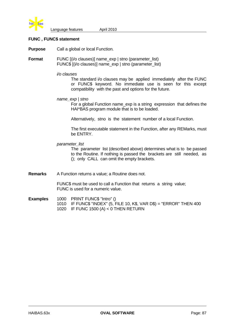

### **FUNC , FUNC\$ statement**

**Purpose** Call a global or local Function.

**Format** FUNC  $(i/o$  clauses)] name\_exp | stno (parameter\_list) FUNC\$ [(i/o clauses)] name\_exp | stno (parameter\_list)

*i/o clauses*

The standard i/o clauses may be applied immediately after the FUNC or FUNC\$ keyword. No immediate use is seen for this except compatibility with the past and options for the future.

*name\_exp | stno*

For a global Function name\_exp is a string expression that defines the HAI\*BAS program module that is to be loaded.

Alternatively, stno is the statement number of a local Function.

The first executable statement in the Function, after any REMarks, must be ENTRY.

*parameter\_list*

The parameter list (described above) determines what is to be passed to the Routine. If nothing is passed the brackets are still needed, as (); only CALL can omit the empty brackets.

**Remarks** A Function returns a value; a Routine does not.

FUNC\$ must be used to call a Function that returns a string value; FUNC is used for a numeric value.

- **Examples** 1000 PRINT FUNC\$ "Intro" ()
	- 1010 IF FUNC\$ "INDEX" (5, FILE 10, K\$, VAR D\$) = "ERROR" THEN 400 1020 IF FUNC 1500 (A) < 0 THEN RETURN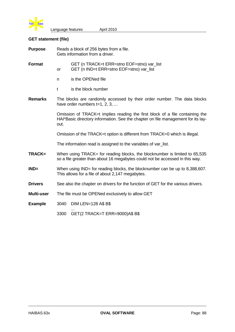

# **GET statement (file)**

| <b>Purpose</b> | Reads a block of 256 bytes from a file.<br>Gets information from a driver.                                                                                               |                                                                                        |  |  |
|----------------|--------------------------------------------------------------------------------------------------------------------------------------------------------------------------|----------------------------------------------------------------------------------------|--|--|
| <b>Format</b>  | <b>or</b>                                                                                                                                                                | GET (n TRACK=t ERR=stno EOF=stno) var_list<br>GET (n IND=t ERR=stno EOF=stno) var list |  |  |
|                | n                                                                                                                                                                        | is the OPENed file                                                                     |  |  |
|                | t                                                                                                                                                                        | is the block number                                                                    |  |  |
| <b>Remarks</b> | The blocks are randomly accessed by their order number. The data blocks<br>have order numbers $t=1, 2, 3, $                                                              |                                                                                        |  |  |
|                | Omission of TRACK=t implies reading the first block of a file containing the<br>HAI*Basic directory information. See the chapter on file management for its lay-<br>out. |                                                                                        |  |  |
|                | Omission of the TRACK=t option is different from TRACK=0 which is illegal.                                                                                               |                                                                                        |  |  |
|                | The information read is assigned to the variables of var_list.                                                                                                           |                                                                                        |  |  |
| TRACK=         | When using TRACK= for reading blocks, the blocknumber is limited to 65,535<br>so a file greater than about 16 megabytes could not be accessed in this way.               |                                                                                        |  |  |
| $IND =$        | When using IND= for reading blocks, the blocknumber can be up to 8,388,607.<br>This allows for a file of about 2,147 megabytes.                                          |                                                                                        |  |  |
| <b>Drivers</b> | See also the chapter on drivers for the function of GET for the various drivers.                                                                                         |                                                                                        |  |  |
| Multi-user     | The file must be OPENed exclusively to allow GET                                                                                                                         |                                                                                        |  |  |
| <b>Example</b> | 3040                                                                                                                                                                     | <b>DIM LEN=128 A\$ B\$</b>                                                             |  |  |
|                | 3300                                                                                                                                                                     | GET(2 TRACK=T ERR=9000)A\$ B\$                                                         |  |  |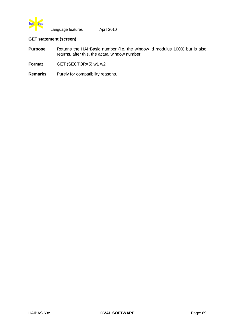

# **GET statement (screen)**

- **Purpose** Returns the HAI\*Basic number (i.e. the window id modulus 1000) but is also returns, after this, the actual window number.
- Format GET (SECTOR=5) w1 w2
- **Remarks** Purely for compatibility reasons.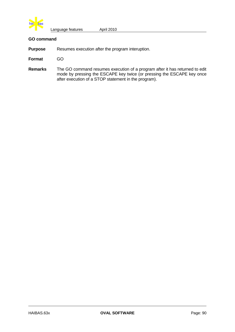

## **GO command**

**Purpose** Resumes execution after the program interuption.

- **Format** GO
- **Remarks** The GO command resumes execution of a program after it has returned to edit mode by pressing the ESCAPE key twice (or pressing the ESCAPE key once after execution of a STOP statement in the program).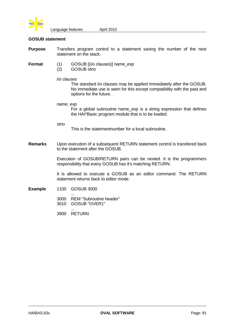

#### **GOSUB statement**

- **Purpose** Transfers program control to a statement saving the number of the next statement on the stack.
- 
- **Format** (1) GOSUB  $(i/o \text{ clauses})$  name\_exp
	- (2) GOSUB stno
	- *i/o clauses*

The standard i/o clauses may be applied immediately after the GOSUB. No immediate use is seen for this except compatibility with the past and options for the future.

*name\_exp*

For a global subroutine name\_exp is a string expression that defines the HAI\*Basic program module that is to be loaded.

*stno*

This is the statementnumber for a local subroutine.

**Remarks** Upon execution of a subsequent RETURN statement control is transfered back to the statement after the GOSUB.

> Execution of GOSUB/RETURN pairs can be nexted. It is the programmers responsibility that every GOSUB has it's matching RETURN.

> It is allowed to execute a GOSUB as an editor command. The RETURN statement returns back to editor mode.

- **Example** 1100 GOSUB 3000
	- ... 3000 REM "Subroutine header" 3010 GOSUB "OVER1"
	- ... 3900 RETURN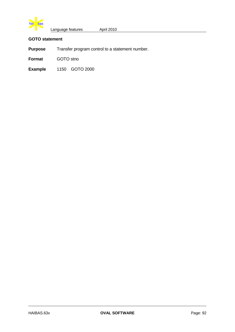

# **GOTO statement**

**Purpose** Transfer program control to a statement number.

**Format** GOTO stno

**Example** 1150 GOTO 2000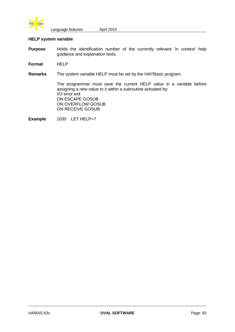

## **HELP system variable**

**Purpose** Holds the identification number of the currently relevant 'in context' help guidance and explanation texts.

**Format** HELP

**Remarks** The system variable HELP must be set by the HAI\*Basic program.

The programmer must save the current HELP value in a variable before assigning a new value to it within a subroutine activated by: I/O error exit ON ESCAPE GOSUB ON OVERFLOW GOSUB ON RECEIVE GOSUB

Example 1030 LET HELP=7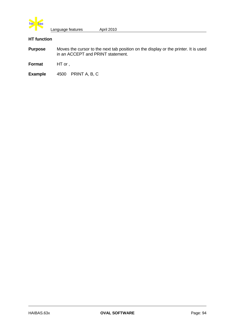

# **HT function**

- **Purpose** Moves the cursor to the next tab position on the display or the printer. It is used in an ACCEPT and PRINT statement.
- **Format** HT or ,
- **Example** 4500 PRINT A, B, C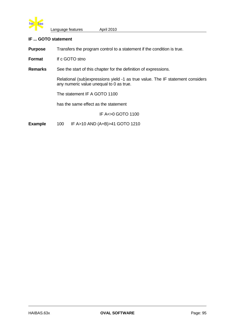

### **IF ... GOTO statement**

**Purpose** Transfers the program control to a statement if the condition is true.

**Format** If c GOTO stno

**Remarks** See the start of this chapter for the definition of expressions.

Relational (sub)expressions yield -1 as true value. The IF statement considers any numeric value unequal to 0 as true.

The statement IF A GOTO 1100

has the same effect as the statement

IF A<>0 GOTO 1100

**Example** 100 IF A>10 AND (A+B)>41 GOTO 1210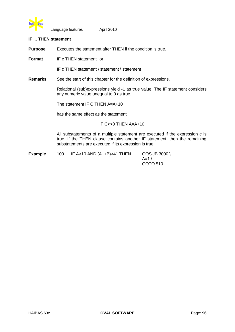

#### **IF ... THEN statement**

**Purpose** Executes the statement after THEN if the condition is true.

**Format** IF c THEN statement or

IF c THEN statement \ statement \ statement

**Remarks** See the start of this chapter for the definition of expressions.

Relational (sub)expressions yield -1 as true value. The IF statement considers any numeric value unequal to 0 as true.

The statement IF C THEN A=A+10

has the same effect as the statement

IF C<>0 THEN A=A+10

All substatements of a multiple statement are executed if the expression c is true. If the THEN clause contains another IF statement, then the remaining substatements are executed if its expression is true.

**Example** 100 IF A>10 AND (A\_+B)>41 THEN GOSUB 3000 \  $A=1$ GOTO 510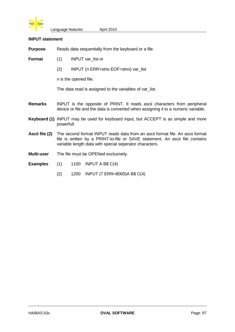

#### **INPUT statement**

**Purpose** Reads data sequentially from the keyboard or a file.

- **Format** (1) INPUT var list or
	- (2) INPUT (n ERR=stno EOF=stno) var\_list

n is the opened file.

The data read is assigned to the variables of var list.

- **Remarks** INPUT is the opposite of PRINT. It reads ascii characters from peripheral device or file and the data is converted when assigning it to a numeric variable.
- **Keyboard (1)** INPUT may be used for keyboard input, but ACCEPT is as simple and more powerfull.
- **Ascii file (2)** The second format INPUT reads data from an ascii format file. An ascii format file is written by a PRINT-to-file or SAVE statement. An ascii file contains variable length data with special seperator characters.
- **Multi-user** The file must be OPENed exclusively.
- **Examples** (1) 1100 INPUT A B\$ C(4)
	- (2) 1200 INPUT (7 ERR=8000)A B\$ C(4)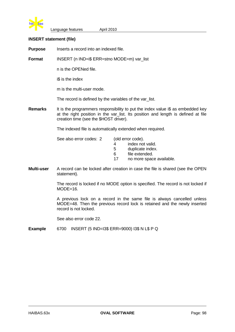

#### **INSERT statement (file)**

**Purpose** Inserts a record into an indexed file.

**Format** INSERT (n IND=i\$ ERR=stno MODE=m) var list

n is the OPENed file.

i\$ is the index

m is the multi-user mode.

The record is defined by the variables of the var\_list.

**Remarks** It is the programmers responsibility to put the index value i\$ as embedded key at the right position in the var\_list. Its position and length is defined at file creation time (see the \$HOST driver).

The indexed file is automatically extended when required.

| See also error codes: 2 | (old error code). |
|-------------------------|-------------------|
|                         |                   |

4 index not valid. 5 duplicate index. 6 file extended.

17 no more space available.

**Multi-user** A record can be locked after creation in case the file is shared (see the OPEN statement).

> The record is locked if no MODE option is specified. The record is not locked if  $MODE=16$ .

> A previous lock on a record in the same file is always cancelled unless MODE=48. Then the previous record lock is retained and the newly inserted record is not locked.

See also error code 22.

**Example** 6700 INSERT (5 IND=I3\$ ERR=9000) I3\$ N L\$ P Q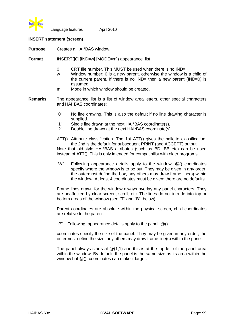

### **INSERT statement (screen)**

**Purpose** Creates a HAI\*BAS window.

**Format** INSERT([0] [IND=w] [MODE=m]) appearance list

- 0 CRT file number. This MUST be used when there is no IND=.
- w Window number; 0 is a new parent, otherwise the window is a child of the current parent. If there is no  $IND=$  then a new parent ( $IND=0$ ) is assumed.
- m Mode in which window should be created.
- **Remarks** The appearance\_list is a list of window area letters, other special characters and HAI\*BAS coordinates:
	- "0" No line drawing. This is also the default if no line drawing character is supplied.
	- "1" Single line drawn at the next HAI\*BAS coordinate(s).
	- "2" Double line drawn at the next HAI\*BAS coordinate(s).
	- ATT() Attribute classification. The 1st ATT() gives the pallette classification, the 2nd is the default for subsequent PRINT (and ACCEPT) output.

Note that old-style HAI\*BAS attributes (such as BD, BB etc) can be used instead of ATT(). This is only intended for compatibility with older programs.

"W" Following appearance details apply to the window. @() coordinates specify where the window is to be put. They may be given in any order, the outermost define the box, any others may draw frame line(s) within the window. At least 4 coordinates must be given; there are no defaults.

Frame lines drawn for the window always overlay any panel characters. They are unaffected by clear screen, scroll, etc. The lines do not intrude into top or bottom areas of the window (see "T" and "B", below).

Parent coordinates are absolute within the physical screen, child coordinates are relative to the parent.

"P" Following appearance details apply to the panel. @()

coordinates specify the size of the panel. They may be given in any order, the outermost define the size, any others may draw frame line(s) within the panel.

The panel always starts at  $@(1,1)$  and this is at the top left of the panel area within the window. By default, the panel is the same size as its area within the window but  $@()$  coordinates can make it larger.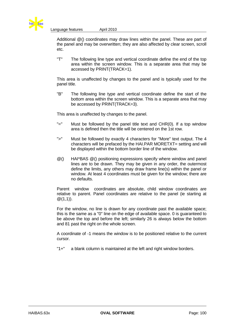

Additional @() coordinates may draw lines within the panel. These are part of the panel and may be overwritten; they are also affected by clear screen, scroll etc.

"T" The following line type and vertical coordinate define the end of the top area within the screen window. This is a separate area that may be accessed by PRINT(TRACK=1).

This area is unaffected by changes to the panel and is typically used for the panel title.

"B" The following line type and vertical coordinate define the start of the bottom area within the screen window. This is a separate area that may be accessed by PRINT(TRACK=3).

This area is unaffected by changes to the panel.

- "=" Must be followed by the panel title text and CHR(0). If a top window area is defined then the title will be centered on the 1st row.
- ">" Must be followed by exactly 4 characters for "More" text output. The 4 characters will be prefaced by the HAI.PAR MORETXT= setting and will be displayed within the bottom border line of the window.
- @() HAI\*BAS @() positioning expressions specify where window and panel lines are to be drawn. They may be given in any order, the outermost define the limits, any others may draw frame line(s) within the panel or window. At least 4 coordinates must be given for the window; there are no defaults.

Parent window coordinates are absolute, child window coordinates are relative to parent. Panel coordinates are relative to the panel (ie starting at  $@(1,1)$ ).

For the window, no line is drawn for any coordinate past the available space; this is the same as a "0" line on the edge of available space. 0 is guaranteed to be above the top and before the left; similarly 26 is always below the bottom and 81 past the right on the whole screen.

A coordinate of -1 means the window is to be positioned relative to the current cursor.

"1+" a blank column is maintained at the left and right window borders.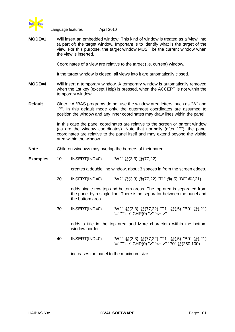

**MODE=1** Will insert an embedded window. This kind of window is treated as a 'view' into (a part of) the target window. Important is to identify what is the target of the view. For this purpose, the target window MUST be the current window when the view is inserted.

Coordinates of a view are relative to the target (i.e. current) window.

It the target window is closed, all views into it are automatically closed.

- **MODE=4** Will insert a temporary window. A temporary window is automatically removed when the 1st key (except Help) is pressed, when the ACCEPT is not within the temporary window.
- **Default** Older HAI\*BAS programs do not use the window area letters, such as "W" and "P". In this default mode only, the outermost coordinates are assumed to position the window and any inner coordinates may draw lines within the panel.

In this case the panel coordinates are relative to the screen or parent window (as are the window coordinates). Note that normally (after "P"), the panel coordinates are relative to the panel itself and may extend beyond the visible area within the window.

### **Note** Children windows may overlap the borders of their parent.

**Examples** 10 INSERT(IND=0) "W2" @(3,3) @(77,22)

creates a double line window, about 3 spaces in from the screen edges.

20 INSERT(IND=0) "W2" @(3,3) @(77,22) "T1" @(,5) "B0" @(,21)

adds single row top and bottom areas. The top area is separated from the panel by a single line. There is no separator between the panel and the bottom area.

30 INSERT(IND=0) "W2" @(3,3) @(77,22) "T1" @(,5) "B0" @(,21) "=" "Title" CHR(0) ">" "<+->"

adds a title in the top area and More characters within the bottom window border.

40 INSERT(IND=0) "W2" @(3,3) @(77,22) "T1" @(,5) "B0" @(,21) "=" "Title" CHR(0) ">" "<+->" "P0" @(250,100)

increases the panel to the maximum size.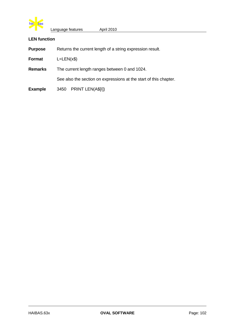

## **LEN function**

**Purpose** Returns the current length of a string expression result.

**Format** L=LEN(x\$)

**Remarks** The current length ranges between 0 and 1024.

See also the section on expressions at the start of this chapter.

**Example** 3450 PRINT LEN(A\$[I])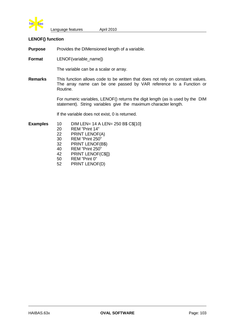

#### **LENOF() function**

**Purpose** Provides the DIMensioned length of a variable.

**Format** LENOF(variable\_name])

The variable can be a scalar or array.

**Remarks** This function allows code to be written that does not rely on constant values. The array name can be one passed by VAR reference to a Function or Routine.

> For numeric variables, LENOF() returns the digit length (as is used by the DIM statement). String variables give the maximum character length.

If the variable does not exist, 0 is returned.

**Examples** 10 DIM LEN= 14 A LEN= 250 B\$ C\$[10]

- 20 REM "Print 14"
- 22 PRINT LENOF(A)
- 30 REM "Print 250"
- 32 PRINT LENOF(B\$)
- 40 REM "Print 250"
- 42 PRINT LENOF(C\$[])
- 50 REM "Print 0"
- 52 PRINT LENOF(D)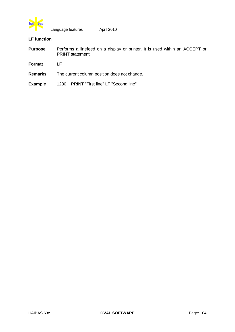

# **LF function**

| <b>Purpose</b> | Performs a linefeed on a display or printer. It is used within an ACCEPT or<br><b>PRINT</b> statement. |
|----------------|--------------------------------------------------------------------------------------------------------|
| Format         | ΙF                                                                                                     |
| <b>Remarks</b> | The current column position does not change.                                                           |
| <b>Example</b> | 1230 PRINT "First line" LF "Second line"                                                               |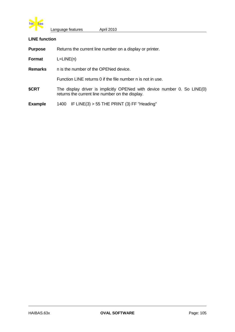

### **LINE function**

**Purpose** Returns the current line number on a display or printer.

**Format** L=LINE(n)

**Remarks** n is the number of the OPENed device.

Function LINE returns 0 if the file number n is not in use.

**\$CRT** The display driver is implicitly OPENed with device number 0. So LINE(0) returns the current line number on the display.

**Example** 1400 IF LINE(3) > 55 THE PRINT (3) FF "Heading"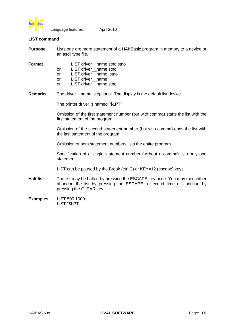

#### **LIST command**

| <b>Purpose</b> | Lists one ore more statement of a HAI*Basic program in memory to a device or |
|----------------|------------------------------------------------------------------------------|
|                | an ascii type file.                                                          |

| Format |     | LIST driver __ name stno, stno |
|--------|-----|--------------------------------|
|        | or  | LIST driver__name stno,        |
|        | or  | LIST driver__name, stno        |
|        | or  | LIST driver name               |
|        | or. | LIST driver name stno          |
|        |     |                                |

**Remarks** The driver\_name is optional. The display is the default list device.

The printer driver is named "\$LPT"

Omission of the first statement number (but with comma) starts the list with the first statement of the program.

Omission of the second statement number (but with comma) ends the list with the last statement of the program.

Omission of both statement numbers lists the entire program.

Specification of a single statement number (without a comma) lists only one statement.

LIST can be paused by the Break (ctrl C) or KEY=12 (escape) keys.

- **Halt list** The list may be halted by pressing the ESCAPE key once. You may then either abandon the list by pressing the ESCAPE a second time or continue by pressing the CLEAR key.
- **Examples** LIST 500,1000 LIST "\$LPT"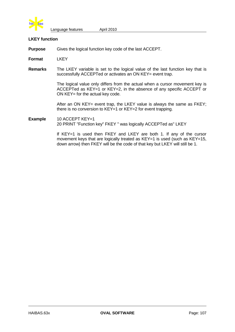

#### **LKEY function**

**Purpose** Gives the logical function key code of the last ACCEPT.

**Format** LKEY

**Remarks** The LKEY variable is set to the logical value of the last function key that is successfully ACCEPTed or activates an ON KEY= event trap.

> The logical value only differs from the actual when a cursor movement key is ACCEPTed as KEY=1 or KEY=2, in the absence of any specific ACCEPT or ON KEY= for the actual key code.

> After an ON KEY= event trap, the LKEY value is always the same as FKEY; there is no conversion to KEY=1 or KEY=2 for event trapping.

# Example 10 ACCEPT KEY=1 20 PRINT "Function key" FKEY " was logically ACCEPTed as" LKEY

If KEY=1 is used then FKEY and LKEY are both 1. If any of the cursor movement keys that are logically treated as KEY=1 is used (such as KEY=15, down arrow) then FKEY will be the code of that key but LKEY will still be 1.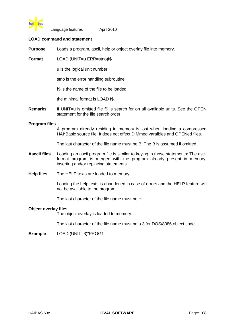

#### **LOAD command and statement**

**Purpose** Loads a program, ascii, help or object overlay file into memory.

**Format** LOAD (UNIT=u ERR=stno)f\$

u is the logical unit number.

stno is the error handling subroutine.

f\$ is the name of the file to be loaded.

the minimal format is LOAD f\$.

**Remarks** If UNIT=u is omitted file f\$ is search for on all available units. See the OPEN statement for the file search order.

#### **Program files**

A program already residing in memory is lost when loading a compressed HAI\*Basic source file. It does not effect DIMmed varaibles and OPENed files.

The last character of the file name must be B. The B is assumed if omitted.

- **Asccii files** Loading an ascii program file is similar to keying in those statements: The ascii format program is merged with the program already present in memory, inserting and/or replacing statements.
- **Help files** The HELP texts are loaded to memory.

Loading the help texts is abandoned in case of errors and the HELP feature will not be available to the program.

The last character of the file name must be H.

#### **Object overlay files**

The object overlay is loaded to memory.

The last character of the file name must be a 3 for DOS/8086 object code.

**Example** LOAD (UNIT=3)"PROG1"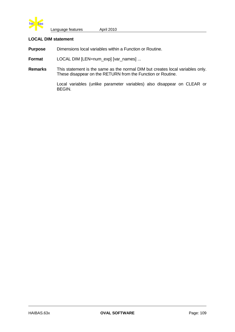

# **LOCAL DIM statement**

**Purpose** Dimensions local variables within a Function or Routine.

**Format** LOCAL DIM [LEN=num\_exp] [var\_names] ...

**Remarks** This statement is the same as the normal DIM but creates local variables only. These disappear on the RETURN from the Function or Routine.

> Local variables (unlike parameter variables) also disappear on CLEAR or BEGIN.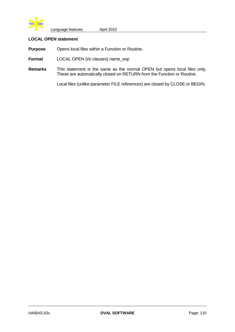

# **LOCAL OPEN statement**

**Purpose** Opens local files within a Function or Routine.

**Format** LOCAL OPEN (i/o clauses) name\_exp

**Remarks** This statement is the same as the normal OPEN but opens local files only. These are automatically closed on RETURN from the Function or Routine.

Local files (unlike parameter FILE references) are closed by CLOSE or BEGIN.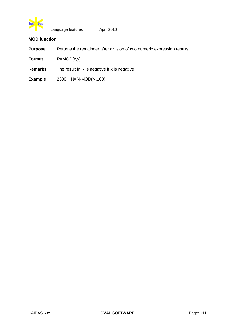

# **MOD function**

- **Purpose** Returns the remainder after division of two numeric expression results.
- **Format** R=MOD(x,y)
- **Remarks** The result in R is negative if x is negative
- **Example** 2300 N=N-MOD(N,100)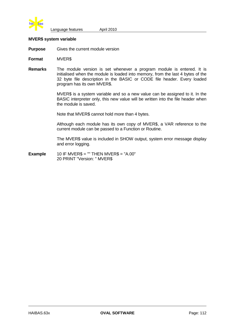

#### **MVER\$ system variable**

**Purpose** Gives the current module version

**Format** MVER\$

**Remarks** The module version is set whenever a program module is entered. It is initialised when the module is loaded into memory, from the last 4 bytes of the 32 byte file description in the BASIC or CODE file header. Every loaded program has its own MVER\$.

> MVER\$ is a system variable and so a new value can be assigned to it. In the BASIC interpreter only, this new value will be written into the file header when the module is saved.

Note that MVER\$ cannot hold more than 4 bytes.

Although each module has its own copy of MVER\$, a VAR reference to the current module can be passed to a Function or Routine.

The MVER\$ value is included in SHOW output, system error message display and error logging.

**Example**  $10$  IF MVER\$ = "" THEN MVER\$ = "A.00" 20 PRINT "Version: " MVER\$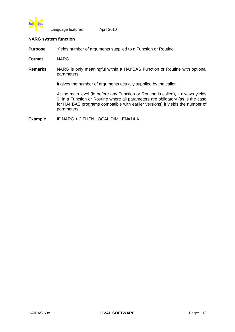

# **NARG system function**

**Purpose** Yields number of arguments supplied to a Function or Routine.

**Format** NARG

**Remarks** NARG is only meaningful within a HAI\*BAS Function or Routine with optional parameters.

It gives the number of arguments actually supplied by the caller.

At the main level (ie before any Function or Routine is called), it always yields 0. In a Function or Routine where all parameters are obligatory (as is the case for HAI\*BAS programs compatible with earlier versions) it yields the number of parameters.

**Example** IF NARG < 2 THEN LOCAL DIM LEN=14 A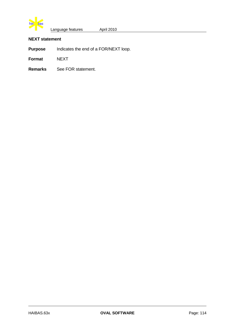

# **NEXT statement**

**Purpose** Indicates the end of a FOR/NEXT loop.

**Format** NEXT

**Remarks** See FOR statement.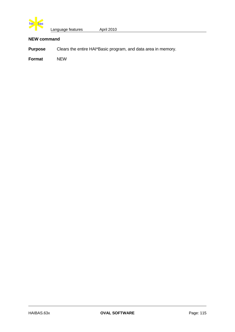

# **NEW command**

**Purpose** Clears the entire HAI\*Basic program, and data area in memory.

**Format** NEW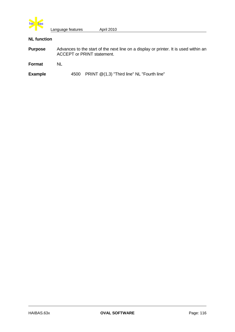

# **NL function**

| <b>Purpose</b> | Advances to the start of the next line on a display or printer. It is used within an<br><b>ACCEPT or PRINT statement.</b> |  |  |
|----------------|---------------------------------------------------------------------------------------------------------------------------|--|--|
| Format         | NL                                                                                                                        |  |  |
| <b>Example</b> | 4500 PRINT @(1,3) "Third line" NL "Fourth line"                                                                           |  |  |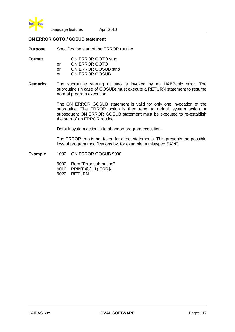

# **ON ERROR GOTO / GOSUB statement**

**Purpose** Specifies the start of the ERROR routine.

- **Format** ON ERROR GOTO stno
	- or ON ERROR GOTO
	- or ON ERROR GOSUB stno
	- or ON ERROR GOSUB
- **Remarks** The subroutine starting at stno is invoked by an HAI\*Basic error. The subroutine (in case of GOSUB) must execute a RETURN statement to resume normal program execution.

The ON ERROR GOSUB statement is valid for only one invocation of the subroutine. The ERROR action is then reset to default system action. A subsequent ON ERROR GOSUB statement must be executed to re-establish the start of an ERROR routine.

Default system action is to abandon program execution.

The ERROR trap is not taken for direct statements. This prevents the possible loss of program modifications by, for example, a mistyped SAVE.

- **Example** 1000 ON ERROR GOSUB 9000
	- 9000 Rem "Error subroutine" 9010 PRINT @(1,1) ERR\$
	- 9020 RETURN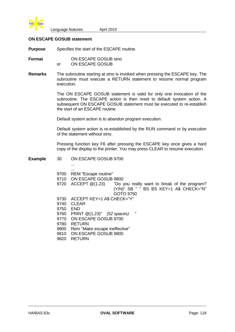

# **ON ESCAPE GOSUB statement**

**Purpose** Specifies the start of the ESCAPE routine.

**Format ON ESCAPE GOSUB stno** or ON ESCAPE GOSUB

**Remarks** The subroutine starting at stno is invoked when pressing the ESCAPE key. The subroutine must execute a RETURN statement to resume normal program execution.

> The ON ESCAPE GOSUB statement is valid for only one invocation of the subroutine. The ESCAPE action is then reset to default system action. A subsequent ON ESCAPE GOSUB statement must be executed to re-establish the start of an ESCAPE routine.

Default system action is to abandon program execution.

Default system action is re-established by the RUN command or by execution of the statement without stno.

Pressing function key F6 after pressing the ESCAPE key once gives a hard copy of the display to the printer. You may press CLEAR to resume execution.

**Example** 30 ON ESCAPE GOSUB 9700

...

| 9700<br>9710<br>9720 | <br>REM "Escape routine"<br>ON ESCAPE GOSUB 9800<br>$ACCEPT$ $@(1,23)$<br>"Do you really want to break of the program?<br>(Y/N)" SB " " BS BS KEY=1 A\$ CHECK="N" |
|----------------------|-------------------------------------------------------------------------------------------------------------------------------------------------------------------|
|                      | GOTO 9750                                                                                                                                                         |
| 9730                 | ACCEPT KEY=1 A\$ CHECK="Y"                                                                                                                                        |
| 9740                 | <b>CLEAR</b>                                                                                                                                                      |
| 9750                 | <b>END</b>                                                                                                                                                        |
| 9760                 | ш<br>PRINT $@(1,23)"$ (52 spaces)                                                                                                                                 |
| 9770                 | ON ESCAPE GOSUB 9700                                                                                                                                              |
| 9780                 | <b>RETURN</b>                                                                                                                                                     |
| 9800                 | Rem "Make escape ineffective"                                                                                                                                     |
| 9810                 | ON ESCAPE GOSUB 9800                                                                                                                                              |
| 9820                 | <b>RETURN</b>                                                                                                                                                     |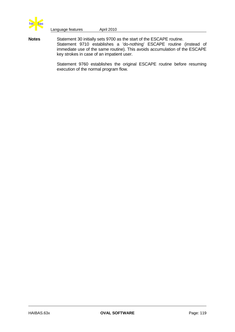

**Notes** Statement 30 initially sets 9700 as the start of the ESCAPE routine. Statement 9710 establishes a 'do-nothing' ESCAPE routine (instead of immediate use of the same routine). This avoids accumulation of the ESCAPE key strokes in case of an impatient user.

> Statement 9760 establishes the original ESCAPE routine before resuming execution of the normal program flow.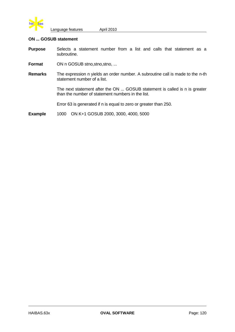

# **ON ... GOSUB statement**

- **Purpose** Selects a statement number from a list and calls that statement as a subroutine.
- **Format** ON n GOSUB stno, stno, stno, ...
- **Remarks** The expression n yields an order number. A subroutine call is made to the n-th statement number of a list.

The next statement after the ON ... GOSUB statement is called is n is greater than the number of statement numbers in the list.

Error 63 is generated if n is equal to zero or greater than 250.

**Example** 1000 ON K+1 GOSUB 2000, 3000, 4000, 5000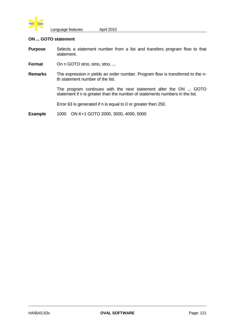

# **ON ... GOTO statement**

- **Purpose** Selects a statement number from a list and transfers program flow to that statement.
- **Format** On n GOTO stno, stno, stno, ...
- **Remarks** The expression n yields an order number. Program flow is transferred to the nth statement number of the list.

The program continues with the next statement after the ON ... GOTO statement if n is greater than the number of statements numbers in the list.

Error 63 is generated if n is equal to 0 or greater then 250.

**Example** 1000 ON K+1 GOTO 2000, 3000, 4000, 5000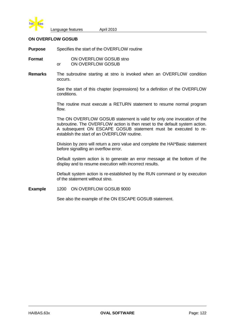

# **ON OVERFLOW GOSUB**

**Purpose** Specifies the start of the OVERFLOW routine

**Format** ON OVERFLOW GOSUB stno or ON OVERFLOW GOSUB

**Remarks** The subroutine starting at stno is invoked when an OVERFLOW condition occurs.

> See the start of this chapter (expressions) for a definition of the OVERFLOW conditions.

> The routine must execute a RETURN statement to resume normal program flow.

> The ON OVERFLOW GOSUB statement is valid for only one invocation of the subroutine. The OVERFLOW action is then reset to the default system action. A subsequent ON ESCAPE GOSUB statement must be executed to reestablish the start of an OVERFLOW routine.

> Division by zero will return a zero value and complete the HAI\*Basic statement before signalling an overflow error.

> Default system action is to generate an error message at the bottom of the display and to resume execution with incorrect results.

> Default system action is re-established by the RUN command or by execution of the statement without stno.

**Example** 1200 ON OVERFLOW GOSUB 9000

See also the example of the ON ESCAPE GOSUB statement.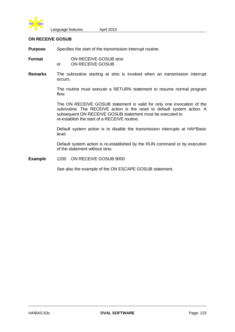

# **ON RECEIVE GOSUB**

**Purpose** Specifies the start of the transmission interrupt routine.

**Format** ON RECEIVE GOSUB stno or ON RECEIVE GOSUB

**Remarks** The subroutine starting at stno is invoked when an transmission interrupt occurs.

> The routine must execute a RETURN statement to resume normal program flow.

> The ON RECEIVE GOSUB statement is valid for only one invocation of the subroutine. The RECEIVE action is the reset to default system action. A subsequent ON RECEIVE GOSUB statement must be executed to re-establish the start of a RECEIVE routine.

> Default system action is to disable the transmission interrupts at HAI\*Basic level.

> Default system action is re-established by the RUN command or by execution of the statement without stno.

**Example** 1200 ON RECEIVE GOSUB 9000

See also the example of the ON ESCAPE GOSUB statement.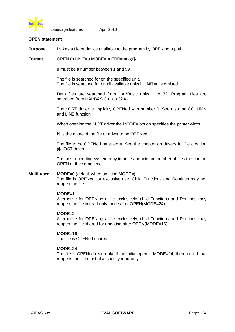

#### **OPEN statement**

**Purpose** Makes a file or device available to the program by OPENing a path.

**Format** OPEN (n UNIT=u MODE=m ERR=stno)f\$

u must be a number between 1 and 99.

The file is searched for on the specified unit. The file is searched for on all available units if UNIT=u is omitted.

Data files are searched from HAI\*Basic units 1 to 32. Program files are searched from HAI\*BASIC units 32 to 1.

The \$CRT driver is implicitly OPENed with number 0. See also the COLUMN and LINE function.

When opening the \$LPT driver the MODE= option specifies the printer width.

f\$ is the name of the file or driver to be OPENed.

The file to be OPENed must exist. See the chapter on drivers for file creation (\$HOST driver).

The host operating system may impose a maximum number of files the can be OPEN at the same time.

#### **Multi-user MODE=0** (default when omitting MODE=) The file is OPENed for exclusive use. Child Functions and Routines may not reopen the file.

#### **MODE=1**

Alternative for OPENing a file exclusively, child Functions and Routines may reopen the file in read-only mode after OPEN(MODE=24).

#### **MODE=2**

Alternative for OPENing a file exclusively, child Functions and Routines may reopen the file shared for updating after OPEN(MODE=16).

#### **MODE=16**

The file is OPENed shared.

# **MODE=24**

The file is OPENed read-only. If the initial open is MODE=24, then a child that reopens the file must also specify read-only.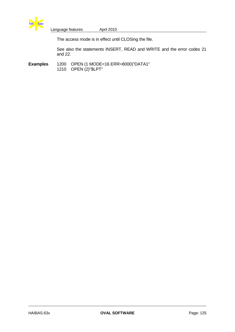

The access mode is in effect until CLOSing the file.

See also the statements INSERT, READ and WRITE and the error codes 21 and 22.

**Examples** 1200 OPEN (1 MODE=16 ERR=8000)"DATA1" 1210 OPEN (2)"\$LPT"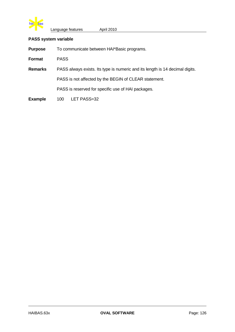

# **PASS system variable**

| <b>Purpose</b> | To communicate between HAI*Basic programs.                                   |  |  |
|----------------|------------------------------------------------------------------------------|--|--|
| Format         | <b>PASS</b>                                                                  |  |  |
| <b>Remarks</b> | PASS always exists. Its type is numeric and its length is 14 decimal digits. |  |  |
|                | PASS is not affected by the BEGIN of CLEAR statement.                        |  |  |
|                | PASS is reserved for specific use of HAI packages.                           |  |  |
| <b>Example</b> | LET PASS=32<br>100                                                           |  |  |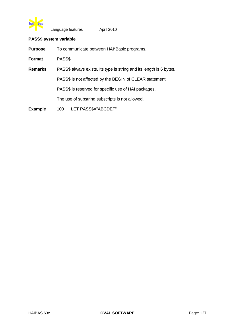

# **PASS\$ system variable**

| <b>Purpose</b> | To communicate between HAI*Basic programs.                          |  |  |
|----------------|---------------------------------------------------------------------|--|--|
| Format         | PASS\$                                                              |  |  |
| <b>Remarks</b> | PASS\$ always exists. Its type is string and its length is 6 bytes. |  |  |
|                | PASS\$ is not affected by the BEGIN of CLEAR statement.             |  |  |
|                | PASS\$ is reserved for specific use of HAI packages.                |  |  |
|                | The use of substring subscripts is not allowed.                     |  |  |
| <b>Example</b> | LET PASS\$="ABCDEF"<br>100                                          |  |  |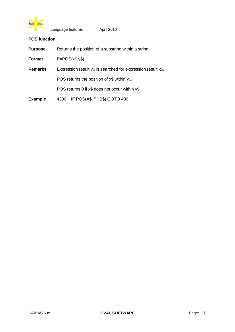

# **POS function**

| <b>Purpose</b> | Returns the position of a substring within a string.         |  |
|----------------|--------------------------------------------------------------|--|
| <b>Format</b>  | $P = POS(x\$ {S},y\                                          |  |
| <b>Remarks</b> | Expression result y\$ is searched for expression result x\$. |  |
|                | POS returns the position of x\$ within y\$.                  |  |
|                | POS returns 0 if x\$ does not occur within y\$.              |  |
| <b>Example</b> | IF POS(A\$+" ",B\$) GOTO 400<br>4330                         |  |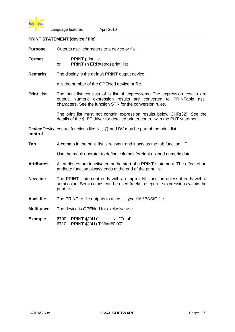

# **PRINT STATEMENT (device / file)**

**Purpose** Outputs ascii characters to a device or file.

| Format |    | <b>PRINT</b> print_list       |
|--------|----|-------------------------------|
|        | or | PRINT (n ERR=stno) print_list |

**Remarks** The display is the default PRINT output device.

n is the number of the OPENed device or file.

**Print list** The print list consists of a list of expressions. The expression results are output. Numeric expression results are converted to PRINTable ascii characters. See the function STR for the conversion rules.

> The print\_list must not contain expression results below CHR(32). See the details of the \$LPT driver for detailed printer control with the PUT statement.

**Device** Device control functions like NL, @ and BV may be part of the print list. **control**

| Tab               | A comma in the print_list is relevant and it acts as the tab function HT.                                                                                                   |  |  |
|-------------------|-----------------------------------------------------------------------------------------------------------------------------------------------------------------------------|--|--|
|                   | Use the mask operator to define columns for right aligned numeric data.                                                                                                     |  |  |
| <b>Attributes</b> | All attributes are inactivated at the start of a PRINT statement. The effect of an<br>attribute function always ends at the end of the print_list.                          |  |  |
| <b>New line</b>   | The PRINT statement ends with an implicit NL function unless it ends with a<br>semi-colon. Semi-colons can be used freely to seperate expressions within the<br>print list. |  |  |
| Ascii file        | The PRINT-to-file outputs to an ascii type HAI*BASIC file.                                                                                                                  |  |  |
| Multi-user        | The device is OPENed for exclusive use.                                                                                                                                     |  |  |
| <b>Example</b>    | PRINT @(41)"--------" NL "Total"<br>6700<br>PRINT @(41) T:"####0.00"<br>6710                                                                                                |  |  |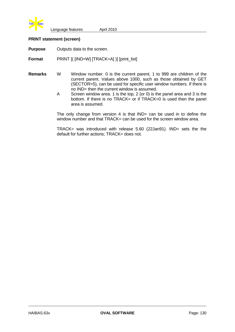

## **PRINT statement (screen)**

**Purpose** Outputs data to the screen.

**Format** PRINT [( [IND=W] [TRACK=A] )] [print\_list]

- **Remarks** W Window number. 0 is the current parent, 1 to 999 are children of the current parent. Values above 1000, such as those obtained by GET (SECTOR=5), can be used for specific user window numbers. If there is no IND= then the current window is assumed.
	- A Screen window area. 1 is the top, 2 (or 0) is the panel area and 3 is the bottom. If there is no TRACK= or if TRACK=0 is used then the panel area is assumed.

The only change from version 4 is that  $IND = can$  be used in to define the window number and that TRACK= can be used for the screen window area.

TRACK= was introduced with release 5.60 (22Jan91). IND= sets the the default for further actions: TRACK= does not.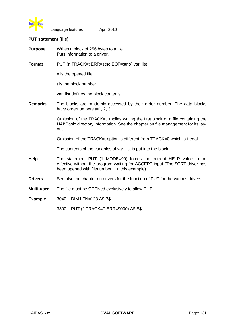

# **PUT statement (file)**

| <b>Purpose</b> | Writes a block of 256 bytes to a file.<br>Puts information to a driver.                                                                                                                              |  |  |
|----------------|------------------------------------------------------------------------------------------------------------------------------------------------------------------------------------------------------|--|--|
| Format         | PUT (n TRACK=t ERR=stno EOF=stno) var_list                                                                                                                                                           |  |  |
|                | n is the opened file.                                                                                                                                                                                |  |  |
|                | t is the block number.                                                                                                                                                                               |  |  |
|                | var_list defines the block contents.                                                                                                                                                                 |  |  |
| <b>Remarks</b> | The blocks are randomly accessed by their order number. The data blocks<br>have ordernumbers $t=1, 2, 3, $                                                                                           |  |  |
|                | Omission of the TRACK=t implies writing the first block of a file containing the<br>HAI*Basic directory information. See the chapter on file management for its lay-<br>out.                         |  |  |
|                | Omission of the TRACK=t option is different from TRACK=0 which is illegal.                                                                                                                           |  |  |
|                | The contents of the variables of var_list is put into the block.                                                                                                                                     |  |  |
| Help           | The statement PUT (1 MODE=99) forces the current HELP value to be<br>effective without the program waiting for ACCEPT input (The \$CRT driver has<br>been opened with filenumber 1 in this example). |  |  |
| <b>Drivers</b> | See also the chapter on drivers for the function of PUT for the various drivers.                                                                                                                     |  |  |
| Multi-user     | The file must be OPENed exclusively to allow PUT.                                                                                                                                                    |  |  |
| <b>Example</b> | <b>DIM LEN=128 A\$ B\$</b><br>3040                                                                                                                                                                   |  |  |
|                | PUT (2 TRACK=T ERR=9000) A\$ B\$<br>3300                                                                                                                                                             |  |  |
|                |                                                                                                                                                                                                      |  |  |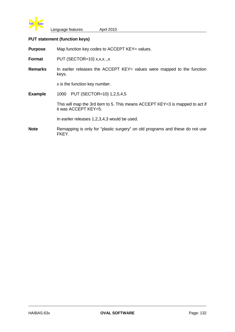

# **PUT statement (function keys)**

**Purpose** Map function key codes to ACCEPT KEY= values.

**Format** PUT (SECTOR=10) x,x,x..,x

**Remarks** In earlier releases the ACCEPT KEY= values were mapped to the function keys.

x is the function key number.

**Example** 1000 PUT (SECTOR=10) 1,2,5,4,5

This will map the 3rd item to 5. This means ACCEPT KEY=3 is mapped to act if it was ACCEPT KEY=5.

In earlier releases 1,2,3,4,3 would be used.

**Note** Remapping is only for "plastic surgery" on old programs and these do not use FKEY.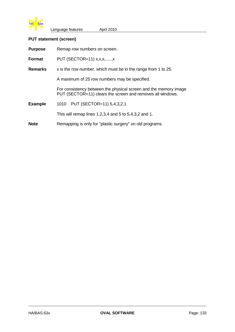

# **PUT statement (screen)**

|  | <b>Purpose</b> | Remap row numbers on screen. |
|--|----------------|------------------------------|
|--|----------------|------------------------------|

**Format** PUT (SECTOR=11) x,x,x,.....,x

**Remarks** x is the row number, which must be in the range from 1 to 25.

A maximum of 25 row numbers may be specified.

For consistency between the physical screen and the memory image PUT (SECTOR=11) clears the screen and removes all windows.

**Example** 1010 PUT (SECTOR=11) 5,4,3,2,1

This will remap lines 1,2,3,4 and 5 to 5,4,3,2 and 1.

**Note** Remapping is only for "plastic surgery" on old programs.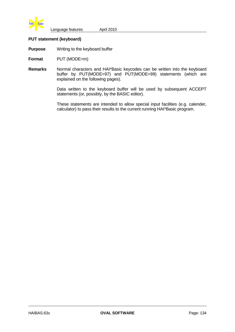

# **PUT statement (keyboard)**

**Purpose** Writing to the keyboard buffer

**Format** PUT (MODE=m)

**Remarks** Normal characters and HAI\*Basic keycodes can be written into the keyboard buffer by PUT(MODE=97) and PUT(MODE=99) statements (which are explained on the following pages).

> Data written to the keyboard buffer will be used by subsequent ACCEPT statements (or, possibly, by the BASIC editor).

> These statements are intended to allow special input facilities (e.g. calender, calculator) to pass their results to the current running HAI\*Basic program.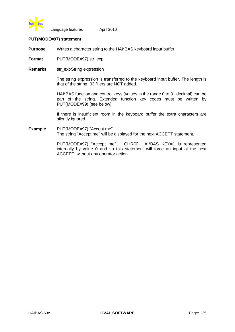

# **PUT(MODE=97) statement**

**Purpose** Writes a character string to the HAI\*BAS keyboard input buffer.

**Format** PUT(MODE=97) str\_exp

**Remarks** str\_expString expression

The string expression is transferred to the keyboard input buffer. The length is that of the string; 03 fillers are NOT added.

HAI\*BAS function and control keys (values in the range 0 to 31 decimal) can be part of the string. Extended function key codes must be written by PUT(MODE=99) (see below).

If there is insufficient room in the keyboard buffer the extra characters are silently ignored.

**Example** PUT(MODE=97) "Accept me" The string "Accept me" will be displayed for the next ACCEPT statement.

> PUT(MODE=97) "Accept me" + CHR(0) HAI\*BAS KEY=1 is represented internally by value 0 and so this statement will force an input at the next ACCEPT, without any operator action.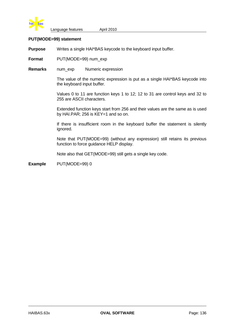

# **PUT(MODE=99) statement**

**Purpose** Writes a single HAI\*BAS keycode to the keyboard input buffer.

**Format** PUT(MODE=99) num\_exp

**Remarks** num\_exp Numeric expression

The value of the numeric expression is put as a single HAI\*BAS keycode into the keyboard input buffer.

Values 0 to 11 are function keys 1 to 12; 12 to 31 are control keys and 32 to 255 are ASCII characters.

Extended function keys start from 256 and their values are the same as is used by HAI.PAR; 256 is KEY=1 and so on.

If there is insufficient room in the keyboard buffer the statement is silently ignored.

Note that PUT(MODE=99) (without any expression) still retains its previous function to force guidance HELP display.

Note also that GET(MODE=99) still gets a single key code.

**Example** PUT(MODE=99) 0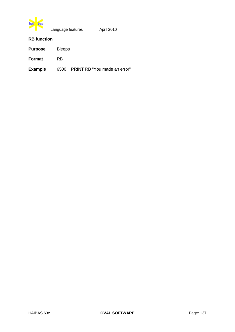

# **RB function**

|  | <b>Purpose</b> | <b>Bleeps</b> |
|--|----------------|---------------|
|--|----------------|---------------|

**Format** RB

**Example** 6500 PRINT RB "You made an error"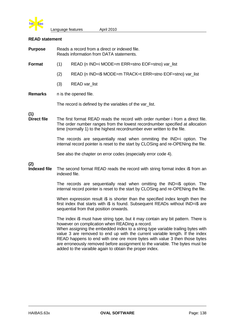

#### **READ statement**

| <b>Purpose</b>             | Reads a record from a direct or indexed file.<br>Reads information from DATA statements.                                                                                                                                                                                                                                                                                                                                                                                  |                                                                              |
|----------------------------|---------------------------------------------------------------------------------------------------------------------------------------------------------------------------------------------------------------------------------------------------------------------------------------------------------------------------------------------------------------------------------------------------------------------------------------------------------------------------|------------------------------------------------------------------------------|
| Format                     | (1)                                                                                                                                                                                                                                                                                                                                                                                                                                                                       | READ (n IND=i MODE=m ERR=stno EOF=stno) var_list                             |
|                            | (2)                                                                                                                                                                                                                                                                                                                                                                                                                                                                       | READ (n IND=i\$ MODE=m TRACK=t ERR=stno EOF=stno) var_list                   |
|                            | (3)                                                                                                                                                                                                                                                                                                                                                                                                                                                                       | READ var_list                                                                |
| <b>Remarks</b>             | n is the opened file.<br>The record is defined by the variables of the var_list.                                                                                                                                                                                                                                                                                                                                                                                          |                                                                              |
|                            |                                                                                                                                                                                                                                                                                                                                                                                                                                                                           |                                                                              |
| (1)<br><b>Direct file</b>  | The first format READ reads the record with order number i from a direct file.<br>The order number ranges from the lowest recordnumber specified at allocation<br>time (normally 1) to the highest recordnumber ever written to the file.<br>The records are sequentially read when ommiting the IND=i option. The<br>internal record pointer is reset to the start by CLOSing and re-OPENing the file.<br>See also the chapter on error codes (especially error code 4). |                                                                              |
|                            |                                                                                                                                                                                                                                                                                                                                                                                                                                                                           |                                                                              |
| (2)<br><b>Indexed file</b> |                                                                                                                                                                                                                                                                                                                                                                                                                                                                           | The second format READ reads the record with string format index i\$ from an |

indexed file.

The records are sequentially read when omitting the IND=i\$ option. The internal record pointer is reset to the start by CLOSing and re-OPENing the file.

When expression result i\$ is shorter than the specified index length then the first index that starts with i\$ is found. Subsequent READs without IND=i\$ are sequential from that position onwards.

The index i\$ must have string type, but it may contain any bit pattern. There is however on complication when READing a record.

When assigning the embedded index to a string type variable trailing bytes with value 3 are removed to end up with the current variable length. If the index READ happens to end with one ore more bytes with value 3 then those bytes are erroneously removed before assignment to the variable. The bytes must be added to the varaible again to obtain the proper index.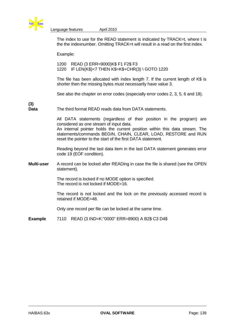

**(3)**

Language features **April 2010** 

The index to use for the READ statement is indicated by TRACK=t, where t is the the indexnumber. Omitting TRACK=t will result in a read on the first index.

Example:

1200 READ (3 ERR=9000)K\$ F1 F2\$ F3 1220 IF LEN(K\$)<7 THEN K\$=K\$+CHR(3) \ GOTO 1220

The file has been allocated with index length 7. If the current length of K\$ is shorter then the missing bytes must necessarily have value 3.

See also the chapter on error codes (especially error codes 2, 3, 5, 6 and 18).

**Data** The third format READ reads data from DATA statements.

All DATA statements (regardless of their position in the program) are considered as one stream of input data.

An internal pointer holds the current position within this data stream. The statements/commands BEGIN, CHAIN, CLEAR, LOAD, RESTORE and RUN reset the pointer to the start of the first DATA statement.

Reading beyond the last data item in the last DATA statement generates error code 19 (EOF condition).

**Multi-user** A record can be locked after READing in case the file is shared (see the OPEN statement).

> The record is locked if no MODE option is specified. The record is not locked if MODE=16.

The record is not locked and the lock on the previously accessed record is retained if MODE=48.

Only one record per file can be locked at the same time.

**Example** 7110 READ (3 IND=K:"0000" ERR=8900) A B2\$ C3 D4\$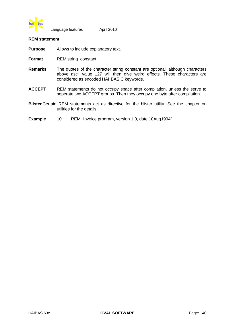

### **REM statement**

**Purpose** Allows to include explanatory text.

- **Format** REM string\_constant
- **Remarks** The quotes of the character string constant are optional, although characters above ascii value 127 will then give weird effects. These characters are considered as encoded HAI\*BASIC keywords.
- **ACCEPT** REM statements do not occupy space after compilation, unless the serve to seperate two ACCEPT groups. Then they occupy one byte after compilation.
- **Blister** Certain REM statements act as directive for the blister utility. See the chapter on utilities for the details.
- **Example** 10 REM "Invoice program, version 1.0, date 10Aug1994"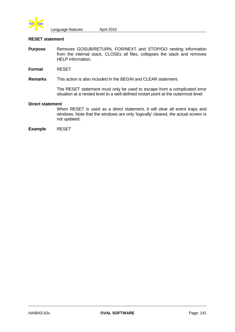

#### **RESET statement**

- **Purpose** Removes GOSUB/RETURN, FOR/NEXT and STOP/GO nesting information from the internal stack, CLOSEs all files, collapses the stack and removes HELP information.
- **Format** RESET

## **Remarks** This action is also included in the BEGIN and CLEAR statement.

The RESET statement must only be used to escape from a complicated error situation at a nested level to a well-defined restart point at the outermost level.

#### **Direct statement**

When RESET is used as a direct statement, it will clear all event traps and windows. Note that the windows are only 'logically' cleared, the actual screen is not updated.

**Example** RESET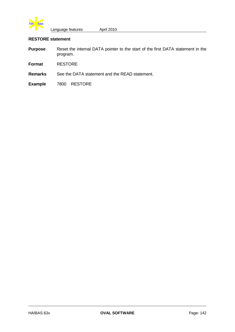

# **RESTORE statement**

| <b>Purpose</b> | Reset the internal DATA pointer to the start of the first DATA statement in the |
|----------------|---------------------------------------------------------------------------------|
|                | program.                                                                        |

**Format** RESTORE

**Remarks** See the DATA statement and the READ statement.

**Example** 7800 RESTORE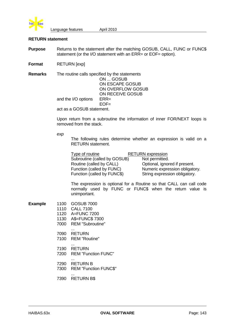

## **RETURN statement**

**Purpose** Returns to the statement after the matching GOSUB, CALL, FUNC or FUNC\$ statement (or the I/O statement with an ERR= or EOF= option).

**Format** RETURN [exp]

**Remarks** The routine calls specified by the statements ON ... GOSUB ON ESCAPE GOSUB ON OVERFLOW GOSUB ON RECEIVE GOSUB and the I/O options ERR=  $EOF =$ act as a GOSUB statement.

> Upon return from a subroutine the information of inner FOR/NEXT loops is removed from the stack.

*exp*

The following rules determine whether an expression is valid on a RETURN statement.

| Type of routine              | <b>RETURN</b> expression       |
|------------------------------|--------------------------------|
| Subroutine (called by GOSUB) | Not permitted.                 |
| Routine (called by CALL)     | Optional, ignored if present.  |
| Function (called by FUNC)    | Numeric expression obligatory. |
| Function (called by FUNC\$)  | String expression obligatory.  |

The expression is optional for a Routine so that CALL can call code normally used by FUNC or FUNC\$ when the return value is unimportant.

| <b>Example</b> | 1100         | <b>GOSUB 7000</b>                               |
|----------------|--------------|-------------------------------------------------|
|                | 1110         | <b>CALL 7100</b>                                |
|                |              | 1120 A=FUNC 7200                                |
|                | 1130         | A\$=FUNC\$ 7300                                 |
|                | 7000         | REM "Subroutine"                                |
|                | 7090<br>7100 | <b>RETURN</b><br>REM "Routine"                  |
|                | 7190<br>7200 | RETURN<br><b>REM "Function FUNC"</b>            |
|                | 7290<br>7300 | <b>RETURN B</b><br><b>REM "Function FUNC\$"</b> |

... 7390 RETURN B\$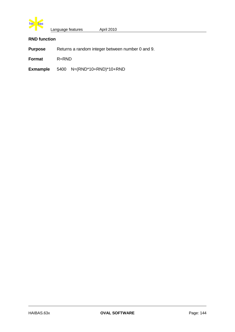

# **RND function**

**Purpose** Returns a random integer between number 0 and 9.

**Format** R=RND

**Exmample** 5400 N=(RND\*10+RND)\*10+RND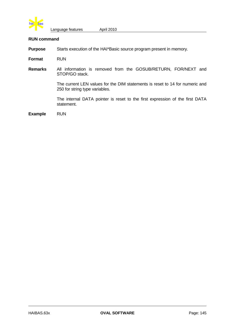

#### **RUN command**

**Purpose** Starts execution of the HAI\*Basic source program present in memory.

**Format** RUN

**Remarks** All information is removed from the GOSUB/RETURN, FOR/NEXT and STOP/GO stack.

> The current LEN values for the DIM statements is reset to 14 for numeric and 250 for string type variables.

> The internal DATA pointer is reset to the first expression of the first DATA statement.

**Example** RUN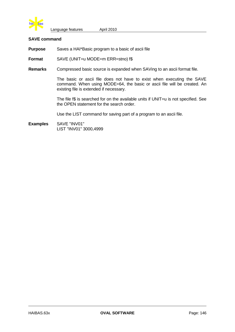

### **SAVE command**

**Purpose** Saves a HAI\*Basic program to a basic of ascii file

**Format** SAVE (UNIT=u MODE=m ERR=stno) f\$

**Remarks** Compressed basic source is expanded when SAVing to an ascii format file.

The basic or ascii file does not have to exist when executing the SAVE command. When using MODE=64, the basic or ascii file will be created. An existing file is extended if necessary.

The file f\$ is searched for on the available units if UNIT=u is not specified. See the OPEN statement for the search order.

Use the LIST command for saving part of a program to an ascii file.

**Examples** SAVE "INV01" LIST "INV01" 3000,4999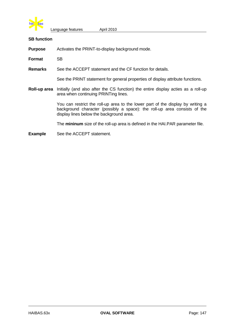

## **SB function**

**Purpose** Activates the PRINT-to-display background mode.

**Format** SB

**Remarks** See the ACCEPT statement and the CF function for details.

See the PRINT statement for general properties of display attribute functions.

**Roll-up area** Initially (and also after the CS function) the entire display acties as a roll-up area when continuing PRINTing lines.

> You can restrict the roll-up area to the lower part of the display by writing a background character (possibly a space): the roll-up area consists of the display lines below the background area.

The **mininum** size of the roll-up area is defined in the HAI.PAR parameter file.

**Example** See the ACCEPT statement.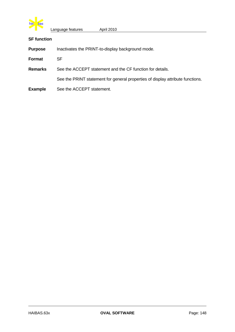

# **SF function**

| <b>Purpose</b> | Inactivates the PRINT-to-display background mode.                              |
|----------------|--------------------------------------------------------------------------------|
| Format         | SF.                                                                            |
| <b>Remarks</b> | See the ACCEPT statement and the CF function for details.                      |
|                | See the PRINT statement for general properties of display attribute functions. |
| <b>Example</b> | See the ACCEPT statement.                                                      |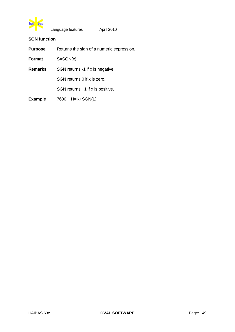

# **SGN function**

| <b>Purpose</b> | Returns the sign of a numeric expression. |  |
|----------------|-------------------------------------------|--|
|                |                                           |  |

**Format** S=SGN(x)

**Remarks** SGN returns -1 if x is negative.

SGN returns 0 if x is zero.

SGN returns +1 if x is positive.

**Example** 7600 H=K+SGN(L)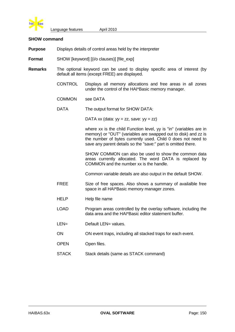

#### **SHOW command**

- **Purpose** Displays details of control areas held by the interpreter
- **Format** SHOW [keyword] [(i/o clauses)] [file\_exp]
- **Remarks** The optional keyword can be used to display specific area of interest (by default all items (except FREE) are displayed.
	- CONTROL Displays all memory allocations and free areas in all zones under the control of the HAI\*Basic memory manager.
	- COMMON see DATA
	- DATA The output format for SHOW DATA:

DATA xx (data:  $yy = zz$ , save:  $yy = zz$ )

where xx is the child Function level, yy is "in" (variables are in memory) or "OUT" (variables are swapped out to disk) and zz is the number of bytes currently used. Child 0 does not need to save any parent details so the "save:" part is omitted there.

SHOW COMMON can also be used to show the common data areas currently allocated. The word DATA is replaced by COMMON and the number xx is the handle.

Common variable details are also output in the default SHOW.

- FREE Size of free spaces. Also shows a summary of availalble free space in all HAI\*Basic memory manager zones.
- HELP Help file name
- LOAD Program areas controlled by the overlay software, including the data area and the HAI\*Basic editor statement buffer.
- LEN= Default LEN= values.
- ON ON event traps, including all stacked traps for each event.
- OPEN Open files.
- STACK Stack details (same as STACK command)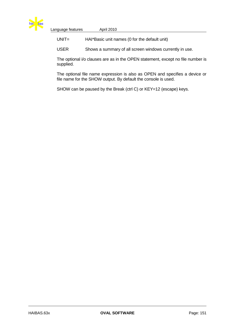

| Language features | April 2010                                    |  |
|-------------------|-----------------------------------------------|--|
| $UNIT =$          | HAI*Basic unit names (0 for the default unit) |  |

USER Shows a summary of all screen windows currently in use.

The optional i/o clauses are as in the OPEN statement, except no file number is supplied.

The optional file name expression is also as OPEN and specifies a device or file name for the SHOW output. By default the console is used.

SHOW can be paused by the Break (ctrl C) or KEY=12 (escape) keys.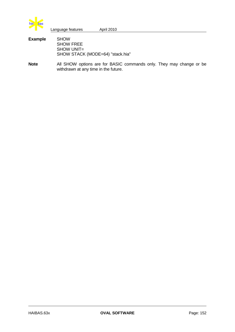

| ---- | Language features | April 2010 |  |
|------|-------------------|------------|--|
| mnle | SHOW              |            |  |

**Example** SHOW SHOW FREE SHOW UNIT= SHOW STACK (MODE=64) "stack.hia"

**Note** All SHOW options are for BASIC commands only. They may change or be withdrawn at any time in the future.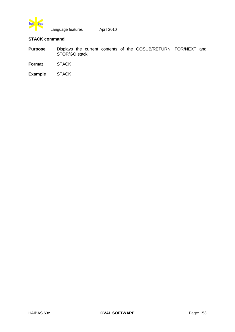

# **STACK command**

- **Purpose** Displays the current contents of the GOSUB/RETURN, FOR/NEXT and STOP/GO stack.
- **Format** STACK
- **Example** STACK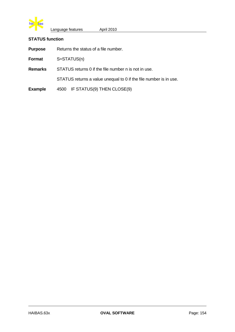

## **STATUS function**

**Purpose** Returns the status of a file number.

**Format** S=STATUS(n)

**Remarks** STATUS returns 0 if the file number n is not in use.

STATUS returns a value unequal to 0 if the file number is in use.

**Example** 4500 IF STATUS(9) THEN CLOSE(9)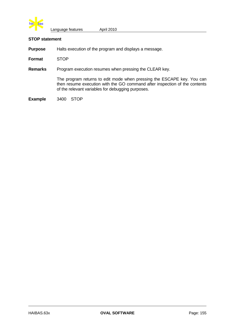

### **STOP statement**

**Purpose** Halts execution of the program and displays a message.

**Format** STOP

**Remarks** Program execution resumes when pressing the CLEAR key.

The program returns to edit mode when pressing the ESCAPE key. You can then resume execution with the GO command after inspection of the contents of the relevant variables for debugging purposes.

**Example** 3400 STOP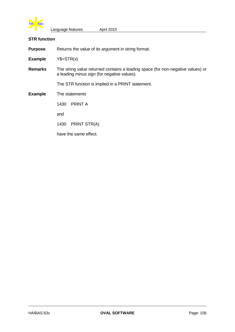

### **STR function**

**Purpose** Returns the value of its argument in string format.

**Example** Y\$=STR(x)

**Remarks** The string value returned contains a leading space (for non-negative values) or a leading minus sign (for negative values).

The STR function is implied in a PRINT statement.

# **Example** The statements

1430 PRINT A

and

1430 PRINT STR(A)

have the same effect.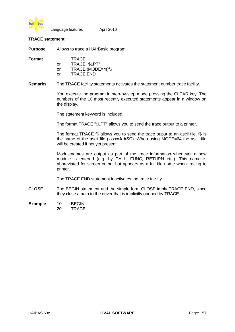

## **TRACE statement**

**Purpose** Allows to trace a HAI\*Basic program.

**Format** TRACE

|    | IRACE                |
|----|----------------------|
| or | <b>TRACE "\$LPT"</b> |
| or | TRACE (MODE=m)f\$    |
| or | TRACE END            |

**Remarks** The TRACE facility statements activates the statement number trace facility.

You execute the program in step-by-step mode pressing the CLEAR key. The numbers of the 10 most recently executed statements appear in a window on the display.

The statement keyword is included.

The format TRACE "\$LPT" allows you to send the trace output to a printer.

The format TRACE f\$ allows you to send the trace ouput to an ascii file. f\$ is the name of the ascii file (xxxxx**A.ASC**). When using MODE=64 the ascii file will be created if not yet present.

Modulenames are output as part of the trace information whenever a new module is entered (e.g. by CALL, FUNC, RETURN etc.). This name is abbreviated for screen output but appears as a full file name when tracing to printer.

The TRACE END statement inactivates the trace facility.

- **CLOSE** The BEGIN statement and the simple form CLOSE imply TRACE END, since they close a path to the driver that is implicitly opened by TRACE.
- **Example** 10 BEGIN
	- 20 TRACE

...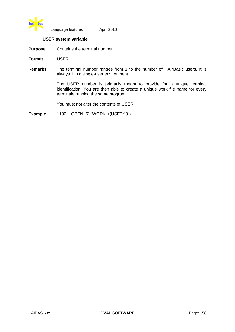

## **USER system variable**

**Purpose** Contains the terminal number.

**Format** USER

**Remarks** The terminal number ranges from 1 to the number of HAI\*Basic users. It is always 1 in a single-user environment.

> The USER number is primarily meant to provide for a unique terminal identification. You are then able to create a unique work file name for every terminale running the same program.

You must not alter the contents of USER.

**Example** 1100 OPEN (5) "WORK"+(USER:"0")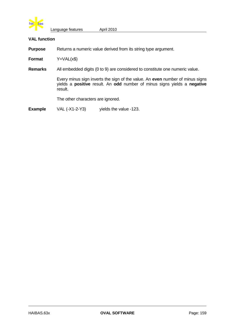

## **VAL function**

**Purpose** Returns a numeric value derived from its string type argument.

**Format** Y=VAL(x\$)

**Remarks** All embedded digits (0 to 9) are considered to constitute one numeric value.

Every minus sign inverts the sign of the value. An **even** number of minus signs yields a **positive** result. An **odd** number of minus signs yields a **negative** result.

The other characters are ignored.

**Example** VAL (-X1-2-Y3) yields the value -123.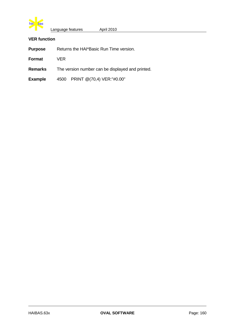

# **VER function**

| <b>Purpose</b> | Returns the HAI*Basic Run Time version. |
|----------------|-----------------------------------------|
|----------------|-----------------------------------------|

**Format** VER

**Remarks** The version number can be displayed and printed.

**Example** 4500 PRINT @(70,4) VER:"#0.00"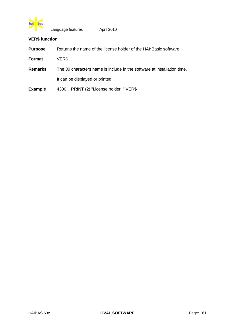

# **VER\$ function**

| <b>Purpose</b> | Returns the name of the license holder of the HAI*Basic software.       |  |  |
|----------------|-------------------------------------------------------------------------|--|--|
| Format         | VER\$                                                                   |  |  |
| <b>Remarks</b> | The 30 characters name is include in the software at installation time. |  |  |
|                | It can be displayed or printed.                                         |  |  |
| <b>Example</b> | PRINT (2) "License holder: " VER\$<br>4300                              |  |  |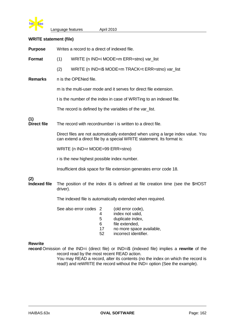

# **WRITE statement (file)**

| <b>Purpose</b>             | Writes a record to a direct of indexed file.                |                                          |                                     |                                                                                                                                                          |  |
|----------------------------|-------------------------------------------------------------|------------------------------------------|-------------------------------------|----------------------------------------------------------------------------------------------------------------------------------------------------------|--|
| <b>Format</b>              | (1)                                                         | WRITE (n IND=i MODE=m ERR=stno) var_list |                                     |                                                                                                                                                          |  |
|                            | (2)                                                         |                                          |                                     | WRITE (n IND=i\$ MODE=m TRACK=t ERR=stno) var_list                                                                                                       |  |
| <b>Remarks</b>             |                                                             | n is the OPENed file.                    |                                     |                                                                                                                                                          |  |
|                            |                                                             |                                          |                                     | m is the multi-user mode and it serves for direct file extension.                                                                                        |  |
|                            |                                                             |                                          |                                     | t is the number of the index in case of WRITing to an indexed file.                                                                                      |  |
|                            |                                                             |                                          |                                     | The record is defined by the variables of the var_list.                                                                                                  |  |
| (1)<br><b>Direct file</b>  | The record with recordnumber i is written to a direct file. |                                          |                                     |                                                                                                                                                          |  |
|                            |                                                             |                                          |                                     | Direct files are not automatically extended when using a large index value. You<br>can extend a direct file by a special WRITE statement. Its format is: |  |
|                            | WRITE (n IND=r MODE=99 ERR=stno)                            |                                          |                                     |                                                                                                                                                          |  |
|                            | r is the new highest possible index number.                 |                                          |                                     |                                                                                                                                                          |  |
|                            |                                                             |                                          |                                     | Insufficient disk space for file extension generates error code 18.                                                                                      |  |
| (2)<br><b>Indexed file</b> | driver).                                                    |                                          |                                     | The position of the index i\$ is defined at file creation time (see the \$HOST                                                                           |  |
|                            | The indexed file is automatically extended when required.   |                                          |                                     |                                                                                                                                                          |  |
|                            |                                                             | See also error codes                     | $\overline{2}$<br>4<br>5<br>6<br>17 | (old error code),<br>index not valid,<br>duplicate index,<br>file extended,<br>no more space available,                                                  |  |

52 incorrect identifier.

# **Rewrite**

**record** Omission of the IND=i (direct file) or IND=i\$ (indexed file) implies a **rewrite** of the record read by the most recent READ action.

You may READ a record, alter its contents (no the index on which the record is read!) and reWRITE the record without the IND= option (See the example).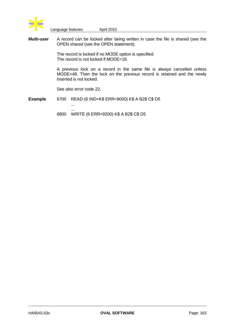

**Multi-user** A record can be locked after being written in case the file is shared (see the OPEN shared (see the OPEN statement).

> The record is locked if no MODE option is specified. The record is not locked if MODE=16.

A previous lock on a record in the same file is always cancelled unless MODE=48. Then the lock on the previous record is retained and the newly inserted is not locked.

See also error code 22.

...

**Example** 6700 READ (6 IND=K\$ ERR=9000) K\$ A B2\$ C\$ D5 ...

6800 WRITE (6 ERR=9200) K\$ A B2\$ C\$ D5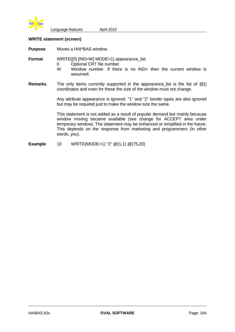

## **WRITE statement (screen)**

**Purpose** Moves a HAI\*BAS window.

**Format** WRITE([0] [IND=W] MODE=1) appearance\_list

- 0 Optional CRT file number.<br>W Window number If there
	- Window number. If there is no  $IND=$  then the current window is assumed.
- **Remarks** The only items currently supported in the appearance list is the list of  $@()$ coordinates and even for these the size of the window must not change.

Any attribute appearance is ignored. "1" and "2" border types are also ignored but may be required just to make the window size the same.

This statement is not added as a result of popular demand but mainly because window moving became available (see change for ACCEPT area under temporary window). The statement may be enhanced or simplified in the future. This depends on the response from marketing and programmers (in other words, you).

**Example** 10 WRITE(MODE=1) "2"  $\mathcal{Q}(1,1)$   $\mathcal{Q}(75,20)$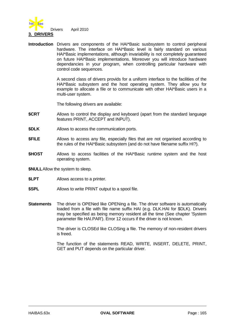

**Introduction** Drivers are components of the HAI\*Basic susbsystem to control peripheral hardware. The interface on HAI\*Basic level is fairly standard on various HAI\*Basic implementations, although invariability is not completely guaranteed on future HAI\*Basic implementations. Moreover you will introduce hardware dependancies in your program, when controlling particular hardware with control code sequences.

> A second class of drivers provids for a uniform interface to the facilities of the HAI\*Basic subsystem and the host operating system. They allow you for example to allocate a file or to communicate with other HAI\*Basic users in a multi-user system.

The following drivers are available:

- **\$CRT** Allows to control the display and keyboard (apart from the standard language features PRINT, ACCEPT and INPUT).
- **\$DLK** Allows to access the communication ports.
- **\$FILE** Allows to access any file, especially files that are not organised according to the rules of the HAI\*Basic subsystem (and do not have filename suffix HI?).
- **\$HOST** Allows to access facilities of the HAI\*Basic runtime system and the host operating system.
- **\$NULL**Allow the system to sleep.
- **\$LPT** Allows access to a printer.
- **\$SPL** Allows to write PRINT output to a spool file.
- **Statements** The driver is OPENed like OPENing a file. The driver software is automatically loaded from a file with file name suffix HAI (e.g. DLK.HAI for \$DLK). Drivers may be specified as being memory resident all the time (See chapter 'System parameter file HAI.PAR'). Error 12 occurs if the driver is not known.

The driver is CLOSEd like CLOSing a file. The memory of non-resident drivers is freed.

The function of the statements READ, WRITE, INSERT, DELETE, PRINT, GET and PUT depends on the particular driver.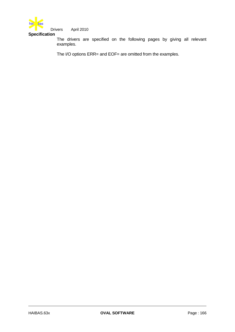

Drivers April 2010

**Specification**

The drivers are specified on the following pages by giving all relevant examples.

The I/O options ERR= and EOF= are omitted from the examples.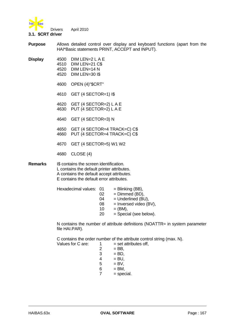

**Purpose** Allows detailed control over display and keyboard functions (apart from the HAI\*Basic statements PRINT, ACCEPT and INPUT).

- 
- **Display** 4500 DIM LEN=2 L A E 4510 DIM LEN=21 C\$ 4520 DIM LEN=14 N 4520 DIM LEN=30 I\$
	- 4600 OPEN (4)"\$CRT"
	- 4610 GET (4 SECTOR=1) I\$
	- 4620 GET (4 SECTOR=2) L A E 4630 PUT (4 SECTOR=2) L A E
	- 4640 GET (4 SECTOR=3) N
	- 4650 GET (4 SECTOR=4 TRACK=C) C\$ 4660 PUT (4 SECTOR=4 TRACK=C) C\$
	- 4670 GET (4 SECTOR=5) W1 W2
	- 4680 CLOSE (4)

**Remarks** I\$ contains the screen identification. L contains the default printer attributes. A contains the default accept attributes. E contains the default error attributes.

| Hexadecimal values: 01 |    | $=$ Blinking (BB),       |
|------------------------|----|--------------------------|
|                        | 02 | $=$ Dimmed (BD),         |
|                        | 04 | $=$ Underlined (BU),     |
|                        | 08 | $=$ Inversed video (BV), |
|                        | 10 | $=$ (BM),                |
|                        | 20 | $=$ Special (see below). |
|                        |    |                          |

N contains the number of attribute definitions (NOATTR= in system parameter file HAI.PAR).

C contains the order number of the attribute control string (max. N).<br>
Making for C are:  $\frac{1}{2}$  = set attributes off Values for C are:  $1 = set$  attributes off,

|   | = set attribl |
|---|---------------|
| 2 | $=$ BB,       |
| 3 | $=$ BD.       |
| 4 | $=$ BU.       |
| 5 | $=$ BV.       |
| 6 | $=$ BM,       |
| 7 | $=$ special.  |
|   |               |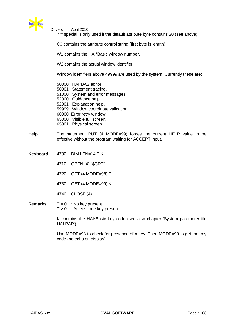

Drivers April 2010

7 = special is only used if the default attribute byte contains 20 (see above).

C\$ contains the attribute control string (first byte is length).

W1 contains the HAI\*Basic window number.

W<sub>2</sub> contains the actual window identifier.

Window identifiers above 49999 are used by the system. Currently these are:

50000 HAI\*BAS editor. 50001 Statement tracing. 51000 System and error messages. 52000 Guidance help. 52001 Explanation help. 59999 Window coordinate validation. 60000 Error retry window. 65000 Visible full screen. 65001 Physical screen.

- **Help** The statement PUT (4 MODE=99) forces the current HELP value to be effective without the program waiting for ACCEPT input.
- **Keyboard** 4700 DIM LEN=14 T K
	- 4710 OPEN (4) "\$CRT"
	- 4720 GET (4 MODE=98) T
	- 4730 GET (4 MODE=99) K
	- 4740 CLOSE (4)

### **Remarks**  $T = 0$  : No key present.  $T > 0$  : At least one key present.

K contains the HAI\*Basic key code (see also chapter 'System parameter file HAI.PAR').

Use MODE=98 to check for presence of a key. Then MODE=99 to get the key code (no echo on display).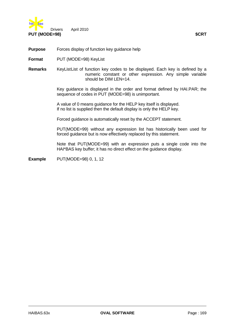

**Purpose** Forces display of function key guidance help

**Format** PUT (MODE=98) KeyList

**Remarks** KeyListList of function key codes to be displayed. Each key is defined by a numeric constant or other expression. Any simple variable should be DIM LEN=14.

> Key guidance is displayed in the order and format defined by HAI.PAR; the sequence of codes in PUT (MODE=98) is unimportant.

A value of 0 means guidance for the HELP key itself is displayed. If no list is supplied then the default display is only the HELP key.

Forced guidance is automatically reset by the ACCEPT statement.

PUT(MODE=99) without any expression list has historically been used for forced guidance but is now effectively replaced by this statement.

Note that PUT(MODE=99) with an expression puts a single code into the HAI\*BAS key buffer; it has no direct effect on the guidance display.

**Example** PUT(MODE=98) 0, 1, 12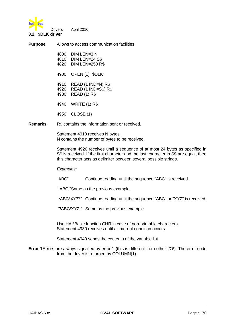

Drivers April 2010

#### **3.2. \$DLK driver**

**Purpose** Allows to access communication facilities.

| 4800 | $DIM$ LEN=3 N          |
|------|------------------------|
| 4810 | $DIM LEN=24$ S\$       |
| 4820 | <b>DIM LEN=250 R\$</b> |

4900 OPEN (1) "\$DLK"

4910 READ (1 IND=N) R\$ 4920 READ (1 IND=S\$) R\$ 4930 READ (1) R\$

4940 WRITE (1) R\$

4950 CLOSE (1)

**Remarks** R\$ contains the information sent or received.

Statement 4910 receives N bytes. N contains the number of bytes to be received.

Statement 4920 receives until a sequence of at most 24 bytes as specified in S\$ is received. If the first character and the last character in S\$ are equal, then this character acts as delimiter between several possible strings.

*Examples:*

"ABC" Continue reading until the sequence "ABC" is received.

"!ABC!"Same as the previous example.

"\*ABC\*XYZ\*" Continue reading until the sequence "ABC" or "XYZ" is received.

""!ABC!XYZ!" Same as the previous example.

Use HAI\*Basic function CHR in case of non-printable characters. Statement 4930 receives until a time-out condition occurs.

Statement 4940 sends the contents of the variable list.

**Error 1**Errors are always signalled by error 1 (this is different from other I/O!). The error code from the driver is returned by COLUMN(1).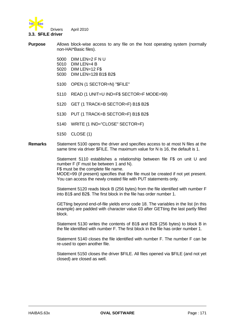

#### **3.3. \$FILE driver**

**Purpose** Allows block-wise access to any file on the host operating system (normally non-HAI\*Basic files).

- 5000 DIM LEN=2 F N U 5010 DIM LEN=4 B 5020 DIM LEN=12 F\$ 5030 DIM LEN=128 B1\$ B2\$
- 5100 OPEN (1 SECTOR=N) "\$FILE"
- 5110 READ (1 UNIT=U IND=F\$ SECTOR=F MODE=99)
- 5120 GET (1 TRACK=B SECTOR=F) B1\$ B2\$
- 5130 PUT (1 TRACK=B SECTOR=F) B1\$ B2\$
- 5140 WRITE (1 IND="CLOSE" SECTOR=F)
- 5150 CLOSE (1)
- **Remarks** Statement 5100 opens the driver and specifies access to at most N files at the same time via driver \$FILE. The maximum value for N is 16, the default is 1.

Statement 5110 establishes a relationship between file F\$ on unit U and number F (F must be between 1 and N).

F\$ must be the complete file name.

MODE=99 (if present) specifies that the file must be created if not yet present. You can access the newly created file with PUT statements only.

Statement 5120 reads block B (256 bytes) from the file identified with number F into B1\$ and B2\$. The first block in the file has order number 1.

GETting beyond end-of-file yields error code 18. The variables in the list (in this example) are padded with character value 03 after GETting the last partly filled block.

Statement 5130 writes the contents of B1\$ and B2\$ (256 bytes) to block B in the file identified with number F. The first block in the file has order number 1.

Statement 5140 closes the file identified with number F. The number F can be re-used to open another file.

Statement 5150 closes the driver \$FILE. All files opened via \$FILE (and not yet closed) are closed as well.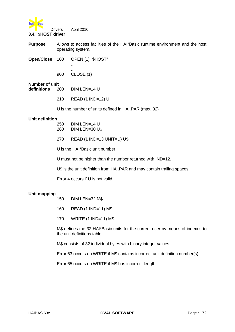

#### **3.4. \$HOST driver**

**Purpose** Allows to access facilities of the HAI\*Basic runtime environment and the host operating system.

**Open/Close** 100 OPEN (1) "\$HOST"

... 900 CLOSE (1)

...

# **Number of unit**

- **definitions** 200 DIM LEN=14 U
	- 210 READ (1 IND=12) U

U is the number of units defined in HAI.PAR (max. 32)

#### **Unit definition**

- 250 DIM LEN=14 U 260 DIM LEN=30 U\$
- 270 READ (1 IND=13 UNIT=U) U\$

U is the HAI\*Basic unit number.

U must not be higher than the number returned with IND=12.

U\$ is the unit definition from HAI.PAR and may contain trailing spaces.

Error 4 occurs if U is not valid.

### **Unit mapping**

- 150 DIM LEN=32 M\$
- 160 READ (1 IND=11) M\$
- 170 WRITE (1 IND=11) M\$

M\$ defines the 32 HAI\*Basic units for the current user by means of indexes to the unit definitions table.

M\$ consists of 32 individual bytes with binary integer values.

Error 63 occurs on WRITE if M\$ contains incorrect unit definition number(s).

Error 65 occurs on WRITE if M\$ has incorrect length.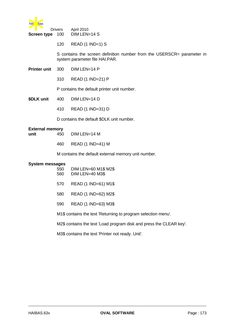

| ▼<br><b>Screen type</b>        | <b>Drivers</b><br>100 | April 2010<br>DIM LEN=14 S                                                                               |
|--------------------------------|-----------------------|----------------------------------------------------------------------------------------------------------|
|                                | 120                   | $READ$ (1 IND=1) S                                                                                       |
|                                |                       | S contains the screen definition number from the USERSCR= parameter in<br>system parameter file HAI.PAR. |
| <b>Printer unit</b>            | 300                   | DIM LEN=14 P                                                                                             |
|                                | 310                   | READ (1 IND=21) P                                                                                        |
|                                |                       | P contains the default printer unit number.                                                              |
| \$DLK unit                     | 400                   | DIM LEN=14 D                                                                                             |
|                                | 410                   | READ (1 IND=31) D                                                                                        |
|                                |                       | D contains the default \$DLK unit number.                                                                |
| <b>External memory</b><br>unit | 450                   | DIM LEN=14 M                                                                                             |
|                                | 460                   | READ (1 IND=41) M                                                                                        |
|                                |                       | M contains the default external memory unit number.                                                      |
| <b>System messages</b>         | 550<br>560            | DIM LEN=60 M1\$ M2\$<br>DIM LEN=40 M3\$                                                                  |
|                                | 570                   | READ (1 IND=61) M1\$                                                                                     |
|                                | 580                   | READ (1 IND=62) M2\$                                                                                     |
|                                | 590                   | READ (1 IND=63) M3\$                                                                                     |
|                                |                       |                                                                                                          |

M1\$ contains the text 'Returning to program selection menu'.

M2\$ contains the text 'Load program disk and press the CLEAR key'.

M3\$ contains the text 'Printer not ready. Unit'.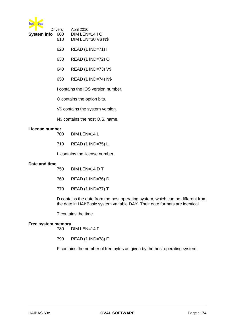

|                 | <b>Drivers</b> | <b>April 2010</b>         |
|-----------------|----------------|---------------------------|
| System info 600 |                | $DIM LENGTH-1410$         |
|                 | 610            | <b>DIM LEN=30 V\$ N\$</b> |

- 620 READ (1 IND=71) I
- 630 READ (1 IND=72) O
- 640 READ (1 IND=73) V\$
- 650 READ (1 IND=74) N\$

I contains the IOS version number.

O contains the option bits.

V\$ contains the system version.

N\$ contains the host O.S. name.

#### **License number**

- 700 DIM LEN=14 L
- 710 READ (1 IND=75) L

L contains the license number.

#### **Date and time**

| $DIM$ LEN=14 D T<br>750 |
|-------------------------|
|-------------------------|

- 760 READ (1 IND=76) D
- 770 READ (1 IND=77) T

D contains the date from the host operating system, which can be different from the date in HAI\*Basic system variable DAY. Their date formats are identical.

T contains the time.

#### **Free system memory**

780 DIM LEN=14 F

790 READ (1 IND=78) F

F contains the number of free bytes as given by the host operating system.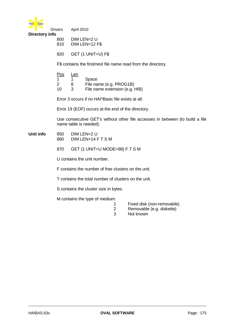

| <b>Drivers</b> | April 2010 |
|----------------|------------|
|                |            |

| 800 | DIM LEN=2 U    |
|-----|----------------|
| 810 | DIM LEN=12 F\$ |

820 GET (1 UNIT=U) F\$

F\$ contains the first/next file name read from the directory.

| $\underline{\mathrm{Pos}}$ | Len |                                |
|----------------------------|-----|--------------------------------|
|                            |     | Space                          |
| 2                          | 8   | File name (e.g. PROG1B)        |
| 10                         | з   | File name extension (e.g. HIB) |

Error 3 occurs if no HAI\*Basic file exists at all.

Error 19 (EOF) occurs at the end of the directory.

Use consecutive GET's without other file accesses in between (to build a file name table is needed).

- **Unit info** 850 DIM LEN=2 U 860 DIM LEN=14 F T S M
	- 870 GET (1 UNIT=U MODE=98) F T S M

U contains the unit number.

F contains the number of free clusters on the unit.

- T contains the total number of clusters on the unit.
- S contains the cluster size in bytes.

M contains the type of medium:

- 1 Fixed disk (non-removable)
- 2 Removable (e.g. diskette)
- 3 Not known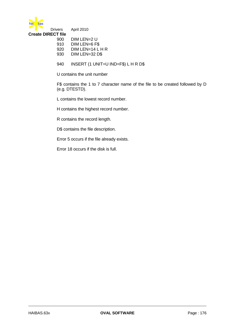

| .   |                    |
|-----|--------------------|
| 900 | $Dim$ LEN=2 U      |
| 910 | DIM LEN=6 F\$      |
| 920 | $DIM$ LEN=14 L H R |
| റററ | DIMITM 20 DC       |

- 930 DIM LEN=32 D\$
- 940 INSERT (1 UNIT=U IND=F\$) L H R D\$

U contains the unit number

F\$ contains the 1 to 7 character name of the file to be created followed by D (e.g. DTESTD).

L contains the lowest record number.

H contains the highest record number.

R contains the record length.

D\$ contains the file description.

Error 5 occurs if the file already exists.

Error 18 occurs if the disk is full.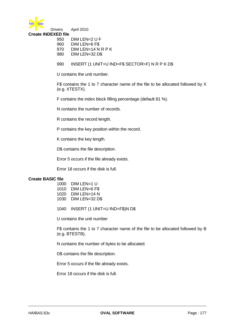

**Create INDEXED file** 950 DIM LEN=2 U F

- 960 DIM LEN=6 F\$
- 970 DIM LEN=14 N R P K
- 980 DIM LEN=32 D\$
- 990 INSERT (1 UNIT=U IND=F\$ SECTOR=F) N R P K D\$

U contains the unit number.

F\$ contains the 1 to 7 character name of the file to be allocated followed by X (e.g. XTESTX).

F contains the index block filling percentage (default 81 %).

N contains the number of records.

R contains the record length.

P contains the key position within the record.

K contains the key length.

D\$ contains the file description.

Error 5 occurs if the file already exists.

Error 18 occurs if the disk is full.

### **Create BASIC file**

| 1000 | DIM LEN=1 U    |
|------|----------------|
| 1010 | DIM LEN=6 F\$  |
| 1020 | DIM LEN=14 N   |
| 1030 | DIM LEN=32 D\$ |

1040 INSERT (1 UNIT=U IND=F\$)N D\$

U contains the unit number

F\$ contains the 1 to 7 character name of the file to be allocated followed by B (e.g. BTESTB).

N contains the number of bytes to be allocated.

D\$ contains the file description.

Error 5 occurs if the file already exists.

Error 18 occurs if the disk is full.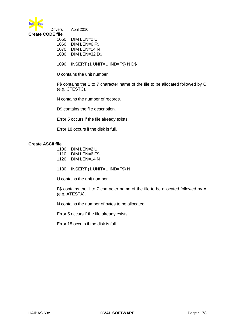

**Create CODE file**

| 1050 | DIM LEN=2 U    |
|------|----------------|
| 1060 | DIM LEN=6 F\$  |
| 1070 | DIM LEN=14 N   |
| 1080 | DIM LEN=32 D\$ |

1090 INSERT (1 UNIT=U IND=F\$) N D\$

U contains the unit number

F\$ contains the 1 to 7 character name of the file to be allocated followed by C (e.g. CTESTC).

N contains the number of records.

D\$ contains the file description.

Error 5 occurs if the file already exists.

Error 18 occurs if the disk is full.

#### **Create ASCII file**

| 1100             | $DIM$ LEN=2 U     |
|------------------|-------------------|
| . . <i>. .</i> . | <b>DIMITM AFA</b> |

- 1110 DIM LEN=6 F\$ 1120 DIM LEN=14 N
- 
- 1130 INSERT (1 UNIT=U IND=F\$) N

U contains the unit number

F\$ contains the 1 to 7 character name of the file to be allocated followed by A (e.g. ATESTA).

N contains the number of bytes to be allocated.

Error 5 occurs if the file already exists.

Error 18 occurs if the disk is full.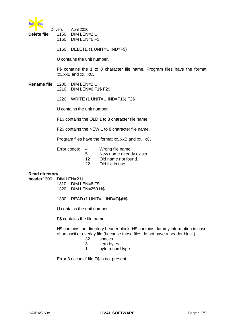

| <b>Delete file</b> | <b>Drivers</b><br>1150 | April 2010<br>DIM LEN=2 U<br>1160 DIM LEN=6 F\$                                                                               |
|--------------------|------------------------|-------------------------------------------------------------------------------------------------------------------------------|
|                    | 1160                   | DELETE (1 UNIT=U IND=F\$)                                                                                                     |
|                    |                        | U contains the unit number.                                                                                                   |
|                    |                        | F\$ contains the 1 to 8 character file name. Program files have the format<br>xxxxB and xxxC.                                 |
| Rename file        |                        | 1200 DIM LEN=2 U<br>1210 DIM LEN=6 F1\$ F2\$                                                                                  |
|                    | 1220                   | WRITE (1 UNIT=U IND=F1\$) F2\$                                                                                                |
|                    |                        | U contains the unit number.                                                                                                   |
|                    |                        | F1\$ contains the OLD 1 to 8 character file name.                                                                             |
|                    |                        | F2\$ contains the NEW 1 to 8 character file name.                                                                             |
|                    |                        | Program files have the format xxxxB and xxxC.                                                                                 |
|                    |                        | Error codes:<br>Wrong file name.<br>4<br>New name already exists.<br>5<br>Old name not found.<br>12<br>22<br>Old file in use. |

# **Read directory**

**header**1300 DIM LEN=2 U

- 1310 DIM LEN=6 F\$ 1320 DIM LEN=250 H\$
- 1330 READ (1 UNIT=U IND=F\$)H\$

U contains the unit number.

F\$ contains the file name.

H\$ contains the directory header block. H\$ contains dummy information in case of an ascii or overlay file (because those files do not have a header block).:

- 32 spaces
- 3 zero bytes
- 1 byte record type

Error 3 occurs if file F\$ is not present.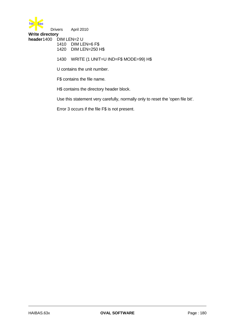

**Write directory header**1400 DIM LEN=2 U

1410 DIM LEN=6 F\$

1420 DIM LEN=250 H\$

1430 WRITE (1 UNIT=U IND=F\$ MODE=99) H\$

U contains the unit number.

F\$ contains the file name.

H\$ contains the directory header block.

Use this statement very carefully, normally only to reset the 'open file bit'.

Error 3 occurs if the file F\$ is not present.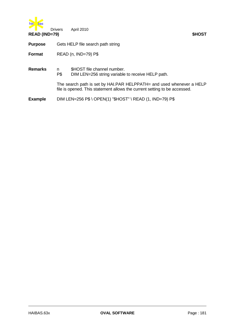

| <b>Purpose</b> | Gets HELP file search path string |
|----------------|-----------------------------------|
|----------------|-----------------------------------|

**Format** READ (n, IND=79) P\$

| <b>Remarks</b> | n<br>P\$ | \$HOST file channel number.<br>DIM LEN=256 string variable to receive HELP path.                                                                  |
|----------------|----------|---------------------------------------------------------------------------------------------------------------------------------------------------|
|                |          | The search path is set by HAI.PAR HELPPATH= and used whenever a HELP<br>file is opened. This statement allows the current setting to be accessed. |
| <b>Example</b> |          | DIM LEN=256 P\$ \ OPEN(1) "\$HOST" \ READ (1, IND=79) P\$                                                                                         |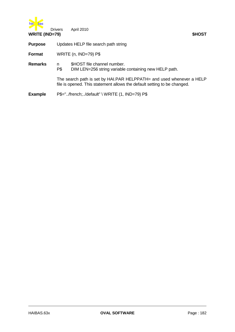

| <b>WRITE (IND=79)</b> |                                                |                                                                                                                                                  | \$HOST |
|-----------------------|------------------------------------------------|--------------------------------------------------------------------------------------------------------------------------------------------------|--------|
| <b>Purpose</b>        | Updates HELP file search path string           |                                                                                                                                                  |        |
| Format                | WRITE (n, IND=79) P\$                          |                                                                                                                                                  |        |
| <b>Remarks</b>        | n<br>P\$                                       | \$HOST file channel number.<br>DIM LEN=256 string variable containing new HELP path.                                                             |        |
|                       |                                                | The search path is set by HAI.PAR HELPPATH= and used whenever a HELP<br>file is opened. This statement allows the default setting to be changed. |        |
| <b>Example</b>        | P\$="/french;/default" \ WRITE (1, IND=79) P\$ |                                                                                                                                                  |        |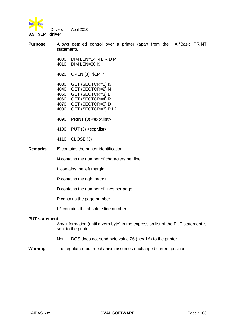

#### **3.5. \$LPT driver**

**Purpose** Allows detailed control over a printer (apart from the HAI\*Basic PRINT statement).

> 4000 DIM LEN=14 N L R D P 4010 DIM LEN=30 I\$

4020 OPEN (3) "\$LPT"

 GET (SECTOR=1) I\$ GET (SECTOR=2) N GET (SECTOR=3) L GET (SECTOR=4) R GET (SECTOR=5) D GET (SECTOR=6) P L2

- 4090 PRINT (3) <expr.list>
- 4100 PUT (3) <expr.list>
- 4110 CLOSE (3)
- **Remarks** I\$ contains the printer identification.

N contains the number of characters per line.

- L contains the left margin.
- R contains the right margin.
- D contains the number of lines per page.
- P contains the page number.
- L2 contains the absolute line number.

#### **PUT statement**

Any information (until a zero byte) in the expression list of the PUT statement is sent to the printer.

- Not: DOS does not send byte value 26 (hex 1A) to the printer.
- **Warning** The regular output mechanism assumes unchanged current position.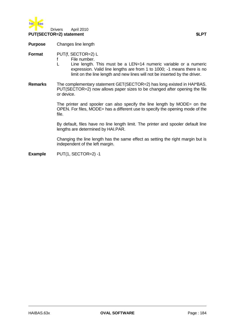

**Purpose** Changes line length

**Format** PUT(f, SECTOR=2) L

- f File number.
- L Line length. This must be a LEN=14 numeric variable or a numeric expression. Valid line lengths are from 1 to 1000; -1 means there is no limit on the line length and new lines will not be inserted by the driver.
- **Remarks** The complementary statement GET(SECTOR=2) has long existed in HAI\*BAS. PUT(SECTOR=2) now allows paper sizes to be changed after opening the file or device.

The printer and spooler can also specify the line length by MODE= on the OPEN. For files, MODE= has a different use to specify the opening mode of the file.

By default, files have no line length limit. The printer and spooler default line lengths are determined by HAI.PAR.

Changing the line length has the same effect as setting the right margin but is independent of the left margin.

**Example** PUT(1, SECTOR=2) -1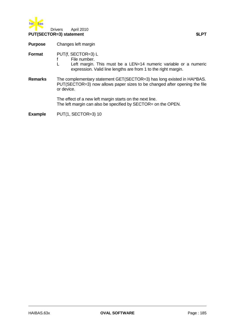

**Purpose** Changes left margin

**Format** PUT(f, SECTOR=3) L

- f File number.
- L Left margin. This must be a LEN=14 numeric variable or a numeric expression. Valid line lengths are from 1 to the right margin.
- **Remarks** The complementary statement GET(SECTOR=3) has long existed in HAI\*BAS. PUT(SECTOR=3) now allows paper sizes to be changed after opening the file or device.

The effect of a new left margin starts on the next line. The left margin can also be specified by SECTOR= on the OPEN.

**Example** PUT(1, SECTOR=3) 10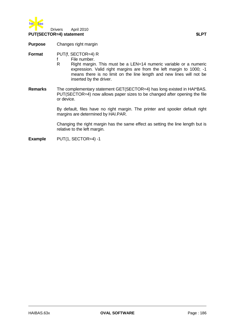

**Purpose** Changes right margin

**Format** PUT(f, SECTOR=4) R

- f File number.<br>R Right margin
- Right margin. This must be a LEN=14 numeric variable or a numeric expression. Valid right margins are from the left margin to 1000; -1 means there is no limit on the line length and new lines will not be inserted by the driver.
- **Remarks** The complementary statement GET(SECTOR=4) has long existed in HAI\*BAS. PUT(SECTOR=4) now allows paper sizes to be changed after opening the file or device.

By default, files have no right margin. The printer and spooler default right margins are determined by HAI.PAR.

Changing the right margin has the same effect as setting the line length but is relative to the left margin.

**Example** PUT(1, SECTOR=4) -1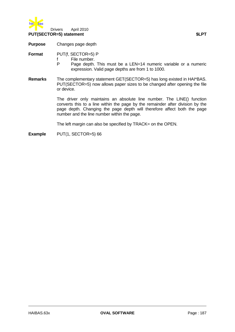

**Purpose** Changes page depth

**Format** PUT(f, SECTOR=5) P

- f File number.<br>P Page depth.
- Page depth. This must be a LEN=14 numeric variable or a numeric expression. Valid page depths are from 1 to 1000.
- **Remarks** The complementary statement GET(SECTOR=5) has long existed in HAI\*BAS. PUT(SECTOR=5) now allows paper sizes to be changed after opening the file or device.

The driver only maintains an absolute line number. The LINE() function converts this to a line within the page by the remainder after division by the page depth. Changing the page depth will therefore affect both the page number and the line number within the page.

The left margin can also be specified by TRACK= on the OPEN.

**Example** PUT(1, SECTOR=5) 66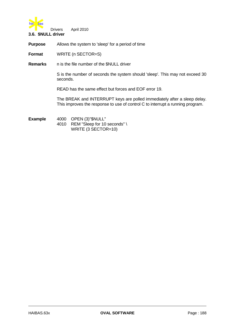

**Purpose** Allows the system to 'sleep' for a period of time

**Format** WRITE (n SECTOR=S)

**Remarks** n is the file number of the \$NULL driver

S is the number of seconds the system should 'sleep'. This may not exceed 30 seconds.

READ has the same effect but forces and EOF error 19.

The BREAK and INTERRUPT keys are polled immediately after a sleep delay. This improves the response to use of control C to interrupt a running program.

**Example** 4000 OPEN (3)"\$NULL" 4010 REM "Sleep for 10 seconds" \ WRITE (3 SECTOR=10)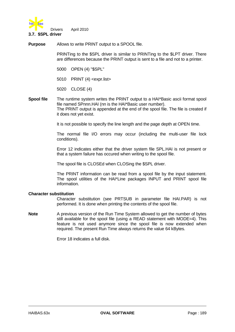

**Purpose** Allows to write PRINT output to a SPOOL file.

PRINTing to the \$SPL driver is similar to PRINTing to the \$LPT driver. There are differences because the PRINT output is sent to a file and not to a printer.

- 5000 OPEN (4) "\$SPL"
- 5010 PRINT (4) <expr.list>
- 5020 CLOSE (4)
- **Spool file** The runtime system writes the PRINT output to a HAI\*Basic ascii format spool file named SPnnn.HAI (nn is the HAI\*Basic user number). The PRINT output is appended at the end of the spool file. The file is created if it does not yet exist.

It is not possible to specify the line length and the page depth at OPEN time.

The normal file I/O errors may occur (including the multi-user file lock conditions).

Error 12 indicates either that the driver system file SPL.HAI is not present or that a system failure has occured when writing to the spool file.

The spool file is CLOSEd when CLOSing the \$SPL driver.

The PRINT information can be read from a spool file by the input statement. The spool utilities of the HAI\*Line packages INPUT and PRINT spool file information.

#### **Character substitution**

Character substitution (see PRTSUB in parameter file HAI.PAR) is not performed. It is done when printing the contents of the spool file.

**Note** A previous version of the Run Time System allowed to get the number of bytes still available for the spool file (using a READ statement with MODE=4). This feature is not used anymore since the spool file is now extended when required. The present Run Time always returns the value 64 kBytes.

Error 18 indicates a full disk.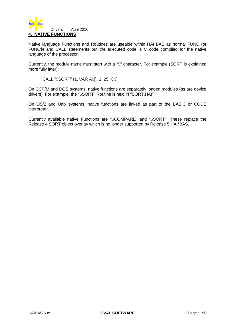

Native language Functions and Routines are useable within HAI\*BAS as normal FUNC (or FUNC\$) and CALL statements but the executed code is C code compiled for the native language of the processor.

Currently, the module name must start with a "\$" character. For example (SORT is explained more fully later):

CALL "\$SORT" (1, VAR A\$[], 1, 25, C\$)

On CCP/M and DOS systems, native functions are separately loaded modules (as are device drivers). For example, the "\$SORT" Routine is held in "SORT.HAI".

On OS/2 and Unix systems, native functions are linked as part of the BASIC or CODE interpreter.

Currently available native Functions are "\$COMPARE" and "\$SORT". These replace the Release 4 SORT object overlay which is no longer supported by Release 5 HAI\*BAS.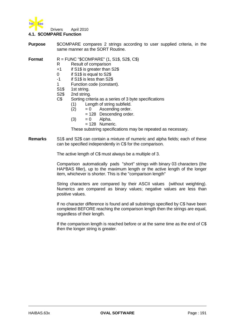

### **4.1. \$COMPARE Function**

**Purpose** \$COMPARE compares 2 strings according to user supplied criteria, in the same manner as the SORT Routine.

**Format** R = FUNC "\$COMPARE" (1, S1\$, S2\$, C\$)

- R Result of comparison
- +1 if S1\$ is greater than S2\$
- 0 if S1\$ is equal to S2\$
- -1 if S1\$ is less than S2\$
- 1 Function code (constant).
- S<sub>1\$</sub> 1st string.
- S2\$ 2nd string.
- C\$ Sorting criteria as a series of 3 byte specifications
	- (1) Length of string subfield.
	- $(2) = 0$  Ascending order.
		- = 128 Descending order.
	- $(3) = 0$  Alpha.
		- $= 128$  Numeric.

These substring specifications may be repeated as necessary.

**Remarks** S1\$ and S2\$ can contain a mixture of numeric and alpha fields; each of these can be specified independently in C\$ for the comparison.

The active length of C\$ must always be a multiple of 3.

Comparison automatically pads "short" strings with binary 03 characters (the HAI\*BAS filler), up to the maximum length or the active length of the longer item, whichever is shorter. This is the "comparison length"

String characters are compared by their ASCII values (without weighting). Numerics are compared as binary values; negative values are less than positive values.

If no character difference is found and all substrings specified by C\$ have been completed BEFORE reaching the comparison length then the strings are equal, regardless of their length.

If the comparison length is reached before or at the same time as the end of C\$ then the longer string is greater.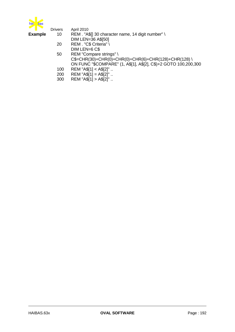

| ➤∎≅            | <b>Drivers</b> | <b>April 2010</b>                                               |
|----------------|----------------|-----------------------------------------------------------------|
| <b>Example</b> | 10             | REM. "A\$[] 30 character name, 14 digit number" \               |
|                |                | <b>DIM LEN=36 A\$[50]</b>                                       |
|                | 20             | REM. "C\$ Criteria" \                                           |
|                |                | DIM LEN=6 C\$                                                   |
|                | 50             | REM "Compare strings" \                                         |
|                |                | C\$=CHR(30)+CHR(0)+CHR(0)+CHR(6)+CHR(128)+CHR(128)\             |
|                |                | ON FUNC "\$COMPARE" (1, A\$[1], A\$[2], C\$)+2 GOTO 100,200,300 |
|                | 100            | $REM$ "A\$[1] < A\$[2]"                                         |
|                | 200            | REM "A\$[1] = $A$[2]$ "                                         |
|                | 300            | REM "A\$[1] > A\$[2]"                                           |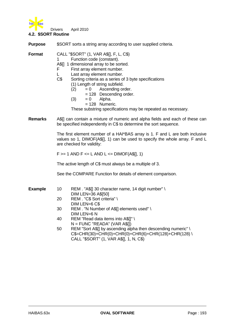

**4.2. \$SORT Routine**

| <b>Purpose</b> | \$SORT sorts a string array according to user supplied criteria.                                                                                                                                                                                                                                                                                                                                                                                                           |  |  |  |
|----------------|----------------------------------------------------------------------------------------------------------------------------------------------------------------------------------------------------------------------------------------------------------------------------------------------------------------------------------------------------------------------------------------------------------------------------------------------------------------------------|--|--|--|
| <b>Format</b>  | CALL "\$SORT" (1, VAR A\$[], F, L, C\$)<br>Function code (constant).<br>A\$[] 1 dimensional array to be sorted.<br>F<br>First array element number.<br>Last array element number.<br>C <sub>5</sub><br>Sorting criteria as a series of 3 byte specifications<br>(1) Length of string subfield.<br>$= 0$ Ascending order.<br>(2)<br>$= 128$ Descending order.<br>(3)<br>Alpha.<br>$= 0$<br>$= 128$ Numeric.<br>These substring specifications may be repeated as necessary. |  |  |  |
| <b>Remarks</b> | A\$[] can contain a mixture of numeric and alpha fields and each of these can<br>be specified independently in C\$ to determine the sort sequence.                                                                                                                                                                                                                                                                                                                         |  |  |  |

The first element number of a HAI\*BAS array is 1. F and L are both inclusive values so 1, DIMOF(A\$[], 1) can be used to specify the whole array. F and L are checked for validity:

 $F >= 1$  AND  $F <= L$  AND  $L <=$  DIMOF(A\$[], 1)

The active length of C\$ must always be a multiple of 3.

See the COMPARE Function for details of element comparison.

**Example** 10 REM . "A\$[] 30 character name, 14 digit number" \

- DIM LEN=36 A\$[50] 20 REM . "C\$ Sort criteria" \ DIM LEN=6 C\$
- 30 REM . "N Number of A\$[] elements used" \ DIM LEN=6 N
- 40 REM "Read data items into A\$[]" \  $N =$  FUNC "READA" (VAR A\$[1)
- 50 REM "Sort A\$[] by ascending alpha then descending numeric" \  $C$=CHR(30)+CHR(0)+CHR(0)+CHR(6)+CHR(128)+CHR(128)$ CALL "\$SORT" (1, VAR A\$[], 1, N, C\$)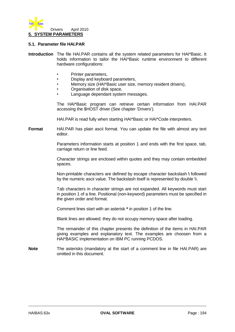

### **5.1. Parameter file HAI.PAR**

- **Introduction** The file HAI.PAR contains all the system related parameters for HAI\*Basic. It holds information to tailor the HAI\*Basic runtime environment to different hardware configurations:
	- Printer parameters,
	- Display and keyboard parameters,
	- Memory size (HAI\*Basic user size, memory resident drivers),
	- Organisation of disk space,
	- Language dependant system messages.

The HAI\*Basic program can retrieve certain information from HAI.PAR accessing the \$HOST driver (See chapter 'Drivers').

HAI.PAR is read fully when starting HAI\*Basic or HAI\*Code interpreters.

**Format** HAI.PAR has plain ascii format. You can update the file with almost any text editor.

> Parameters information starts at position 1 and ends with the first space, tab, carriage return or line feed.

> Character strings are enclosed within quotes and they may contain embedded spaces.

> Non-printable characters are defined by escape character backslash **\** followed by the numeric ascii value. The backslash itself is represented by double \\.

> Tab characters in character strings are not expanded. All keywords must start in position 1 of a line. Positional (non-keyword) parameters must be specified in the given order and format.

Comment lines start with an asterisk **\*** in position 1 of the line.

Blank lines are allowed; they do not occupy memory space after loading.

The remainder of this chapter presents the definition of the items in HAI.PAR giving examples and explanatory text. The examples are choosen from a HAI\*BASIC implementation on IBM PC running PCDOS.

**Note** The asterisks (mandatory at the start of a comment line in file HAI.PAR) are omitted in this document.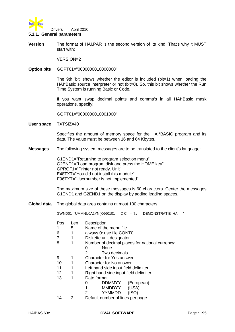

### **5.1.1. General parameters**

**Version** The format of HAI.PAR is the second version of its kind. That's why it MUST start with:

VERSION=2

**Option bits** GOPT01="0000000010000000"

The 9th 'bit' shows whether the editor is included (bit=1) when loading the HAI\*Basic source interpreter or not (bit=0). So, this bit shows whether the Run Time System is running Basic or Code.

If you want swap decimal points and comma's in all HAI\*Basic mask operations, specify:

GOPT01="0000000010001000"

**User space** TXTSIZ=40

Specifies the amount of memory space for the HAI\*BASIC program and its data. The value must be between 16 and 64 Kbytes.

**Messages** The following system messages are to be translated to the client's language:

G1END1="Returning to program selection menu" G2END1="Load program disk and press the HOME key" GPROF1="Printer not ready. Unit" E48TXT="You did not install this module" E96TXT="Usernumber is not implemented"

The maximum size of these messages is 60 characters. Center the messages G1END1 and G2END1 on the display by adding leading spaces.

**Global data** The global data area contains at most 100 characters:

GWND01="UMMNU0A2YN[]0660101 D C -.:?:/ DEMONSTRATIE HAI "

| 'OS | <u>Len</u><br>5 | Description<br>Name of the menu file.           |  |  |  |
|-----|-----------------|-------------------------------------------------|--|--|--|
|     |                 |                                                 |  |  |  |
| 6   | 1               | always 0: use file CONT0.                       |  |  |  |
| 7   | 1               | Diskette unit designator.                       |  |  |  |
| 8   |                 | Number of decimal places for national currency: |  |  |  |
|     |                 | : None                                          |  |  |  |
|     |                 | : Two decimals<br>2                             |  |  |  |
| 9   | 1               | Character for Yes answer.                       |  |  |  |
| 10  | 1               | Character for No answer.                        |  |  |  |
| 11  |                 | Left hand side input field delimiter.           |  |  |  |
| 12  | 1               | Right hand side input field delimiter.          |  |  |  |
| 13  | 1               | Date format:                                    |  |  |  |
|     |                 | : DDMMYY_<br>(European)<br>0                    |  |  |  |
|     |                 | : MMDDYY<br>(USA)                               |  |  |  |
|     |                 | : YYMMDD<br>2<br>(ISO)                          |  |  |  |
| 14  | 2               | Default number of lines per page                |  |  |  |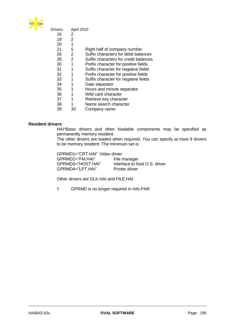

| Drivers |    | April 2010                            |
|---------|----|---------------------------------------|
| 16      | 2  |                                       |
| 18      | 2  |                                       |
| 20      | 1  |                                       |
| 21      | 5  | Right half of company number          |
| 26      | 2  | Suffix characters for debit balances  |
| 28      | 2  | Suffix characters for credit balances |
| 30      | 1  | Prefix character for positive fields  |
| 31      | 1  | Suffix character for negative fields  |
| 32      | 1  | Prefix character for positive fields  |
| 33      | 1  | Suffix character for negative fields  |
| 34      | 1  | Date separator                        |
| 35      | 1  | Hours and minute separator            |
| 36      | 1  | Wild card character                   |
| 37      | 1  | Retrieve key character                |
| 38      | 1  | Name search character                 |
| 39      | 30 | Company name                          |
|         |    |                                       |

# **Resident drivers**

HAI\*Basic drivers and other loadable components may be specified as permanently memory resident.

The other drivers are loaded when required. You can specify at most 9 drivers to be memory resident. The minimum set is:

GPRMD1="CRT.HAI" Video driver<br>GPRMD2="FM.HAI" File manager GPRMD2="FM.HAI" GPRMD3="HOST.HAI" Interface to host O.S. driver<br>GPRMD4="LPT.HAI" Printer driver GPRMD4="LPT.HAI"

Other drivers are DLK.HAI and FILE.HAI

!! GPRMD is no longer required in HAI.PAR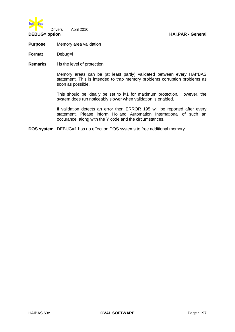

**Purpose** Memory area validation

**Format** Debug=l

**Remarks** l is the level of protection.

Memory areas can be (at least partly) validated between every HAI\*BAS statement. This is intended to trap memory problems corruption problems as soon as possible.

This should be ideally be set to  $l=1$  for maximum protection. However, the system does run noticeably slower when validation is enabled.

If validation detects an error then ERROR 195 will be reported after every statement. Please inform Holland Automation International of such an occurance, along with the Y code and the circumstances.

**DOS system** DEBUG=1 has no effect on DOS systems to free additional memory.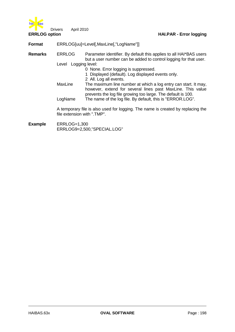

**ERRLOG option HAI.PAR - Error logging**

**Format** ERRLOG[uu]=Level[,MaxLine[,"LogName"]]

**Remarks** ERRLOG Parameter identifier. By default this applies to all HAI\*BAS users but a user number can be added to control logging for that user.

Level Logging level:

0 None. Error logging is suppressed.

1 Displayed (default). Log displayed events only.

2 All. Log all events.

MaxLine The maximum line number at which a log entry can start. It may, however, extend for several lines past MaxLine. This value prevents the log file growing too large. The default is 100. LogName The name of the log file. By default, this is "ERROR.LOG".

A temporary file is also used for logging. The name is created by replacing the file extension with ".TMP".

**Example** ERRLOG=1,300 ERRLOG9=2,500,"SPECIAL.LOG"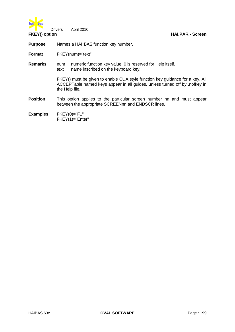

**FKEY() option HAI.PAR - Screen**

Drivers April 2010

**Purpose** Names a HAI\*BAS function key number.

**Format** FKEY(num)="text"

**Remarks** num numeric function key value. 0 is reserved for Help itself. text name inscribed on the keyboard key.

> FKEY() must be given to enable CUA style function key guidance for a key. All ACCEPTable named keys appear in all guides, unless turned off by .nofkey in the Help file.

- **Position** This option applies to the particular screen number nn and must appear between the appropriate SCREENnn and ENDSCR lines.
- **Examples** FKEY(0)="F1" FKEY(1)="Enter"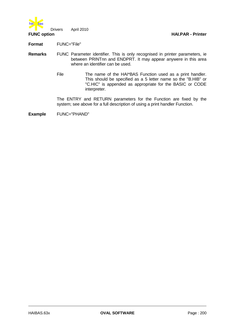

**Format** FUNC="File"

- **Remarks** FUNC Parameter identifier. This is only recognised in printer parameters, ie between PRINTnn and ENDPRT. It may appear anywere in this area where an identifier can be used.
	- File The name of the HAI\*BAS Function used as a print handler. This should be specified as a 5 letter name so the "B.HIB" or "C.HIC" is appended as appropriate for the BASIC or CODE interpreter.

The ENTRY and RETURN parameters for the Function are fixed by the system; see above for a full description of using a print handler Function.

**Example** FUNC="PHAND"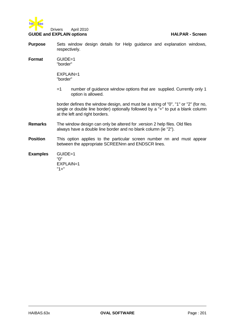

- **Purpose** Sets window design details for Help guidance and explanation windows, respectively.
- **Format** GUIDE=1 "border"

EXPLAIN=1 "border"

=1 number of guidance window options that are supplied. Currently only 1 option is allowed.

border defines the window design, and must be a string of "0", "1" or "2" (for no, single or double line border) optionally followed by a "+" to put a blank column at the left and right borders.

- **Remarks** The window design can only be altered for .version 2 help files. Old files always have a double line border and no blank column (ie "2").
- **Position** This option applies to the particular screen number nn and must appear between the appropriate SCREENnn and ENDSCR lines.

**Examples** GUIDE=1 "0" EXPLAIN=1 "1+"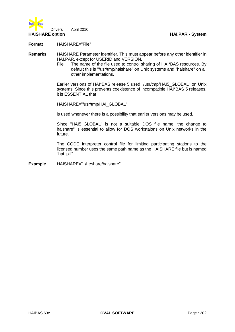

**Format** HAISHARE="File"

**Remarks** HAISHARE Parameter identifier. This must appear before any other identifier in HAI.PAR, except for USERID and VERSION.

> File The name of the file used to control sharing of HAI\*BAS resources. By default this is "/usr/tmp/haishare" on Unix systems and "haishare" on all other implementations.

> Earlier versions of HAI\*BAS release 5 used "/usr/tmp/HAI5\_GLOBAL" on Unix systems. Since this prevents coexistence of incompatible HAI\*BAS 5 releases, it is ESSENTIAL that

HAISHARE="/usr/tmp/HAI\_GLOBAL"

is used whenever there is a possibility that earlier versions may be used.

Since "HAI5\_GLOBAL" is not a suitable DOS file name, the change to haishare" is essential to allow for DOS workstaions on Unix networks in the future.

The CODE interpreter control file for limiting participating stations to the licensed number uses the same path name as the HAISHARE file but is named "hai pill".

**Example** HAISHARE="../heshare/haishare"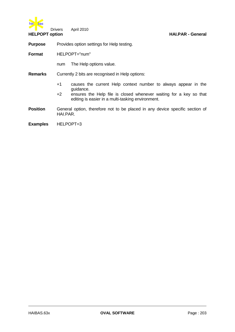

**Purpose** Provides option settings for Help testing.

**Format** HELPOPT="num"

num The Help options value.

**Remarks** Currently 2 bits are recognised in Help options:

- +1 causes the current Help context number to always appear in the guidance.
- +2 ensures the Help file is closed whenever waiting for a key so that editing is easier in a multi-tasking environment.
- **Position** General option, therefore not to be placed in any device specific section of HAI.PAR.

**Examples** HELPOPT=3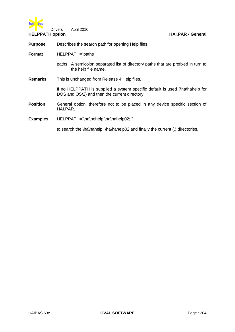

**Purpose** Describes the search path for opening Help files.

- paths A semicolon separated list of directory paths that are prefixed in turn to the help file name.
- **Remarks** This is unchanged from Release 4 Help files.

If no HELPPATH is supplied a system specific default is used (\ha\hahelp for DOS and OS/2) and then the current directory.

**Position** General option, therefore not to be placed in any device specific section of HAI.PAR.

# **Examples** HELPPATH="\ha\hehelp;\ha\hahelp02;."

to search the \ha\hahelp, \ha\hahelp02 and finally the current (.) directories.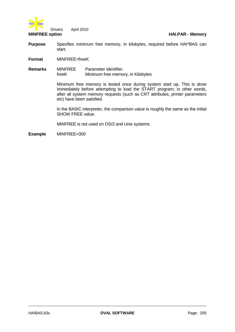

- **Purpose** Specifies minimum free memory, in kilobytes, required before HAI\*BAS can start.
- **Format** MINFREE=freeK
- **Remarks** MINFREE Parameter identifier. freeK Minimum free memory, in Kilobytes

Minimum free memory is tested once during system start up. This is done immediately before attempting to load the START program; in other words, after all system memory requests (such as CRT attributes, printer parameters etc) have been satisfied.

In the BASIC interpreter, the comparison value is roughly the same as the initial SHOW FREE value.

MINFREE is not used on OS/2 and Unix systems.

**Example** MINFREE=300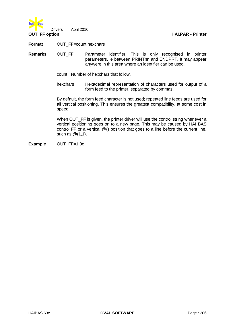

**Format** OUT\_FF=count,hexchars

**Remarks** OUT\_FF Parameter identifier. This is only recognised in printer parameters, ie between PRINTnn and ENDPRT. It may appear anywere in this area where an identifier can be used.

count Number of hexchars that follow.

hexchars Hexadecimal representation of characters used for output of a form feed to the printer, separated by commas.

By default, the form feed character is not used; repeated line feeds are used for all vertical positioning. This ensures the greatest compatibility, at some cost in speed.

When OUT FF is given, the printer driver will use the control string whenever a vertical positioning goes on to a new page. This may be caused by HAI\*BAS control FF or a vertical @() position that goes to a line before the current line, such as @(1,1).

**Example** OUT FF=1,0c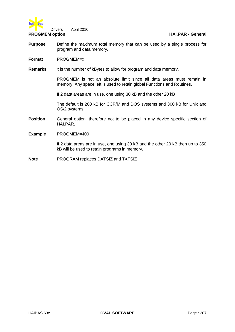

- **Purpose** Define the maximum total memory that can be used by a single process for program and data memory.
- **Format** PROGMEM=x
- **Remarks** x is the number of kBytes to allow for program and data memory.

PROGMEM is not an absolute limit since all data areas must remain in memory. Any space left is used to retain global Functions and Routines.

If 2 data areas are in use, one using 30 kB and the other 20 kB

The default is 200 kB for CCP/M and DOS systems and 300 kB for Unix and OS/2 systems.

- **Position** General option, therefore not to be placed in any device specific section of HAI.PAR.
- **Example** PROGMEM=400

If 2 data areas are in use, one using 30 kB and the other 20 kB then up to 350 kB will be used to retain programs in memory.

**Note** PROGRAM replaces DATSIZ and TXTSIZ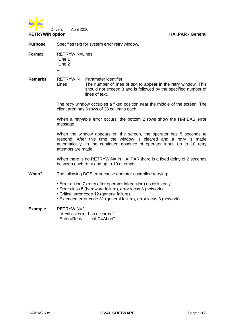

**Purpose** Specifies text for system error retry window.

**Format** RETRYWIN=Lines "Line 1" "Line 2" ...

**Remarks** RETRYWIN Parameter identifier. Lines The number of lines of text to appear in the retry window. This should not exceed 3 and is followed by the specified number of lines of text.

> The retry window occupies a fixed position near the middle of the screen. The client area has 6 rows of 38 columns each.

> When a retryable error occurs, the bottom 2 rows show the HAI\*BAS error message.

> When the window appears on the screen, the operator has 5 seconds to respond. After this time the window is cleared and a retry is made automatically. In the continued absence of operator input, up to 10 retry attempts are made.

> When there is no RETRYWIN= in HAI.PAR there is a fixed delay of 2 seconds between each retry and up to 10 attempts.

**When?** The following DOS error cause operator controlled retrying:

- Error action 7 (retry after operator interaction) on disks only.
- Error class 5 (hardware failure), error locus 3 (network).
- Critical error code 12 (general failure).
- Extended error code 31 (general failure), error locus 3 (network).

# **Example** RETRYWIN=2

- " A critical error has occurred"
- " Enter=Retry ctrl-C=Abort"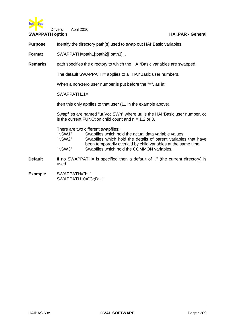

**SWAPPATH option HAI.PAR - General**

**Purpose** Identify the directory path(s) used to swap out HAI\*Basic variables.

**Format** SWAPPATH=path1[;path2][;path3]...

**Remarks** path specifies the directory to which the HAI\*Basic variables are swapped.

The default SWAPPATH= applies to all HAI\*Basic user numbers.

When a non-zero user number is put before the "=", as in:

 $SWAPPATH11 =$ 

then this only applies to that user (11 in the example above).

Swapfiles are named "uuVcc.SWn" where uu is the HAI\*Basic user number, cc is the current FUNCtion child count and  $n = 1.2$  or 3.

There are two different swapfiles:

| "*.SW1" | Swapfiles which hold the actual data variable values.          |
|---------|----------------------------------------------------------------|
| "*.SW2" | Swapfiles which hold the details of parent variables that have |
|         | been temporarily overlaid by child variables at the same time. |
| "*.SW3" | Swapfiles which hold the COMMON variables.                     |

- **Default** If no SWAPPATH= is specified then a default of "." (the current directory) is used.
- **Example** SWAPPATH="I:;." SWAPPATH10="C:;D:;."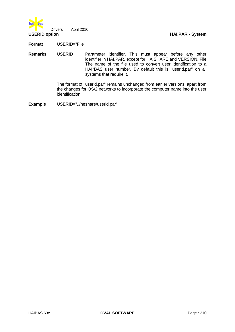

**Format** USERID="File"

**Remarks** USERID Parameter identifier. This must appear before any other identifier in HAI.PAR, except for HAISHARE and VERSION. File The name of the file used to convert user identification to a HAI\*BAS user number. By default this is "userid.par" on all systems that require it.

> The format of "userid.par" remains unchanged from earlier versions, apart from the changes for OS/2 networks to incorporate the computer name into the user identification.

**Example** USERID="../heshare/userid.par"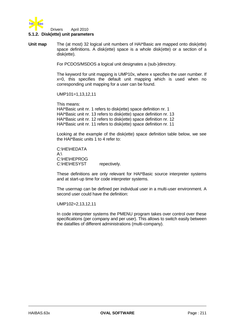

## **5.1.2. Disk(ette) unit parameters**

**Unit map** The (at most) 32 logical unit numbers of HAI\*Basic are mapped onto disk(ette) space definitions. A disk(ette) space is a whole disk(ette) or a section of a disk(ette).

For PCDOS/MSDOS a logical unit designates a (sub-)directory.

The keyword for unit mapping is UMP10x, where x specifies the user number. If x=0, this specifies the default unit mapping which is used when no corresponding unit mapping for a user can be found.

UMP101=1,13,12,11

This means: HAI\*Basic unit nr. 1 refers to disk(ette) space definition nr. 1 HAI\*Basic unit nr. 13 refers to disk(ette) space definition nr. 13 HAI\*Basic unit nr. 12 refers to disk(ette) space definition nr. 12 HAI\*Basic unit nr. 11 refers to disk(ette) space definition nr. 11

Looking at the example of the disk(ette) space definition table below, we see the HAI\*Basic units 1 to 4 refer to:

C:\HE\HEDATA  $A \cdot \setminus$ C:\HE\HEPROG C:\HE\HESYST repectively.

These definitions are only relevant for HAI\*Basic source interpreter systems and at start-up time for code interpreter systems.

The usermap can be defined per individual user in a multi-user environment. A second user could have the definition:

UMP102=2,13,12,11

In code interpreter systems the PMENU program takes over control over these specifications (per company and per user). This allows to switch easily between the datafiles of different administrations (multi-company).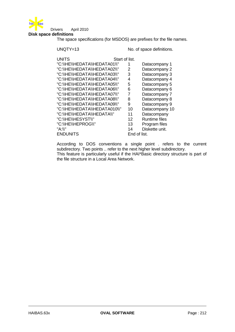

## **Disk space definitions**

The space specifications (for MSDOS) are prefixes for the file names.

UNQTY=13 No. of space definitions.

| <b>UNITS</b>                  | Start of list. |              |                      |
|-------------------------------|----------------|--------------|----------------------|
| "C:\\HE\\HEDATA\\HEDATA01\\"  | 1              |              | Datacompany 1        |
| "C:\\HE\\HEDATA\\HEDATA02\\"  | 2              |              | Datacompany 2        |
| "C:\\HE\\HEDATA\\HEDATA03\\"  | 3              |              | Datacompany 3        |
| "C:\\HE\\HEDATA\\HEDATA04\\"  | 4              |              | Datacompany 4        |
| "C:\\HE\\HEDATA\\HEDATA05\\"  | 5              |              | Datacompany 5        |
| "C:\\HE\\HEDATA\\HEDATA06\\"  | 6              |              | Datacompany 6        |
| "C:\\HE\\HEDATA\\HEDATA07\\"  | 7              |              | Datacompany 7        |
| "C:\\HE\\HEDATA\\HEDATA08\\"  | 8              |              | Datacompany 8        |
| "C:\\HE\\HEDATA\\HEDATA09\\"  | 9              |              | Datacompany 9        |
| "C:\\HE\\HEDATA\\HEDATA010\\" |                | 10           | Datacompany 10       |
| "C:\\HE\\HEDATA\\HEDATA\\"    |                | 11           | Datacompany          |
| "C:\\HE\\HESYST\\"            |                | 12           | <b>Runtime files</b> |
| "C:\\HE\\HEPROG\\"            |                | 13           | Program files        |
| "A:\\"                        |                | 14           | Diskette unit.       |
| <b>ENDUNITS</b>               |                | End of list. |                      |

According to DOS conventions a single point . refers to the current subdirectory. Two points .. refer to the next higher level subdirectory. This feature is particularly useful if the HAI\*Basic directory structure is part of the file structure in a Local Area Network.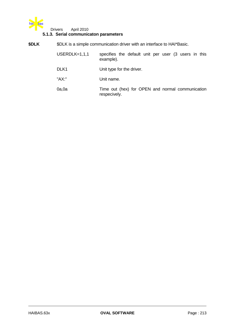

## **5.1.3. Serial communicaton parameters**

| \$DLK | \$DLK is a simple communication driver with an interface to HAI*Basic. |                                                                   |  |  |
|-------|------------------------------------------------------------------------|-------------------------------------------------------------------|--|--|
|       | $USERDLK=1,1,1$                                                        | specifies the default unit per user (3 users in this<br>example). |  |  |
|       | DLK <sub>1</sub>                                                       | Unit type for the driver.                                         |  |  |
|       | "AX:"                                                                  | Unit name.                                                        |  |  |
|       | 0a,0a                                                                  | Time out (hex) for OPEN and normal communication<br>respecively.  |  |  |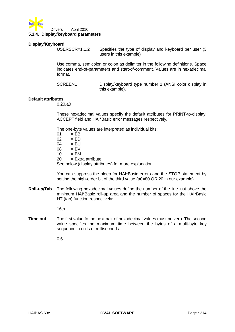

## **Display/Keyboard**

USERSCR=1,1,2 Specifies the type of display and keyboard per user (3 users in this example)

Use comma, semicolon or colon as delimiter in the following definitions. Space indicates end-of-parameters and start-of-comment. Values are in hexadecimal format.

SCREEN1 Display/keyboard type number 1 (ANSI color display in this example).

### **Default attributes**

0,20,a0

These hexadecimal values specify the default attributes for PRINT-to-display, ACCEPT field and HAI\*Basic error messages respectively.

The one-byte values are interpreted as individual bits:

 $01 = BB$  $02 = BD$  $04 = BU$ <br> $08 = BV$  $=$  BV  $10 = BM$ <br> $20 = Extr$  $=$  Extra atrribute See below (display attributes) for more explanation.

You can suppress the bleep for HAI\*Basic errors and the STOP statement by setting the high-order bit of the third value (a0=80 OR 20 in our example).

**Roll-up/Tab** The following hexadecimal values define the number of the line just above the minimum HAI\*Basic roll-up area and the number of spaces for the HAI\*Basic HT (tab) function respectively:

16,a

**Time out** The first value fo the next pair of hexadecimal values must be zero. The second value specifies the maximum time between the bytes of a mulit-byte key sequence in units of milliseconds.

0,6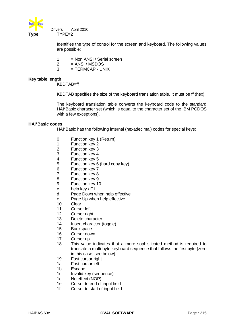

 Drivers April 2010 **Type** TYPE=2

> Identifies the type of control for the screen and keyboard. The following values are possible:

- $1 = Non ANSI / Serial screen$
- $2 = ANSI / MSDOS$
- $3 = TERMCAP UNIX$

## **Key table length**

KBDTAB=ff

KBDTAB specifies the size of the keyboard translation table. It must be ff (hex).

The keyboard translation table converts the keyboard code to the standard HAI\*Basic character set (which is equal to the character set of the IBM PCDOS with a few exceptions).

## **HAI\*Basic codes**

HAI\*Basic has the following internal (hexadecimal) codes for special keys:

- 0 Function key 1 (Return)
- 1 Function key 2<br>2 Function key 3
- 2 Function key 3
- 3 Function key 4
- 4 Function key 5
- 5 Function key 6 (hard copy key)
- 6 Function key 7
- 7 Function key 8
- 8 Function key 9
- 9 Function key 10
- c help key / F1
- d Page Down when help effective
- e Page Up when help effective
- 10 Clear
- 11 Cursor left
- 12 Cursor right
- 13 Delete character
- 14 Insert character (toggle)
- 15 Backspace
- 16 Cursor down
- 17 Cursor up
- 18 This value indicates that a more sophisticated method is required to translate a multi-byte keyboard sequence that follows the first byte (zero in this case, see below).
- 19 Fast cursor right
- 1a Fast cursor left
- 1b Escape
- 1c Invalid key (sequence)
- 1d No effect (NOP)
- 1e Cursor to end of input field
- 1f Cursor to start of input field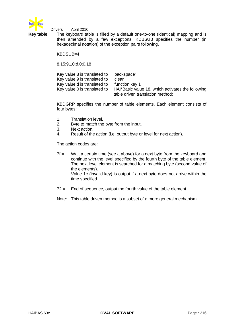

**Key table** The keyboard table is filled by a default one-to-one (identical) mapping and is then amended by a few exceptions. KDBSUB specifies the number (in hexadecimal notation) of the exception pairs following.

KBDSUB=4

8,15;9,10;d,0;0,18

| Key value 8 is translated to | 'backspace'                                       |
|------------------------------|---------------------------------------------------|
| Key value 9 is translated to | 'clear'                                           |
| Key value d is translated to | "function kev 1"                                  |
| Key value 0 is translated to | HAI*Basic value 18, which activates the following |
|                              | table driven translation method:                  |

KBDGRP specifies the number of table elements. Each element consists of four bytes:

- 1. Translation level,
- 2. Byte to match the byte from the input,
- 3. Next action,
- 4. Result of the action (i.e. output byte or level for next action).

The action codes are:

- $7f =$  Wait a certain time (see a above) for a next byte from the keyboard and continue with the level specified by the fourth byte of the table element. The next level element is searched for a matching byte (second value of the elements). Value 1c (invalid key) is output if a next byte does not arrive within the time specified.
- 72 = End of sequence, output the fourth value of the table element.
- Note: This table driven method is a subset of a more general mechanism.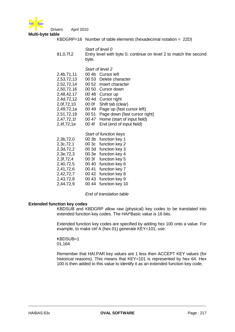

**Multi-byte table**

KBDGRP=16 Number of table elements (hexadecimal notation = 22D)

- *Start of level 0*
- 81,0,7f,2 Entry level with byte 0, continue on level 2 to match the second byte.
	- *Start of level 2*
- 2,4b,71,11 00 4b Cursor left 2,53,72,13 00 53 Delete character 2,52,72,14 00 52 Insert character 2,50,72,16 00 50 Cursor down 2,48,42,17 00 48 Cursor up 2,4d,72,12 00 4d Cursor right 2,0f,72,10 00 0f Shift tab (clear) 2,49,72,1a 00 49 Page up (fast cursor left) 2,51,72,19 00 51 Page down (fast cursor right)<br>2,47,72,1f 00 47 Home (start of input field) 00 47 Home (start of input field) 2,4f,72,1e 00 4f End (end of input field)

|           |       | Start of function keys |
|-----------|-------|------------------------|
| 2,3b,72,0 |       | 00 3b function key 1   |
| 2,3c,72,1 |       | 00 3c function key 2   |
| 2,3d,72,2 |       | 00 3d function key 3   |
| 2,3e,72,3 | 00 3e | function key 4         |
| 2,3f,72,4 | 00 3f | function key 5         |
| 2,40,72,5 | 00 40 | function key 6         |
| 2,41,72,6 | 00 41 | function key 7         |
| 2,42,72,7 | 00 42 | function key 8         |
| 2,43,72,8 | 00 43 | function key 9         |
| 2,44,72,9 | 00 44 | function key 10        |

*End of translation table*

## **Extended function key codes**

KBDSUB and KBDGRP allow raw (physical) key codes to be translated into extended function key codes. The HAI\*Basic value is 16 bits.

Extended function key codes are specified by adding hex 100 onto a value. For example, to make ctrl A (hex 01) generate KEY=101, use:

KBDSUB=1 01,164

Remember that HAI.PAR key values are 1 less then ACCEPT KEY values (for historical reasons). This means that KEY=101 is represented by hex 64. Hex 100 is then added to this value to identify it as an extended function key code.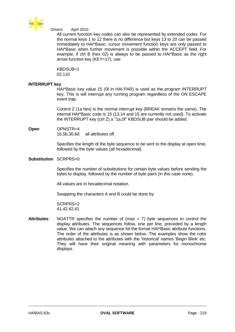

All current function key codes can also be represented by extended codes. For the normal keys 1 to 12 there is no difference but keys 13 to 20 can be passed immediately to HAI\*Basic; cursor movement function keys are only passed to HAI\*Basic when further movement is possible within the ACCEPT field. For example, if ctrl B (hex 02) is always to be passed to HAI\*Basic as the right arrow function key (KEY=17), use:

KBDSUB=1 02,110

### **INTERRUPT key**

HAI\*Basic key value 15 (0f in HAI.PAR) is used as the program INTERRUPT key. This is will interrupt any running program regardless of the ON ESCAPE event trap.

Control Z (1a hex) is the normal interrupt key (BREAK remains the same). The internal HAI\*Basic code is 15 (13,14 and 15 are currently not used). To activate the INTERRUPT key (ctrl Z) a "1a,0f" KBDSUB pair should be added.

**Open** OPNSTR=4 1b,5b,30,6d all attributes off

> Specifies the length of the byte sequence to be sent to the display at open time, followed by the byte values (all hexadecimal).

## **Substitution** SCRPRS=0

Specifies the number of substitutions for certain byte values before sending the bytes to display, followed by the number of byte pairs (in this case none).

All values are in hexadecimal notation.

Swapping the characters A and B could be done by:

SCRPRS=2 41,42;42,41

**Attributes** NOATTR specifies the number of (max = 7) byte sequences to control the display attributes. The sequences follow, one per line, preceded by a length value. We can attach any sequence fot the formal HAI\*Basic attribute functions. The order of the attributes is as shown below. The examples show the color attributes attached to the attributes with the 'historical' names 'Begin Blink' etc. They will have their original meaning with parameters for monochrome displays.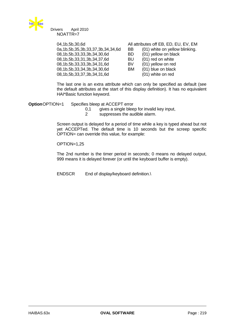

 Drivers April 2010 NOATTR=7

> 0a,1b,5b,35,3b,33,37,3b,34,34,6d BB (01) white on yellow blinking. 08,1b,5b,33,33,3b,34,30,6d BD (01) yellow on black 08,1b,5b,33,31,3b,34,37,6d BU (01) red on white 08,1b,5b,33,33,3b,34,31,6d BV (01) yellow on red 08,1b,5b,33,34,3b,34,30,6d BM (01) blue on black 08,1b,5b,33,37,3b,34,31,6d (01) white on red

> 04,1b,5b,30,6d All attributes off EB, ED, EU, EV, EM

The last one is an extra attribute which can only be specified as default (see the default attributes at the start of this display definition). It has no equivalent HAI\*Basic function keyword.

**Option**OPTION=1 Specifies bleep at ACCEPT error

0,1 gives a single bleep for invalid key input,<br>2 suppresses the audible alarm.

suppresses the audible alarm.

Screen output is delayed for a period of time while a key is typed ahead but not yet ACCEPTed. The default time is 10 seconds but the screep specific OPTION= can override this value, for example:

OPTION=1,25

The 2nd number is the timer period in seconds; 0 means no delayed output, 999 means it is delayed forever (or until the keyboard buffer is empty).

ENDSCR End of display/keyboard definition.\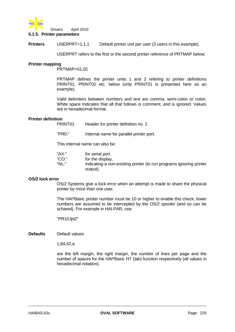

**Printers** USERPRT=1,1,1 Default printer unit per user (3 users in this example).

USERPRT refers to the first or the second printer reference of PRTMAP below.

### **Printer mapping**

PRTMAP=01,02

PRTMAP defines the printer units 1 and 2 refering to printer definitions PRINT01, PRINT02 etc. below (only PRINT01 is presented here as an example).

Valid delimiters between numbers and text are comma, semi-colon or colon. White space indicates that all that follows is comment, and is ignored. Values are in hexadecimal format.

## **Printer definition**

PRINT01 Header for printer definition no. 1

"PR0:" Internal name for parallel printer port.

This internal name can also be:

| "AX:" | for serial port,                                                                |
|-------|---------------------------------------------------------------------------------|
| "CO:" | for the display,                                                                |
| "NL:" | indicating a non-existing printer (to run programs ignoring printer<br>output). |

### **OS/2 lock error**

OS/2 Systems give a lock error when an attempt is made to share the physical printer by more than one user.

The HAI\*Basic printer number must be 10 or higher to enable this check; lower numbers are assumed to be intercepted by the OS/2 spooler (and so can be schared). For example in HAI.PAR, use:

"PR10:lpt2"

**Defaults** Default values:

1,84,42,a

are the left margin, the right margin, the number of lines per page and the number of spaces for the HAI\*Basic HT (tab) function respectively (all values in hexadecimal notation).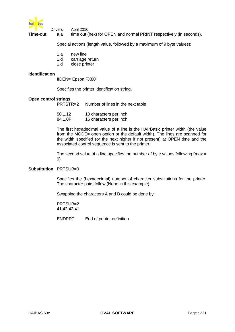

 Drivers April 2010 **Time-out** a,a time out (hex) for OPEN and normal PRINT respectively (in seconds).

Special actions (length value, followed by a maximum of 9 byte values):

- 1,a new line
- 1,d carriage return
- 1,d close printer

## **Identification**

IIDEN="Epson FX80"

Specifies the printer identification string.

### **Open control strings**

PRTSTR=2 Number of lines in the next table

| 50,1,12 | 10 characters per inch |
|---------|------------------------|
| 84,1,0F | 16 characters per inch |

The first hexadecimal value of a line is the HAI\*Basic printer width (the value from the MODE= open option or the default width). The lines are scanned for the width specified (or the next higher if not present) at OPEN time and the associated control sequence is sent to the printer.

The second value of a line specifies the number of byte values following (max  $=$ 9).

## **Substitution** PRTSUB=0

Specifies the (hexadecimal) number of character substitutions for the printer. The character pairs follow (None in this example).

Swapping the characters A and B could be done by:

PRTSUB=2 41,42;42,41

ENDPRT End of printer definition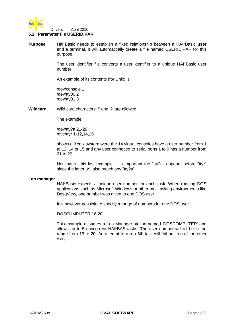

## **5.2. Parameter file USERID.PAR**

**Purpose** Hai\*Basic needs to establish a fixed relationship between a HAI\*Basic **user** and a terminal. It will automatically create a file named USERID.PAR for this purpose.

> The user identifier file converts a user identifier to a unique HAI\*Basic user number.

An example of its contents (for Unix) is:

/dev/console 1 /dev/tty00 2 /dev/tty01 3

**Wildcard** Wild card characters '\*' and '?' are allowed.

The example:

/dev/tty?a 21-29 /dve/tty\* 1-12,14,15

shows a Xenix system were the 14 virtual consoles have a user number from 1 to 12, 14 or 15 and any user conneced to serial ports 1 to 9 has a number from 21 to 29.

Not that in this last example, it is important the "tty?a" appears before "tty\*" since the latter will also match any "tty?a".

#### **Lan manager**

HAI\*Basic expects a unique user number for each task. When running DOS applications such as Microsoft Windows or other multitasking environments like DesqView, one number was given to one DOS user.

It is however possible to specify a range of numbers for one DOS user.

DOSCUMPUTER 16-20

This example assumes a Lan Manager station named 'DOSCOMPUTER' and allows up to 5 concurrent HAI\*BAS tasks. The user number will all be in the range from 16 to 20. An attempt to run a 6th task will fail until on of the other exits.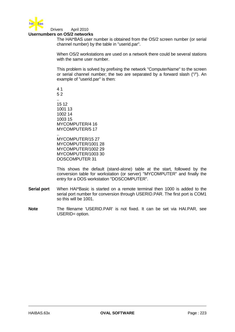

#### Drivers April 2010 **Usernumbers on OS/2 networks**

The HAI\*BAS user number is obtained from the OS/2 screen number (or serial channel number) by the table in "userid.par".

When OS/2 workstations are used on a network there could be several stations with the same user number.

This problem is solved by prefixing the network "ComputerName" to the screen or serial channel number; the two are separated by a forward slash ("/"). An example of "userid.par" is then:

.. MYCOMPUTER/15 27 MYCOMPUTER/1001 28 MYCOMPUTER/1002 29 MYCOMPUTER/1003 30 DOSCOMPUTER 31

This shows the default (stand-alone) table at the start, followed by the conversion table for workstation (or server) "MYCOMPUTER" and finally the entry for a DOS workstation "DOSCOMPUTER".

- **Serial port** When HAI\*Basic is started on a remote terminal then 1000 is added to the serial port number for conversion through USERID.PAR. The first port is COM1 so this will be 1001.
- **Note** The filename 'USERID.PAR' is not fixed. It can be set via HAI.PAR, see USERID= option.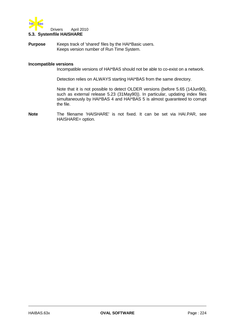

# **5.3. Systemfile HAISHARE**

**Purpose** Keeps track of 'shared' files by the HAI\*Basic users. Keeps version number of Run Time System.

#### **Incompatible versions**

Incompatible versions of HAI\*BAS should not be able to co-exist on a network.

Detection relies on ALWAYS starting HAI\*BAS from the same directory.

Note that it is not possible to detect OLDER versions (before 5.65 (14Jun90), such as external release 5.23 (31May90)). In particular, updating index files simultaneously by HAI\*BAS 4 and HAI\*BAS 5 is almost guaranteed to corrupt the file.

**Note** The filename 'HAISHARE' is not fixed. It can be set via HAI.PAR, see HAISHARE= option.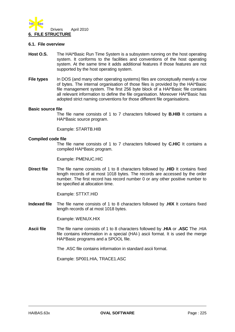

### **6.1. File overview**

- **Host O.S.** The HAI\*Basic Run Time System is a subsystem running on the host operating system. It conforms to the facilities and conventions of the host operating system. At the same time it adds additional features if those features are not supported by the host operating system.
- **File types** In DOS (and many other operating systems) files are conceptually merely a row of bytes. The internal organisation of those files is provided by the HAI\*Basic file management system. The first 256 byte block of a HAI\*Basic file contains all relevant information to define the file organisation. Moreover HAI\*Basic has adopted strict naming conventions for those different file organisations.

#### **Basic source file**

The file name consists of 1 to 7 characters followed by **B.HIB** It contains a HAI\*Basic source program.

Example: STARTB.HIB

### **Compiled code file**

The file name consists of 1 to 7 characters followed by **C.HIC** It contains a compiled HAI\*Basic program.

Example: PMENUC.HIC

**Direct file** The file name consists of 1 to 8 characters followed by **.HID** It contains fixed length records of at most 1018 bytes. The records are accessed by the order number. The first record has record number 0 or any other positive number to be specified at allocation time.

Example: STTXT.HID

**Indexed file** The file name consists of 1 to 8 characters followed by **.HIX** It contains fixed length records of at most 1018 bytes.

Example: WENUX.HIX

**Ascii file** The file name consists of 1 to 8 characters followed by **.HIA** or **.ASC** The .HIA file contains information in a special (HAI-) ascii format. It is used the merge HAI\*Basic programs and a SPOOL file.

The .ASC file contains information in standard ascii format.

Example: SP001.HIA, TRACE1.ASC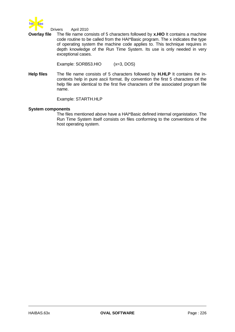

**Overlay file** The file name consists of 5 characters followed by **x.HIO** It contains a machine code routine to be called from the HAI\*Basic program. The x indicates the type of operating system the machine code applies to. This technique requires in depth knowledge of the Run Time System. Its use is only needed in very exceptional cases.

Example: SORB53.HIO (x=3, DOS)

**Help files** The file name consists of 5 characters followed by **H.HLP** It contains the incontexts help in pure ascii format. By convention the first 5 characters of the help file are identical to the first five characters of the associated program file name.

Example: STARTH.HLP

## **System components**

The files mentioned above have a HAI\*Basic defined internal organistation. The Run Time System itself consists on files conforming to the conventions of the host operating system.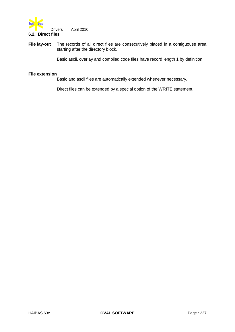

## **File lay-out** The records of all direct files are consecutively placed in a contiguouse area starting after the directory block.

Basic ascii, overlay and compiled code files have record length 1 by definition.

## **File extension**

Basic and ascii files are automatically extended whenever necessary.

Direct files can be extended by a special option of the WRITE statement.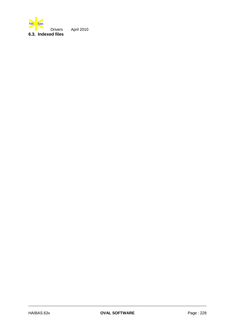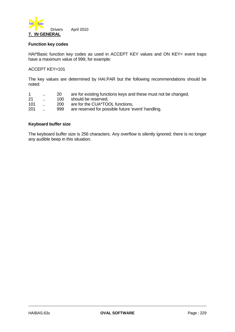

## **Function key codes**

HAI\*Basic function key codes as used in ACCEPT KEY values and ON KEY= event traps have a maximum value of 999, for example:

## ACCEPT KEY=101

The key values are determined by HAI.PAR but the following recommendations should be noted:

| $\mathbf{1}$ | $\sim$ | <b>20</b> | are for existing functions keys and these must not be changed, |
|--------------|--------|-----------|----------------------------------------------------------------|
| 21           |        |           | 100 should be reserved,                                        |
| 101          |        | 200       | are for the CUA*TOOL functions,                                |
| 201          |        | 999       | are reserved for possible future 'event' handling.             |
|              |        |           |                                                                |

## **Keyboard buffer size**

The keyboard buffer size is 256 characters. Any overflow is silently ignored; there is no longer any audible beep in this situation.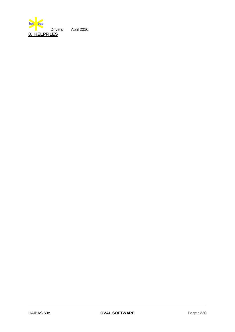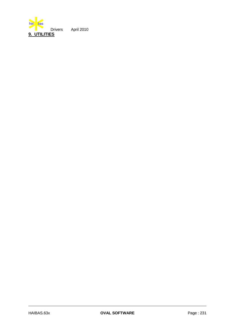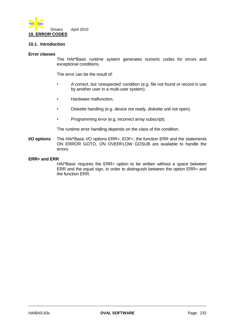

## **10.1. Introduction**

### **Error classes**

The HAI\*Basic runtime system generates numeric codes for errors and exceptional conditions.

The error can be the result of:

- A correct, but 'unexpected' condition (e.g. file not found or record in use by another user in a multi-user system).
- Hardware malfunction.
- Diskette handling (e.g. device not ready, diskette unit not open).
- Programming error (e.g. incorrect array subscript).

The runtime error handling depends on the class of the condition.

**I/O options** The HAI\*Basic I/O options ERR=, EOF=, the function ERR and the statements ON ERROR GOTO, ON OVERFLOW GOSUB are available to handle the errors.

### **ERR= and ERR**

HAI\*Basic requires the ERR= option to be written without a space between ERR and the equal sign, in order to distinguish between the option ERR= and the function ERR.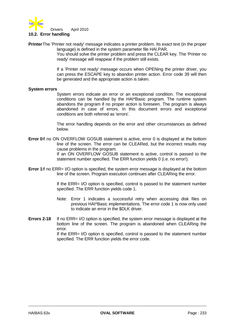

## **10.2. Error handling**

**Printer**The 'Printer not ready' message indicates a printer problem. Its exact text (in the proper language) is defined in the system parameter file HAI.PAR.

You should solve the printer problem and press the CLEAR key. The 'Printer no ready' message will reappear if the problem still exists.

If a 'Printer not ready' message occurs when OPENing the printer driver, you can press the ESCAPE key to abandon printer action. Error code 39 will then be generated and the appropriate action is taken.

### **System errors**

System errors indicate an error or an exceptional condition. The exceptional conditions can be handled by the HAI\*Basic program. The runtime system abandons the program if no proper action is foreseen. The program is always abandoned in case of errors. In this document errors and exceptional conditions are both referred as 'errors'.

The error handling depends on the error and other circumstances as defined below.

- **Error 0**If no ON OVERFLOW GOSUB statement is active, error 0 is displayed at the bottom line of the screen. The error can be CLEARed, but the incorrect results may cause problems in the program. If an ON OVERFLOW GOSUB statement is active, control is passed to the statement number specified. The ERR function yields 0 (i.e. no error!).
- **Error 1**If no ERR= I/O option is specified, the system error message is displayed at the bottom line of the screen. Program execution continues after CLEARing the error.

If the ERR= I/O option is specified, control is passed to the statement number specified. The ERR function yields code 1.

- Note: Error 1 indicates a successful retry when accessing disk files on previous HAI\*Basic implementations. The error code 1 is now only used to indicate an error in the \$DLK driver.
- **Errors 2-18** If no ERR= I/O option is specified, the system error message is displayed at the bottom line of the screen. The program is abandoned when CLEARing the error. If the ERR= I/O option is specified, control is passed to the statement number

specified. The ERR function yields the error code.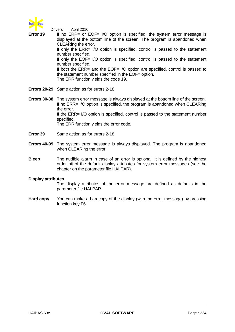

 Drivers April 2010 **Error 19** If no ERR= or EOF= I/O option is specified, the system error message is displayed at the bottom line of the screen. The program is abandoned when CLEARing the error. If only the ERR= I/O option is specified, control is passed to the statement number specified. If only the EOF= I/O option is specified, control is passed to the statement number specified. If both the ERR= and the EOF= I/O option are specified, control is passed to the statement number specified in the EOF= option. The ERR function yields the code 19. **Errors 20-29** Same action as for errors 2-18

- **Errors 30-38** The system error message is always displayed at the bottom line of the screen. If no ERR= I/O option is specified, the program is abandoned when CLEARing the error. If the ERR= I/O option is specified, control is passed to the statement number specified. The ERR function yields the error code.
- **Error 39** Same action as for errors 2-18
- **Errors 40-99** The system error message is always displayed. The program is abandoned when CLEARing the error.
- **Bleep** The audible alarm in case of an error is optional. It is defined by the highest order bit of the default display attributes for system error messages (see the chapter on the parameter file HAI.PAR).

### **Display attributes**

The display attributes of the error message are defined as defaults in the parameter file HAI.PAR.

**Hard copy** You can make a hardcopy of the display (with the error message) by pressing function key F6.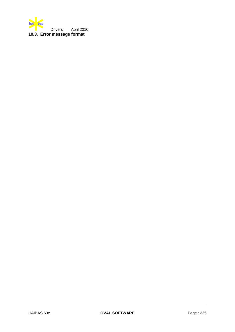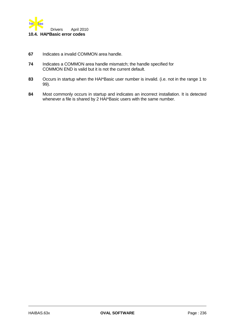

- **67** Indicates a invalid COMMON area handle.
- **74** Indicates a COMMON area handle mismatch; the handle specified for COMMON END is valid but it is not the current default.
- **83** Occurs in startup when the HAI\*Basic user number is invalid. (i.e. not in the range 1 to 99).
- **84** Most commonly occurs in startup and indicates an incorrect installation. It is detected whenever a file is shared by 2 HAI\*Basic users with the same number.